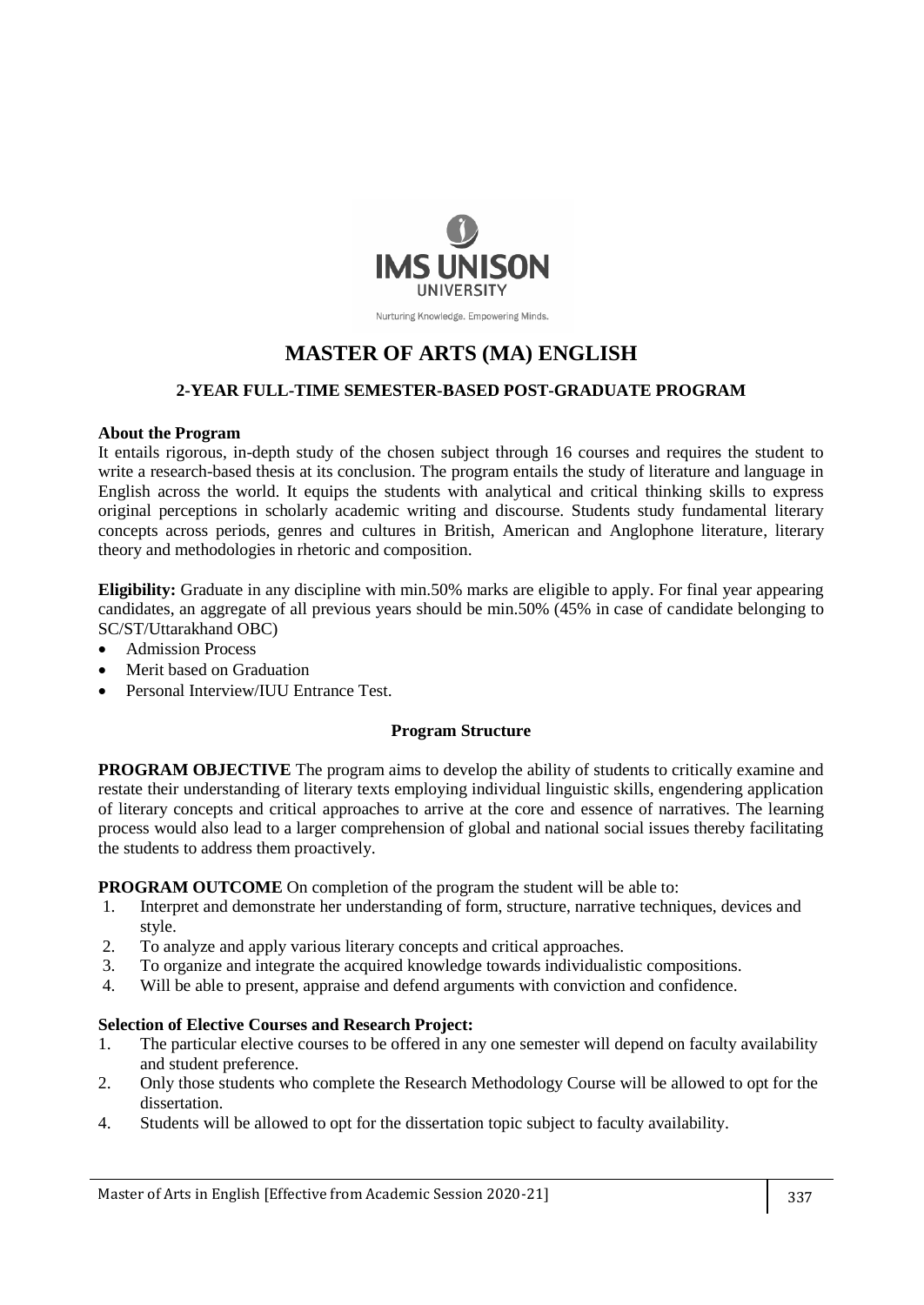

Nurturing Knowledge. Empowering Minds.

# **MASTER OF ARTS (MA) ENGLISH**

## **2-YEAR FULL-TIME SEMESTER-BASED POST-GRADUATE PROGRAM**

#### **About the Program**

It entails rigorous, in-depth study of the chosen subject through 16 courses and requires the student to write a research-based thesis at its conclusion. The program entails the study of literature and language in English across the world. It equips the students with analytical and critical thinking skills to express original perceptions in scholarly academic writing and discourse. Students study fundamental literary concepts across periods, genres and cultures in British, American and Anglophone literature, literary theory and methodologies in rhetoric and composition.

**Eligibility:** Graduate in any discipline with min.50% marks are eligible to apply. For final year appearing candidates, an aggregate of all previous years should be min.50% (45% in case of candidate belonging to SC/ST/Uttarakhand OBC)

- Admission Process
- Merit based on Graduation
- Personal Interview/IUU Entrance Test.

#### **Program Structure**

**PROGRAM OBJECTIVE** The program aims to develop the ability of students to critically examine and restate their understanding of literary texts employing individual linguistic skills, engendering application of literary concepts and critical approaches to arrive at the core and essence of narratives. The learning process would also lead to a larger comprehension of global and national social issues thereby facilitating the students to address them proactively.

**PROGRAM OUTCOME** On completion of the program the student will be able to:

- 1. Interpret and demonstrate her understanding of form, structure, narrative techniques, devices and style.
- 2. To analyze and apply various literary concepts and critical approaches.
- 3. To organize and integrate the acquired knowledge towards individualistic compositions.
- 4. Will be able to present, appraise and defend arguments with conviction and confidence.

#### **Selection of Elective Courses and Research Project:**

- 1. The particular elective courses to be offered in any one semester will depend on faculty availability and student preference.
- 2. Only those students who complete the Research Methodology Course will be allowed to opt for the dissertation.
- 4. Students will be allowed to opt for the dissertation topic subject to faculty availability.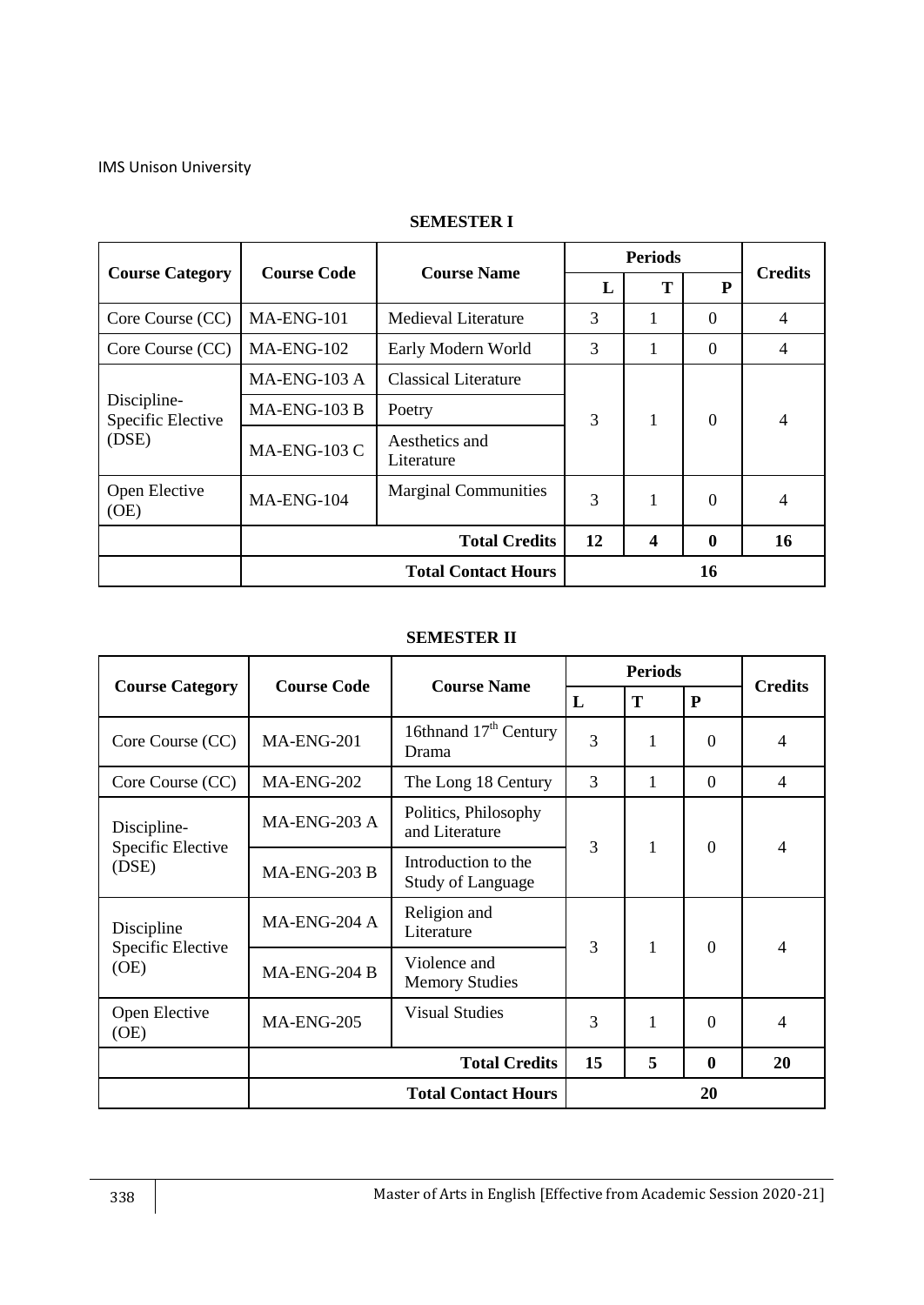|                                  |                            |                              |               | <b>Periods</b> |                | <b>Credits</b> |
|----------------------------------|----------------------------|------------------------------|---------------|----------------|----------------|----------------|
| <b>Course Category</b>           | <b>Course Code</b>         | <b>Course Name</b>           | L             | T              | P              |                |
| Core Course (CC)                 | MA-ENG-101                 | <b>Medieval Literature</b>   | 3             | 1              | $\Omega$       | 4              |
| Core Course (CC)                 | MA-ENG-102                 | Early Modern World           | 3             |                | $\overline{0}$ | 4              |
|                                  | MA-ENG-103 A               | <b>Classical Literature</b>  |               |                |                |                |
| Discipline-<br>Specific Elective | $MA-ENG-103B$              | Poetry                       | $\mathcal{R}$ | 1              | $\Omega$       | 4              |
| (DSE)                            | MA-ENG-103 C               | Aesthetics and<br>Literature |               |                |                |                |
| Open Elective<br>(OE)            | MA-ENG-104                 | <b>Marginal Communities</b>  | 3             | 1              | $\Omega$       | 4              |
|                                  |                            | <b>Total Credits</b>         | 12            | 4              | 0              | 16             |
|                                  | <b>Total Contact Hours</b> |                              |               |                | 16             |                |

## **SEMESTER I**

#### **SEMESTER II**

|                            | <b>Course Code</b> | <b>Course Name</b>                              |    | <b>Periods</b> |                |                |
|----------------------------|--------------------|-------------------------------------------------|----|----------------|----------------|----------------|
| <b>Course Category</b>     |                    |                                                 | L  | Т              | ${\bf P}$      | <b>Credits</b> |
| Core Course (CC)           | MA-ENG-201         | 16thnand $17th$ Century<br>Drama                | 3  | 1              | $\Omega$       | 4              |
| Core Course (CC)           | MA-ENG-202         | The Long 18 Century                             | 3  | 1              | $\Omega$       | $\overline{4}$ |
| Discipline-                | MA-ENG-203 A       | Politics, Philosophy<br>and Literature          | 3  |                |                |                |
| Specific Elective<br>(DSE) | MA-ENG-203 B       | Introduction to the<br><b>Study of Language</b> |    | $\mathbf{1}$   | $\overline{0}$ | $\overline{4}$ |
| Discipline                 | $MA-ENG-204A$      | Religion and<br>Literature                      | 3  | 1              | $\Omega$       |                |
| Specific Elective<br>(OE)  | MA-ENG-204 B       | Violence and<br><b>Memory Studies</b>           |    |                |                | 4              |
| Open Elective<br>(OE)      | <b>MA-ENG-205</b>  | <b>Visual Studies</b>                           | 3  | 1              | $\Omega$       | $\overline{4}$ |
|                            |                    | <b>Total Credits</b>                            | 15 | 5              | $\bf{0}$       | 20             |
|                            |                    | <b>Total Contact Hours</b>                      |    |                | 20             |                |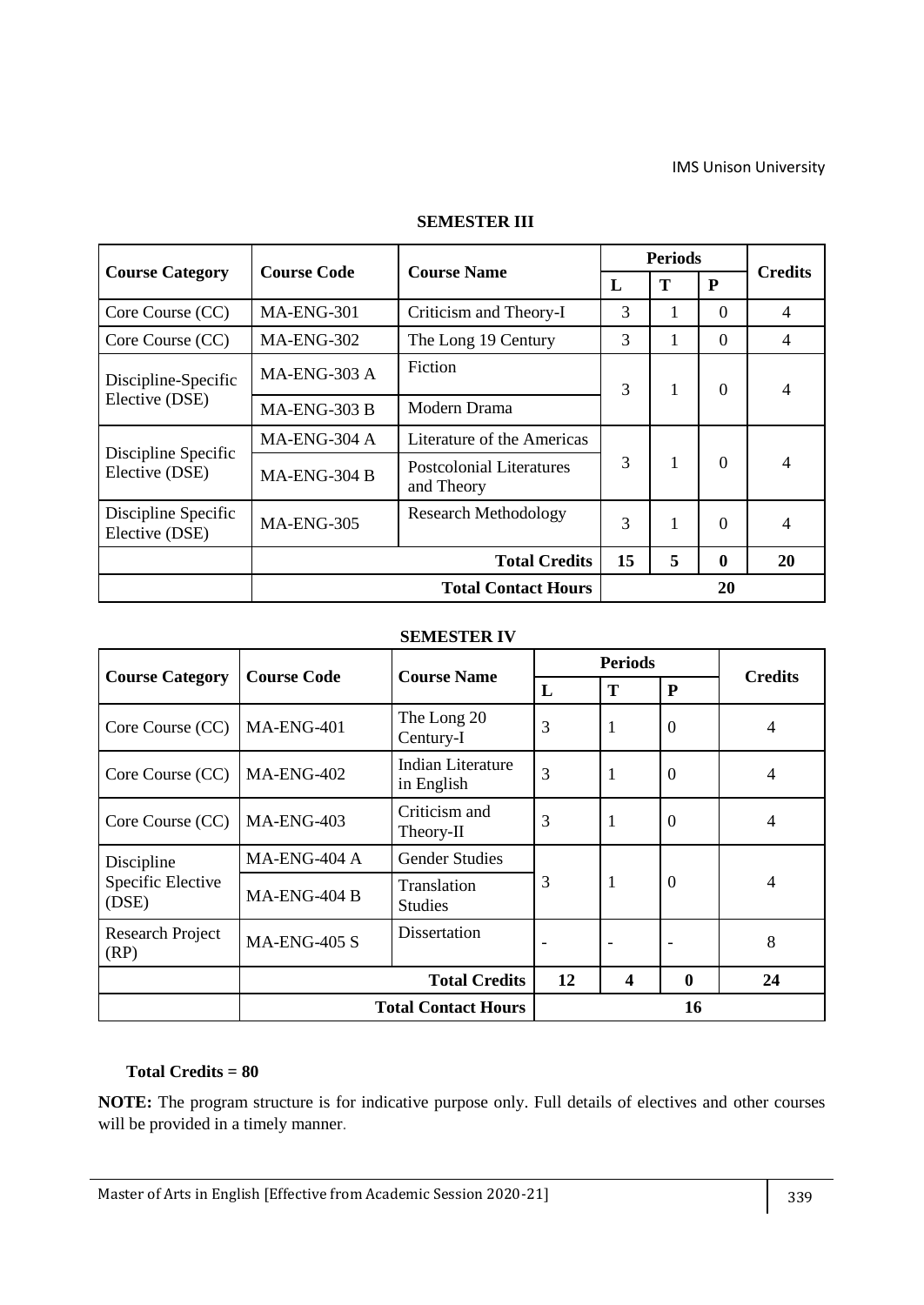|                                       |                            | <b>Course Name</b>                     | <b>Periods</b> |               | <b>Credits</b> |                |
|---------------------------------------|----------------------------|----------------------------------------|----------------|---------------|----------------|----------------|
| <b>Course Category</b>                | <b>Course Code</b>         | $\mathbf{L}$                           |                | T             | P              |                |
| Core Course (CC)                      | MA-ENG-301                 | Criticism and Theory-I                 | 3              | 1             | $\Omega$       | $\overline{4}$ |
| Core Course (CC)                      | MA-ENG-302                 | The Long 19 Century                    | 3              | 1             | $\Omega$       | $\overline{4}$ |
| Discipline-Specific                   | $MA-ENG-303 A$             | Fiction                                | 3              | 1             | $\Omega$       |                |
| Elective (DSE)                        | MA-ENG-303 B               | Modern Drama                           |                |               |                |                |
|                                       | MA-ENG-304 A               | Literature of the Americas             |                |               |                |                |
| Discipline Specific<br>Elective (DSE) | $MA-ENG-304B$              | Postcolonial Literatures<br>and Theory | 3              | 1<br>$\Omega$ |                |                |
| Discipline Specific<br>Elective (DSE) | MA-ENG-305                 | <b>Research Methodology</b>            | 3              | 1             | $\Omega$       | 4              |
|                                       | <b>Total Credits</b>       |                                        | 15             | 5             | $\mathbf{0}$   | 20             |
|                                       | <b>Total Contact Hours</b> |                                        |                | 20            |                |                |

#### **SEMESTER III**

#### **SEMESTER IV**

|                                 |                                  |                                        |                   | <b>Periods</b>   |              | <b>Credits</b> |  |
|---------------------------------|----------------------------------|----------------------------------------|-------------------|------------------|--------------|----------------|--|
| <b>Course Category</b>          | <b>Course Code</b>               | <b>Course Name</b>                     | T<br>$\mathbf{L}$ |                  | P            |                |  |
| Core Course (CC)                | MA-ENG-401                       | The Long 20<br>Century-I               | 3                 | 1                | $\Omega$     | 4              |  |
| Core Course (CC)                | MA-ENG-402                       | <b>Indian Literature</b><br>in English | 3                 | 1                | $\Omega$     | 4              |  |
| Core Course (CC)                | MA-ENG-403                       | Criticism and<br>Theory-II             | 3                 | 1                | $\Omega$     | 4              |  |
| Discipline                      | MA-ENG-404 A                     | <b>Gender Studies</b>                  |                   |                  |              |                |  |
| Specific Elective<br>(DSE)      | MA-ENG-404 B                     | Translation<br><b>Studies</b>          | 3                 | 1                | $\Omega$     | 4              |  |
| <b>Research Project</b><br>(RP) | <b>MA-ENG-405 S</b>              | Dissertation                           |                   |                  |              | 8              |  |
|                                 |                                  | <b>Total Credits</b>                   | 12                | $\boldsymbol{4}$ | $\mathbf{0}$ | 24             |  |
|                                 | <b>Total Contact Hours</b><br>16 |                                        |                   |                  |              |                |  |

## **Total Credits = 80**

**NOTE:** The program structure is for indicative purpose only. Full details of electives and other courses will be provided in a timely manner*.*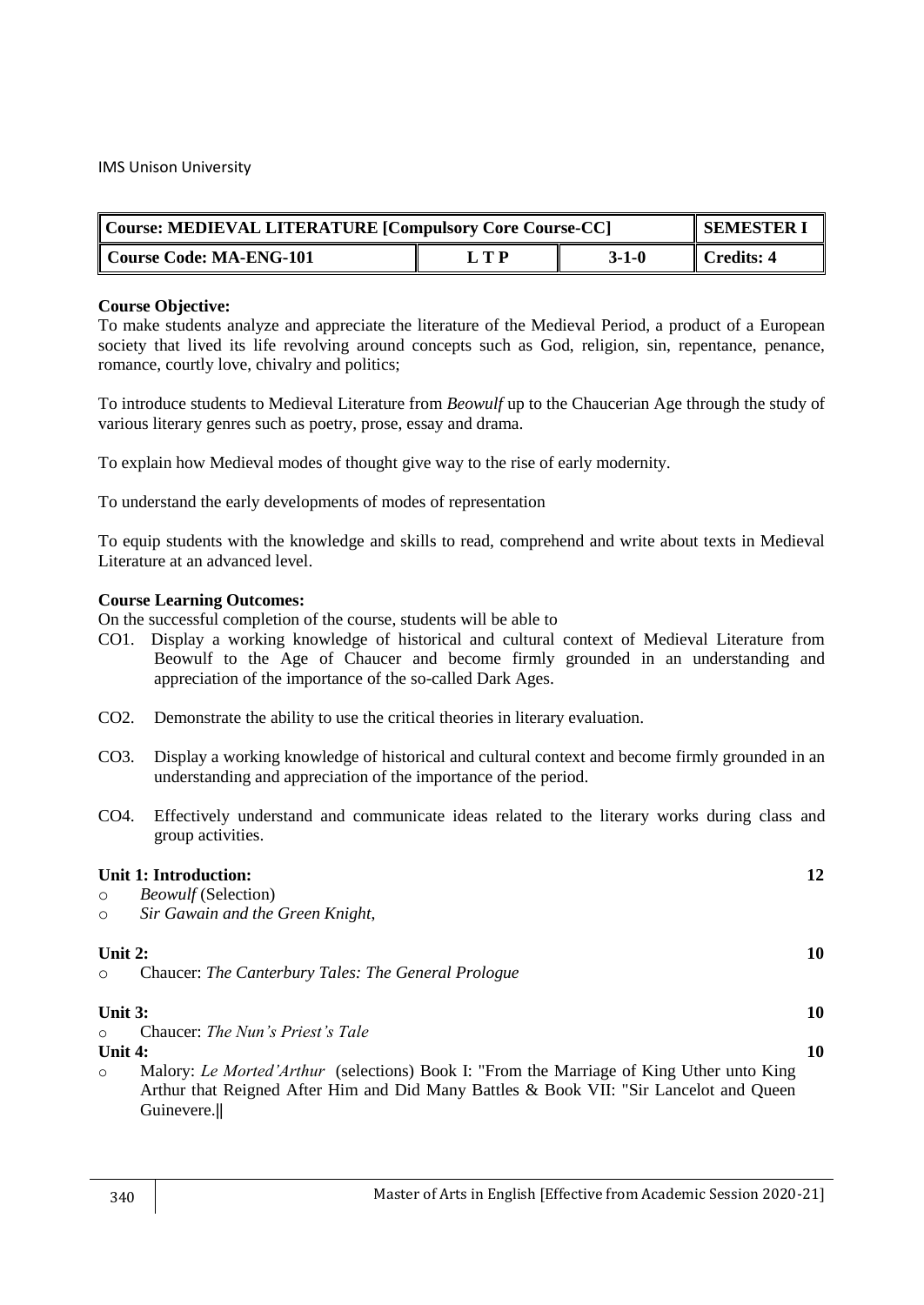| Course: MEDIEVAL LITERATURE [Compulsory Core Course-CC] |                 | <b>SEMESTER I</b> |            |
|---------------------------------------------------------|-----------------|-------------------|------------|
| Course Code: MA-ENG-101                                 | і тр<br>$3-1-0$ |                   | Credits: 4 |

To make students analyze and appreciate the literature of the Medieval Period, a product of a European society that lived its life revolving around concepts such as God, religion, sin, repentance, penance, romance, courtly love, chivalry and politics;

To introduce students to Medieval Literature from *Beowulf* up to the Chaucerian Age through the study of various literary genres such as poetry, prose, essay and drama.

To explain how Medieval modes of thought give way to the rise of early modernity.

To understand the early developments of modes of representation

To equip students with the knowledge and skills to read, comprehend and write about texts in Medieval Literature at an advanced level.

#### **Course Learning Outcomes:**

- CO1. Display a working knowledge of historical and cultural context of Medieval Literature from Beowulf to the Age of Chaucer and become firmly grounded in an understanding and appreciation of the importance of the so-called Dark Ages.
- CO2. Demonstrate the ability to use the critical theories in literary evaluation.
- CO3. Display a working knowledge of historical and cultural context and become firmly grounded in an understanding and appreciation of the importance of the period.
- CO4. Effectively understand and communicate ideas related to the literary works during class and group activities.

|         | <b>Unit 1: Introduction:</b>                                                                                                                                                                     | 12 |
|---------|--------------------------------------------------------------------------------------------------------------------------------------------------------------------------------------------------|----|
| $\circ$ | <i>Beowulf</i> (Selection)                                                                                                                                                                       |    |
| $\circ$ | Sir Gawain and the Green Knight,                                                                                                                                                                 |    |
| Unit 2: |                                                                                                                                                                                                  | 10 |
| $\circ$ | Chaucer: The Canterbury Tales: The General Prologue                                                                                                                                              |    |
| Unit 3: |                                                                                                                                                                                                  | 10 |
| $\circ$ | Chaucer: The Nun's Priest's Tale                                                                                                                                                                 |    |
| Unit 4: |                                                                                                                                                                                                  | 10 |
| $\circ$ | Malory: Le Morted'Arthur (selections) Book I: "From the Marriage of King Uther unto King<br>Arthur that Reigned After Him and Did Many Battles & Book VII: "Sir Lancelot and Queen<br>Guinevere. |    |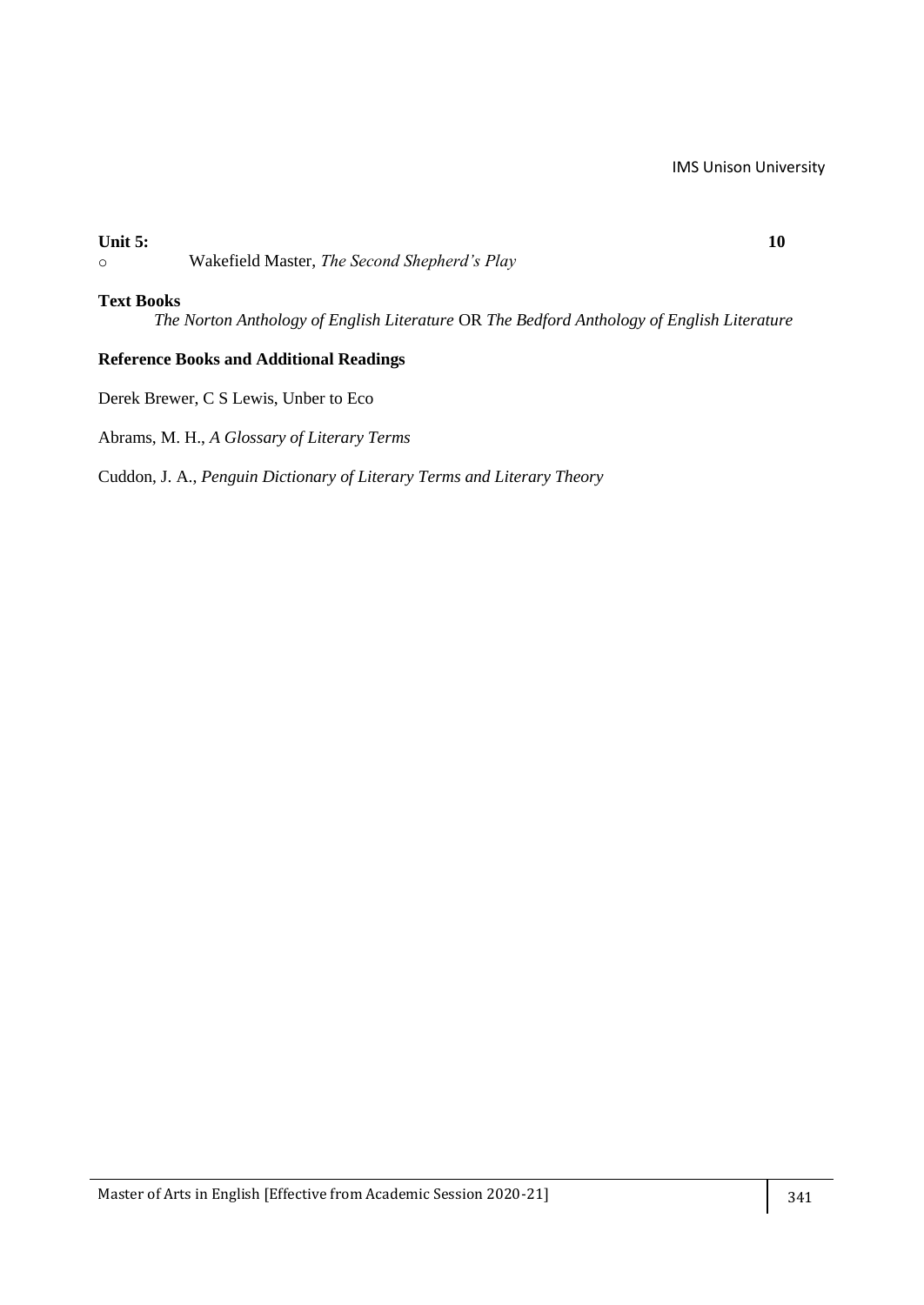## **Unit 5: 10**

o Wakefield Master, *The Second Shepherd's Play*

#### **Text Books**

*The Norton Anthology of English Literature* OR *The Bedford Anthology of English Literature*

## **Reference Books and Additional Readings**

Derek Brewer, C S Lewis, Unber to Eco

Abrams, M. H., *A Glossary of Literary Terms*

Cuddon, J. A., *Penguin Dictionary of Literary Terms and Literary Theory*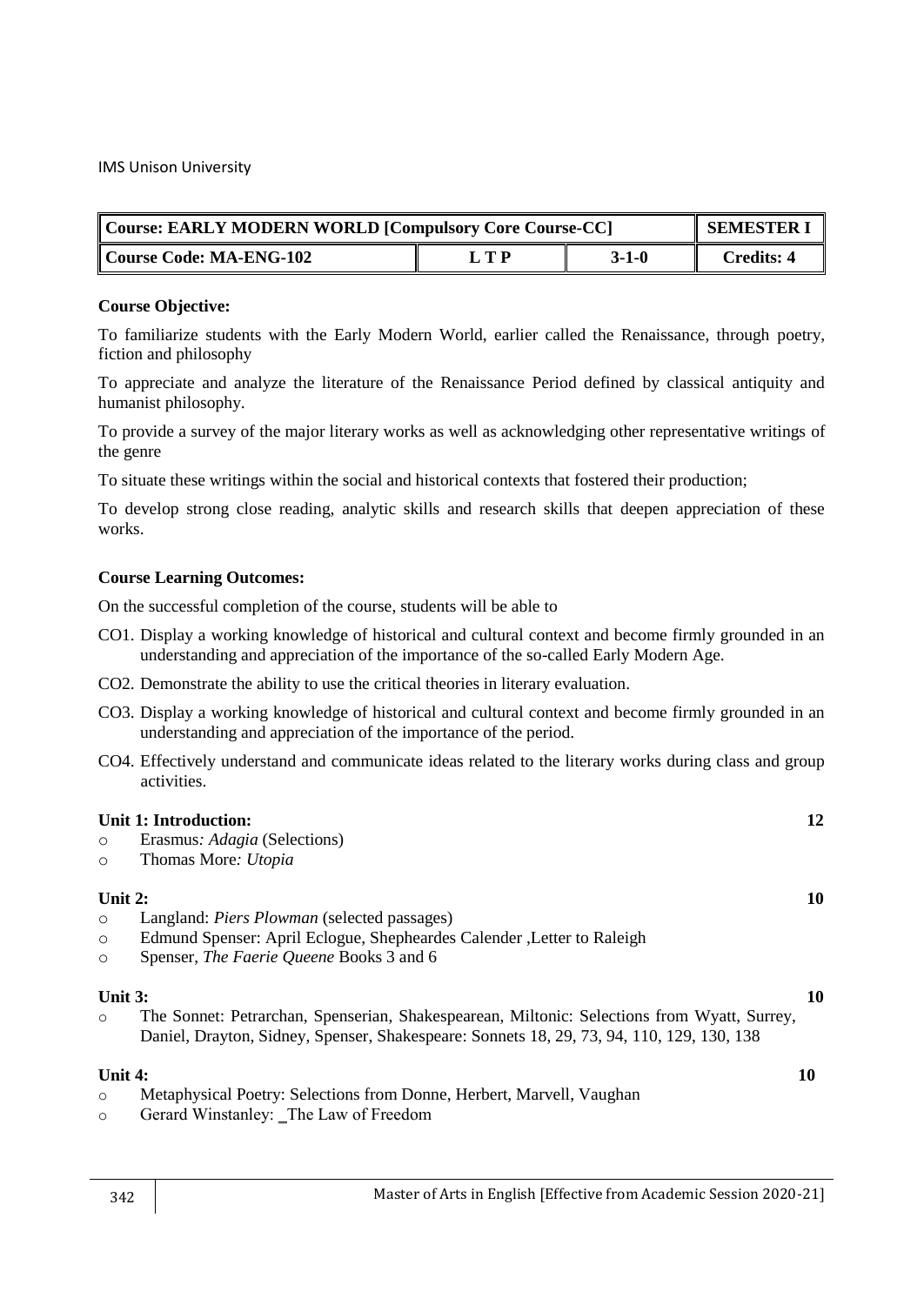|                         | Course: EARLY MODERN WORLD [Compulsory Core Course-CC]<br><b>SEMESTER I</b> |         |            |  |
|-------------------------|-----------------------------------------------------------------------------|---------|------------|--|
| Course Code: MA-ENG-102 | L T P                                                                       | $3-1-0$ | Credits: 4 |  |

To familiarize students with the Early Modern World, earlier called the Renaissance, through poetry, fiction and philosophy

To appreciate and analyze the literature of the Renaissance Period defined by classical antiquity and humanist philosophy.

To provide a survey of the major literary works as well as acknowledging other representative writings of the genre

To situate these writings within the social and historical contexts that fostered their production;

To develop strong close reading, analytic skills and research skills that deepen appreciation of these works.

#### **Course Learning Outcomes:**

On the successful completion of the course, students will be able to

- CO1. Display a working knowledge of historical and cultural context and become firmly grounded in an understanding and appreciation of the importance of the so-called Early Modern Age.
- CO2. Demonstrate the ability to use the critical theories in literary evaluation.
- CO3. Display a working knowledge of historical and cultural context and become firmly grounded in an understanding and appreciation of the importance of the period.
- CO4. Effectively understand and communicate ideas related to the literary works during class and group activities.

## **Unit 1: Introduction:** 12

- o Erasmus*: Adagia* (Selections)
- o Thomas More*: Utopia*

## **Unit 2: 10**

- o Langland: *Piers Plowman* (selected passages)
- o Edmund Spenser: April Eclogue, Shepheardes Calender ,Letter to Raleigh
- o Spenser, *The Faerie Queene* Books 3 and 6

#### **Unit 3:** 10

o The Sonnet: Petrarchan, Spenserian, Shakespearean, Miltonic: Selections from Wyatt, Surrey, Daniel, Drayton, Sidney, Spenser, Shakespeare: Sonnets 18, 29, 73, 94, 110, 129, 130, 138

#### **Unit 4:** 10

- o Metaphysical Poetry: Selections from Donne, Herbert, Marvell, Vaughan
- o Gerard Winstanley: ‗The Law of Freedom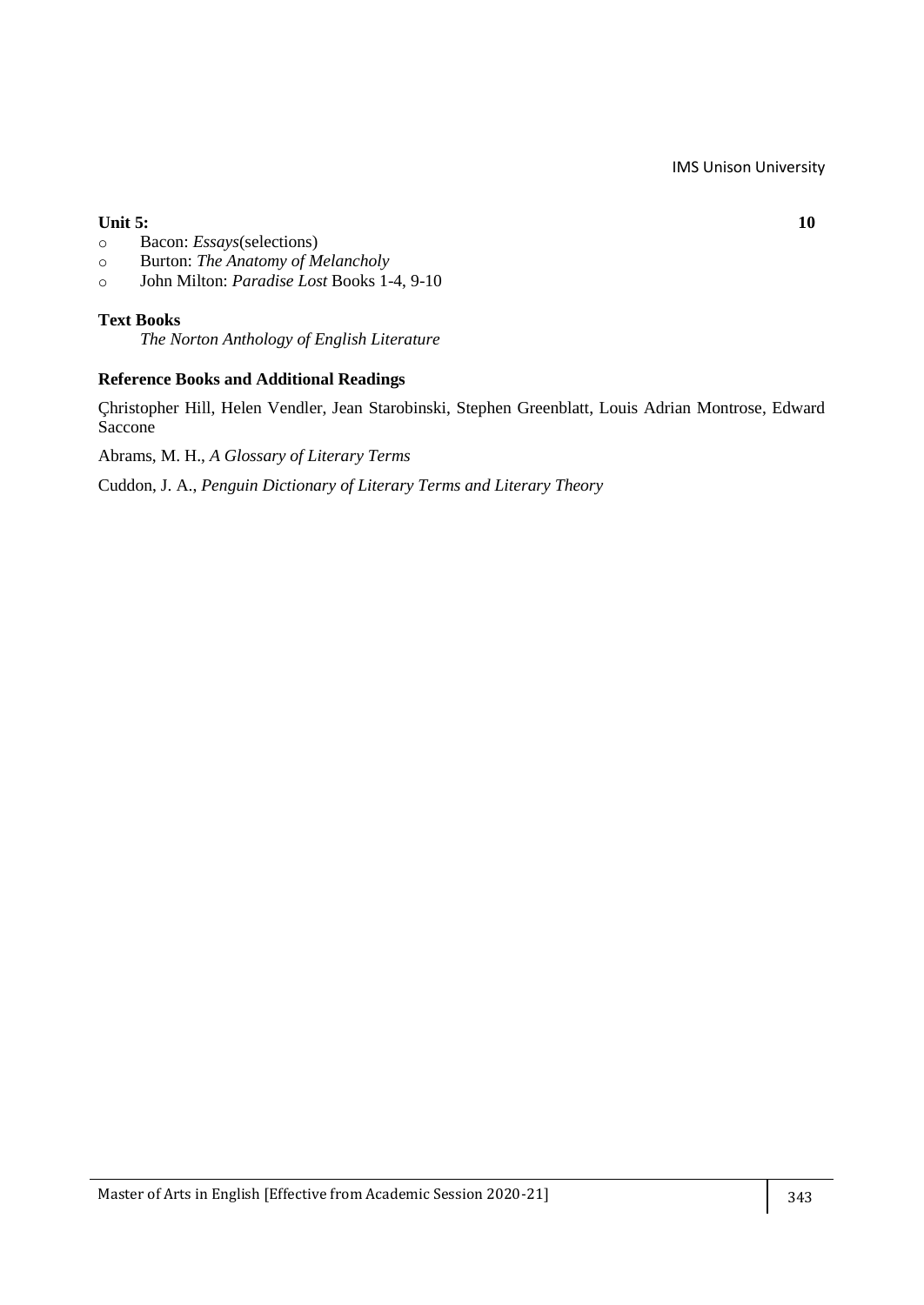## **Unit 5:** 10

- o Bacon: *Essays*(selections)
- o Burton: *The Anatomy of Melancholy*
- o John Milton: *Paradise Lost* Books 1-4, 9-10

## **Text Books**

*The Norton Anthology of English Literature*

## **Reference Books and Additional Readings**

Çhristopher Hill, Helen Vendler, Jean Starobinski, Stephen Greenblatt, Louis Adrian Montrose, Edward Saccone

Abrams, M. H., *A Glossary of Literary Terms*

Cuddon, J. A., *Penguin Dictionary of Literary Terms and Literary Theory*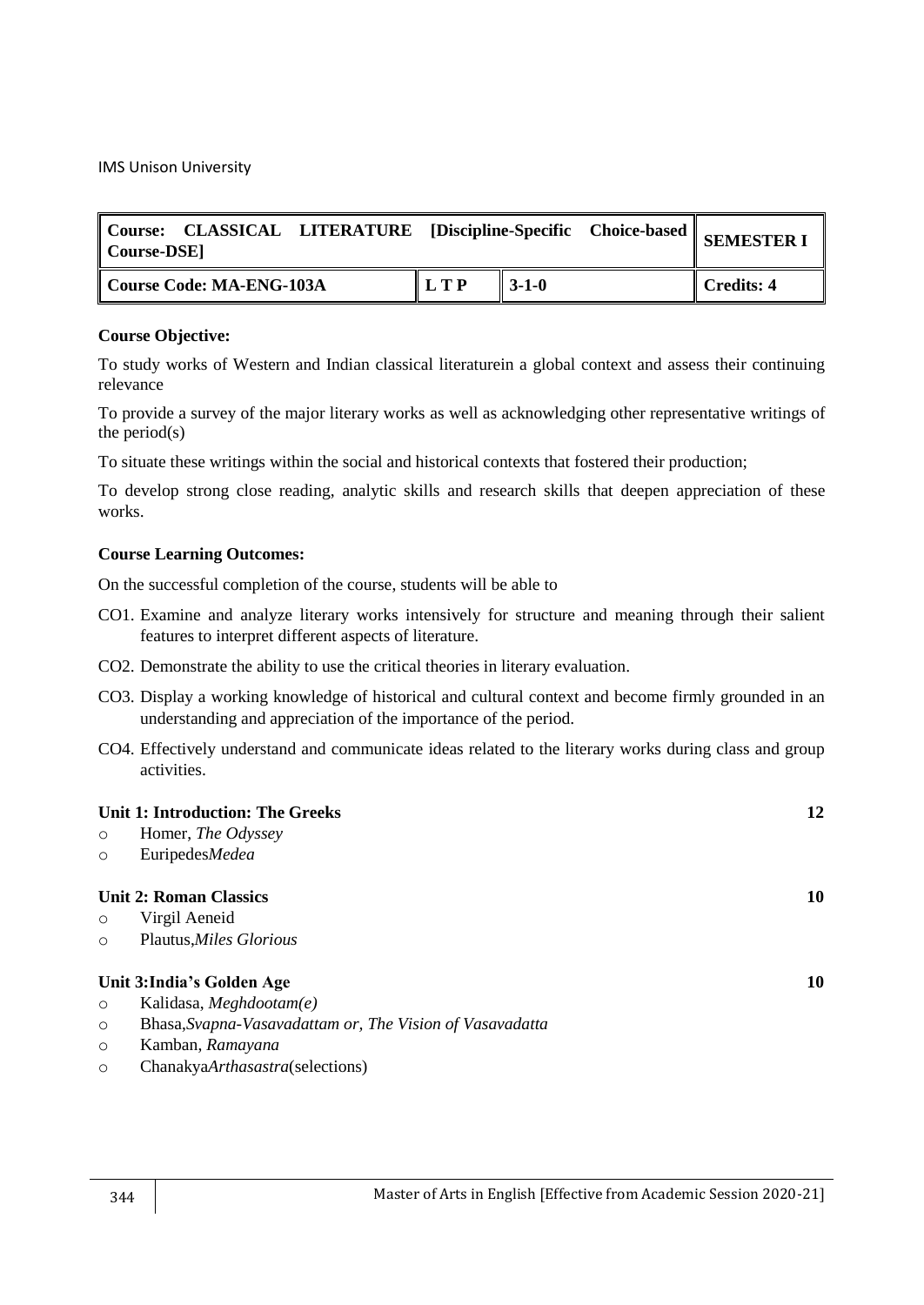| Course: CLASSICAL LITERATURE [Discipline-Specific Choice-based    SEMESTER I<br>   Course-DSE] |       |                   |            |
|------------------------------------------------------------------------------------------------|-------|-------------------|------------|
| Course Code: MA-ENG-103A                                                                       | L T P | $\parallel$ 3-1-0 | Credits: 4 |

#### **Course Objective:**

To study works of Western and Indian classical literaturein a global context and assess their continuing relevance

To provide a survey of the major literary works as well as acknowledging other representative writings of the period $(s)$ 

To situate these writings within the social and historical contexts that fostered their production;

To develop strong close reading, analytic skills and research skills that deepen appreciation of these works.

## **Course Learning Outcomes:**

- CO1. Examine and analyze literary works intensively for structure and meaning through their salient features to interpret different aspects of literature.
- CO2. Demonstrate the ability to use the critical theories in literary evaluation.
- CO3. Display a working knowledge of historical and cultural context and become firmly grounded in an understanding and appreciation of the importance of the period.
- CO4. Effectively understand and communicate ideas related to the literary works during class and group activities.

|         | Unit 1: Introduction: The Greeks                         | 12 |
|---------|----------------------------------------------------------|----|
| $\circ$ | Homer, <i>The Odyssey</i>                                |    |
| $\circ$ | EuripedesMedea                                           |    |
|         | <b>Unit 2: Roman Classics</b>                            | 10 |
| $\circ$ | Virgil Aeneid                                            |    |
| $\circ$ | Plautus, <i>Miles Glorious</i>                           |    |
|         | Unit 3: India's Golden Age                               | 10 |
| $\circ$ | Kalidasa, Meghdootam(e)                                  |    |
| $\circ$ | Bhasa, Svapna-Vasavadattam or, The Vision of Vasavadatta |    |
| $\circ$ | Kamban, Ramayana                                         |    |
| $\circ$ | ChanakyaArthasastra(selections)                          |    |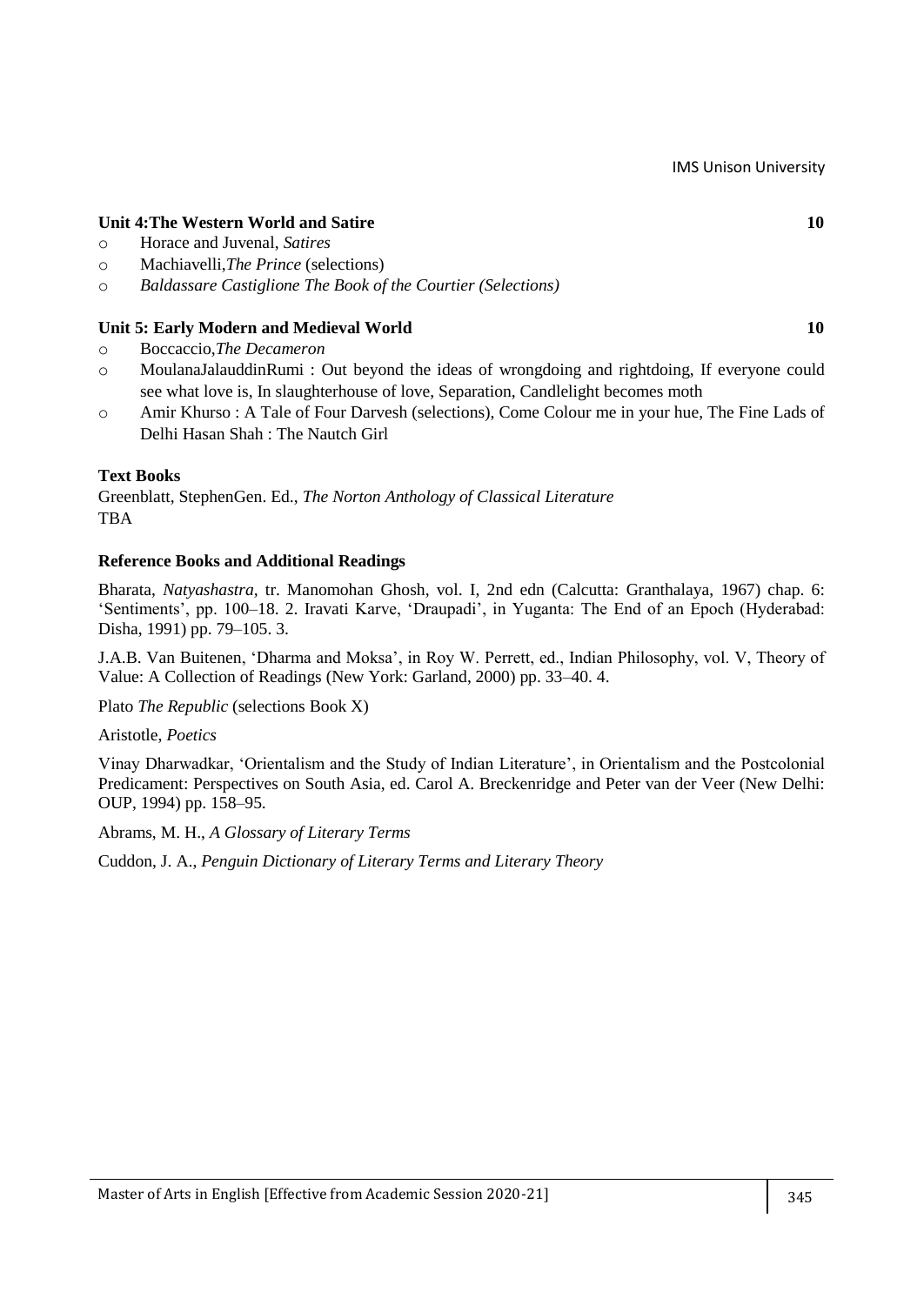## **Unit 4:The Western World and Satire 10**

- o Horace and Juvenal, *Satires*
- o Machiavelli,*The Prince* (selections)
- o *Baldassare Castiglione The Book of the Courtier (Selections)*

## **Unit 5: Early Modern and Medieval World 10**

- o Boccaccio,*The Decameron*
- o MoulanaJalauddinRumi : Out beyond the ideas of wrongdoing and rightdoing, If everyone could see what love is, In slaughterhouse of love, Separation, Candlelight becomes moth
- o Amir Khurso : A Tale of Four Darvesh (selections), Come Colour me in your hue, The Fine Lads of Delhi Hasan Shah : The Nautch Girl

#### **Text Books**

Greenblatt, StephenGen. Ed., *The Norton Anthology of Classical Literature* TBA

#### **Reference Books and Additional Readings**

Bharata, *Natyashastra,* tr. Manomohan Ghosh, vol. I, 2nd edn (Calcutta: Granthalaya, 1967) chap. 6: ‗Sentiments', pp. 100–18. 2. Iravati Karve, ‗Draupadi', in Yuganta: The End of an Epoch (Hyderabad: Disha, 1991) pp. 79–105. 3.

J.A.B. Van Buitenen, 'Dharma and Moksa', in Roy W. Perrett, ed., Indian Philosophy, vol. V, Theory of Value: A Collection of Readings (New York: Garland, 2000) pp. 33–40. 4.

Plato *The Republic* (selections Book X)

#### Aristotle, *Poetics*

Vinay Dharwadkar, ‗Orientalism and the Study of Indian Literature', in Orientalism and the Postcolonial Predicament: Perspectives on South Asia, ed. Carol A. Breckenridge and Peter van der Veer (New Delhi: OUP, 1994) pp. 158–95.

Abrams, M. H., *A Glossary of Literary Terms*

Cuddon, J. A., *Penguin Dictionary of Literary Terms and Literary Theory*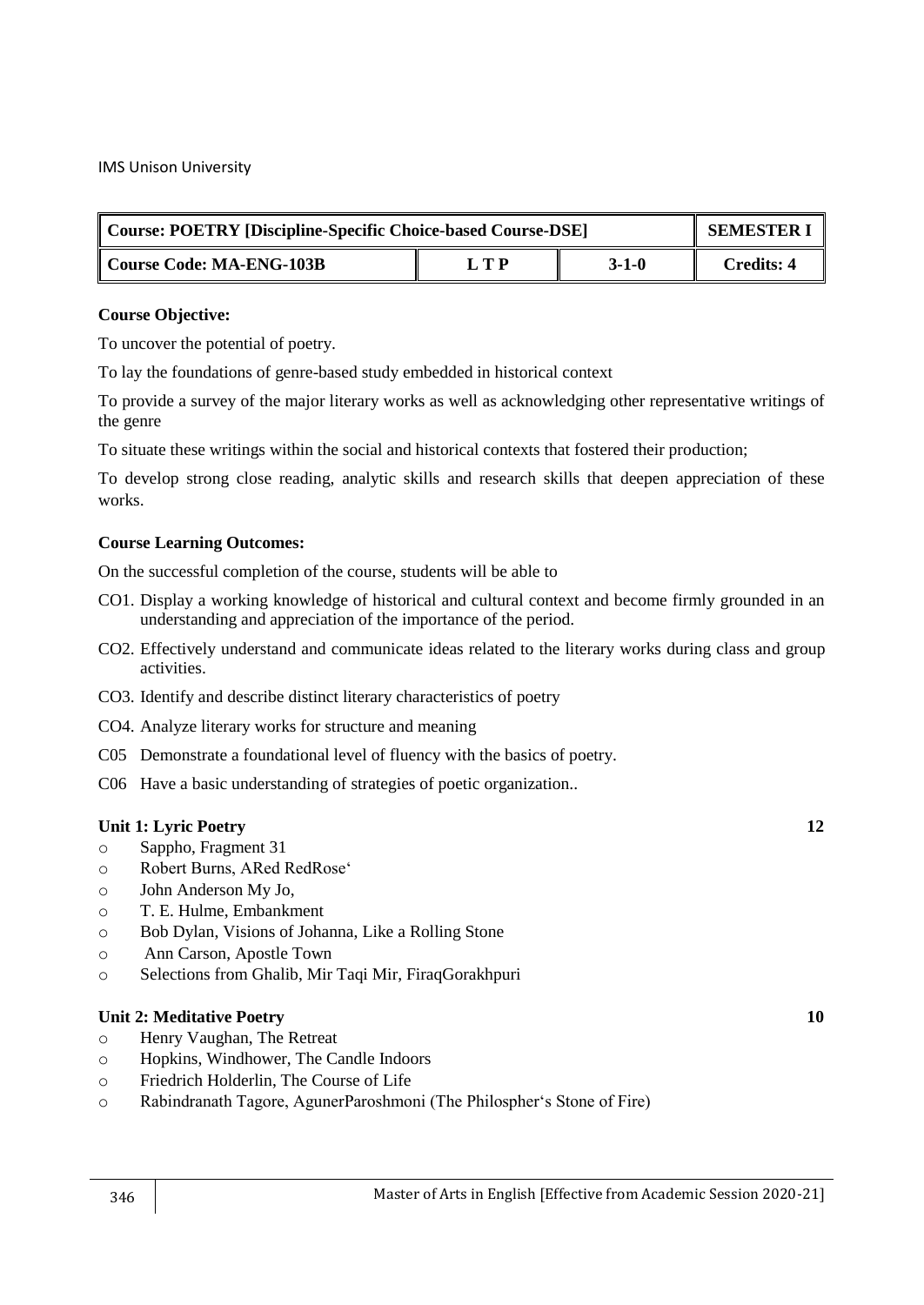| Course: POETRY [Discipline-Specific Choice-based Course-DSE] |       | <b>SEMESTER I</b> |                   |
|--------------------------------------------------------------|-------|-------------------|-------------------|
| Course Code: MA-ENG-103B                                     | I T P | $3-1-0$           | <b>Credits: 4</b> |

#### **Course Objective:**

To uncover the potential of poetry.

To lay the foundations of genre-based study embedded in historical context

To provide a survey of the major literary works as well as acknowledging other representative writings of the genre

To situate these writings within the social and historical contexts that fostered their production;

To develop strong close reading, analytic skills and research skills that deepen appreciation of these works.

## **Course Learning Outcomes:**

On the successful completion of the course, students will be able to

- CO1. Display a working knowledge of historical and cultural context and become firmly grounded in an understanding and appreciation of the importance of the period.
- CO2. Effectively understand and communicate ideas related to the literary works during class and group activities.
- CO3. Identify and describe distinct literary characteristics of poetry
- CO4. Analyze literary works for structure and meaning
- C05 Demonstrate a foundational level of fluency with the basics of poetry.
- C06 Have a basic understanding of strategies of poetic organization..

#### **Unit 1: Lyric Poetry 12**

- o Sappho, Fragment 31
- o Robert Burns, ARed RedRose‗
- o John Anderson My Jo,
- o T. E. Hulme, Embankment
- o Bob Dylan, Visions of Johanna, Like a Rolling Stone
- o Ann Carson, Apostle Town
- o Selections from Ghalib, Mir Taqi Mir, FiraqGorakhpuri

#### **Unit 2: Meditative Poetry 10**

- o Henry Vaughan, The Retreat
- o Hopkins, Windhower, The Candle Indoors
- o Friedrich Holderlin, The Course of Life
- o Rabindranath Tagore, AgunerParoshmoni (The Philospher's Stone of Fire)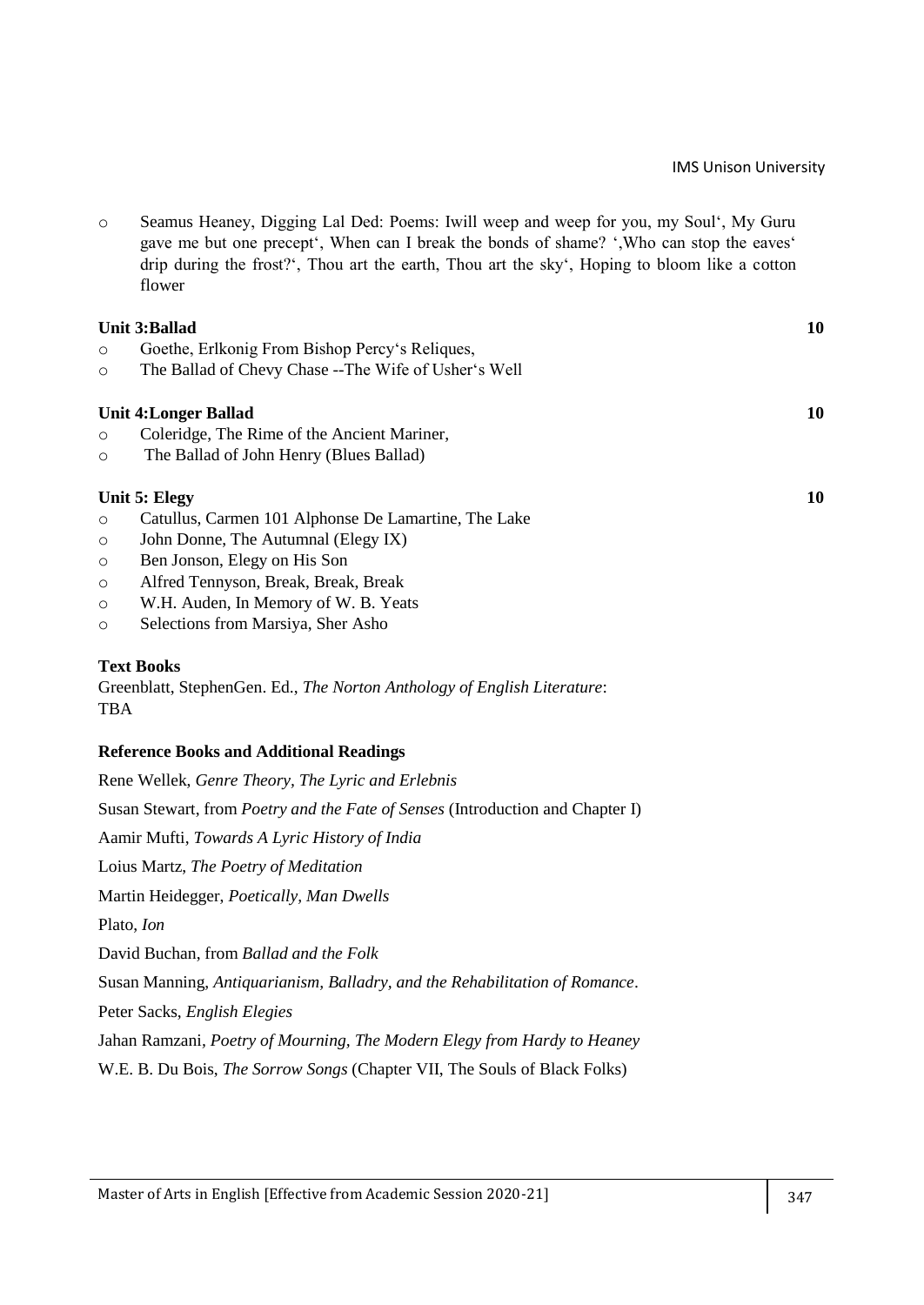o Seamus Heaney, Digging Lal Ded: Poems: Iwill weep and weep for you, my Soul‗, My Guru gave me but one precept<sup>\*</sup>, When can I break the bonds of shame? ',Who can stop the eaves' drip during the frost?‗, Thou art the earth, Thou art the sky‗, Hoping to bloom like a cotton flower

|         | <b>Unit 3: Ballad</b>                                 | 10 |
|---------|-------------------------------------------------------|----|
| $\circ$ | Goethe, Erlkonig From Bishop Percy's Reliques,        |    |
| $\circ$ | The Ballad of Chevy Chase -- The Wife of Usher's Well |    |
|         | <b>Unit 4: Longer Ballad</b>                          | 10 |
| $\circ$ | Coleridge, The Rime of the Ancient Mariner,           |    |
| $\circ$ | The Ballad of John Henry (Blues Ballad)               |    |
|         | Unit 5: Elegy                                         | 10 |
| $\circ$ | Catullus, Carmen 101 Alphonse De Lamartine, The Lake  |    |
| $\circ$ | John Donne, The Autumnal (Elegy IX)                   |    |

- o Ben Jonson, Elegy on His Son
- o Alfred Tennyson, Break, Break, Break
- o W.H. Auden, In Memory of W. B. Yeats
- o Selections from Marsiya, Sher Asho

#### **Text Books**

Greenblatt, StephenGen. Ed., *The Norton Anthology of English Literature*: TBA

#### **Reference Books and Additional Readings**

| Rene Wellek, Genre Theory, The Lyric and Erlebnis                                     |
|---------------------------------------------------------------------------------------|
| Susan Stewart, from <i>Poetry and the Fate of Senses</i> (Introduction and Chapter I) |
| Aamir Mufti, Towards A Lyric History of India                                         |
| Loius Martz, The Poetry of Meditation                                                 |
| Martin Heidegger, Poetically, Man Dwells                                              |
| Plato, <i>Ion</i>                                                                     |
| David Buchan, from Ballad and the Folk                                                |
| Susan Manning, Antiquarianism, Balladry, and the Rehabilitation of Romance.           |
| Peter Sacks, <i>English Elegies</i>                                                   |
| Jahan Ramzani, <i>Poetry of Mourning, The Modern Elegy from Hardy to Heaney</i>       |
| W.E. B. Du Bois, <i>The Sorrow Songs</i> (Chapter VII, The Souls of Black Folks)      |
|                                                                                       |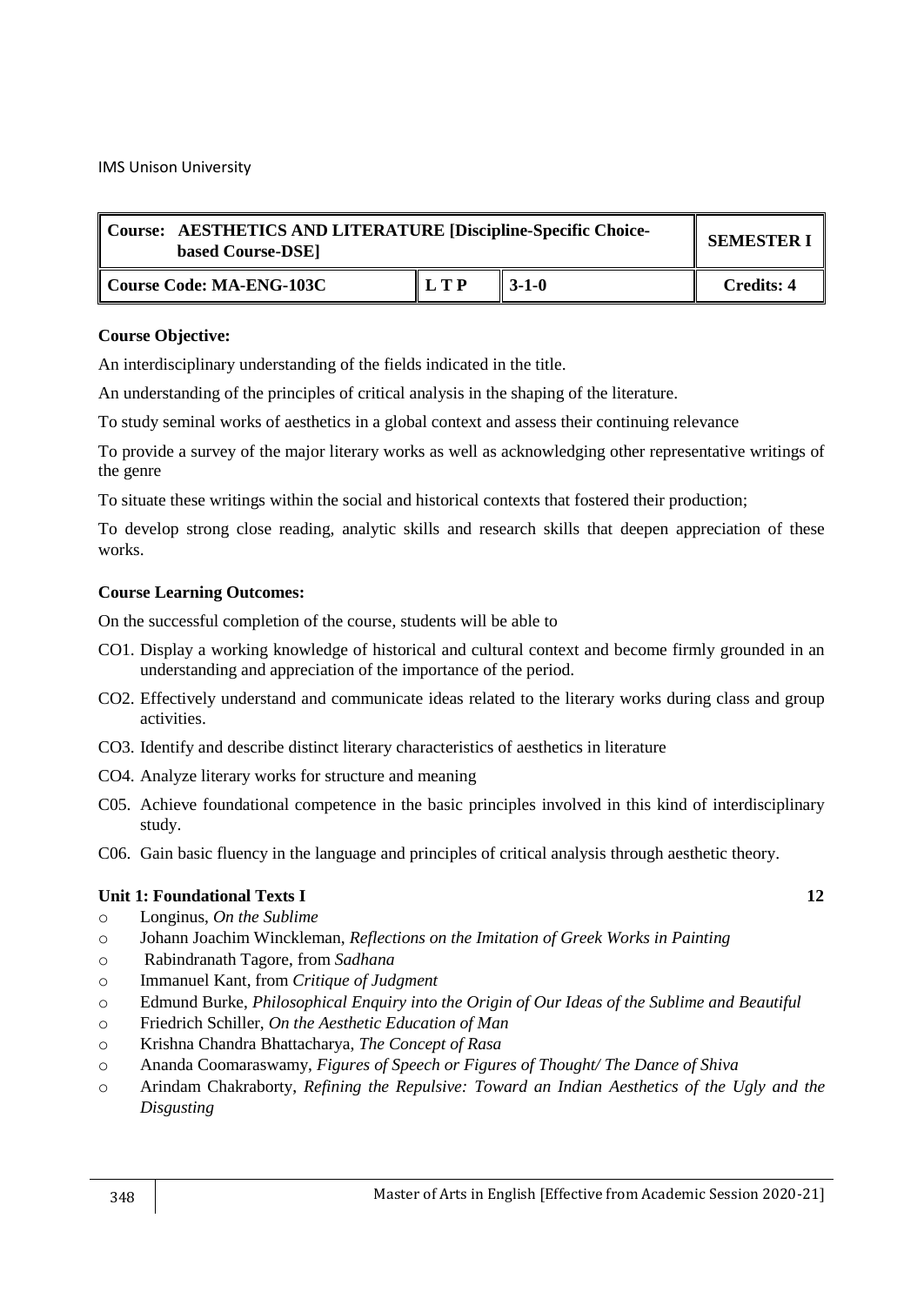| Course: AESTHETICS AND LITERATURE [Discipline-Specific Choice-<br>based Course-DSE] | <b>SEMESTER I</b> |             |                   |
|-------------------------------------------------------------------------------------|-------------------|-------------|-------------------|
| Course Code: MA-ENG-103C                                                            | LTP               | $3 - 1 - 0$ | <b>Credits: 4</b> |

An interdisciplinary understanding of the fields indicated in the title.

An understanding of the principles of critical analysis in the shaping of the literature.

To study seminal works of aesthetics in a global context and assess their continuing relevance

To provide a survey of the major literary works as well as acknowledging other representative writings of the genre

To situate these writings within the social and historical contexts that fostered their production;

To develop strong close reading, analytic skills and research skills that deepen appreciation of these works.

## **Course Learning Outcomes:**

On the successful completion of the course, students will be able to

- CO1. Display a working knowledge of historical and cultural context and become firmly grounded in an understanding and appreciation of the importance of the period.
- CO2. Effectively understand and communicate ideas related to the literary works during class and group activities.
- CO3. Identify and describe distinct literary characteristics of aesthetics in literature
- CO4. Analyze literary works for structure and meaning
- C05. Achieve foundational competence in the basic principles involved in this kind of interdisciplinary study.
- C06. Gain basic fluency in the language and principles of critical analysis through aesthetic theory.

## **Unit 1: Foundational Texts I 12**

- o Longinus, *On the Sublime*
- o Johann Joachim Winckleman, *Reflections on the Imitation of Greek Works in Painting*
- o Rabindranath Tagore, from *Sadhana*
- o Immanuel Kant, from *Critique of Judgment*
- o Edmund Burke, *Philosophical Enquiry into the Origin of Our Ideas of the Sublime and Beautiful*
- o Friedrich Schiller, *On the Aesthetic Education of Man*
- o Krishna Chandra Bhattacharya, *The Concept of Rasa*
- o Ananda Coomaraswamy, *Figures of Speech or Figures of Thought/ The Dance of Shiva*
- o Arindam Chakraborty, *Refining the Repulsive: Toward an Indian Aesthetics of the Ugly and the Disgusting*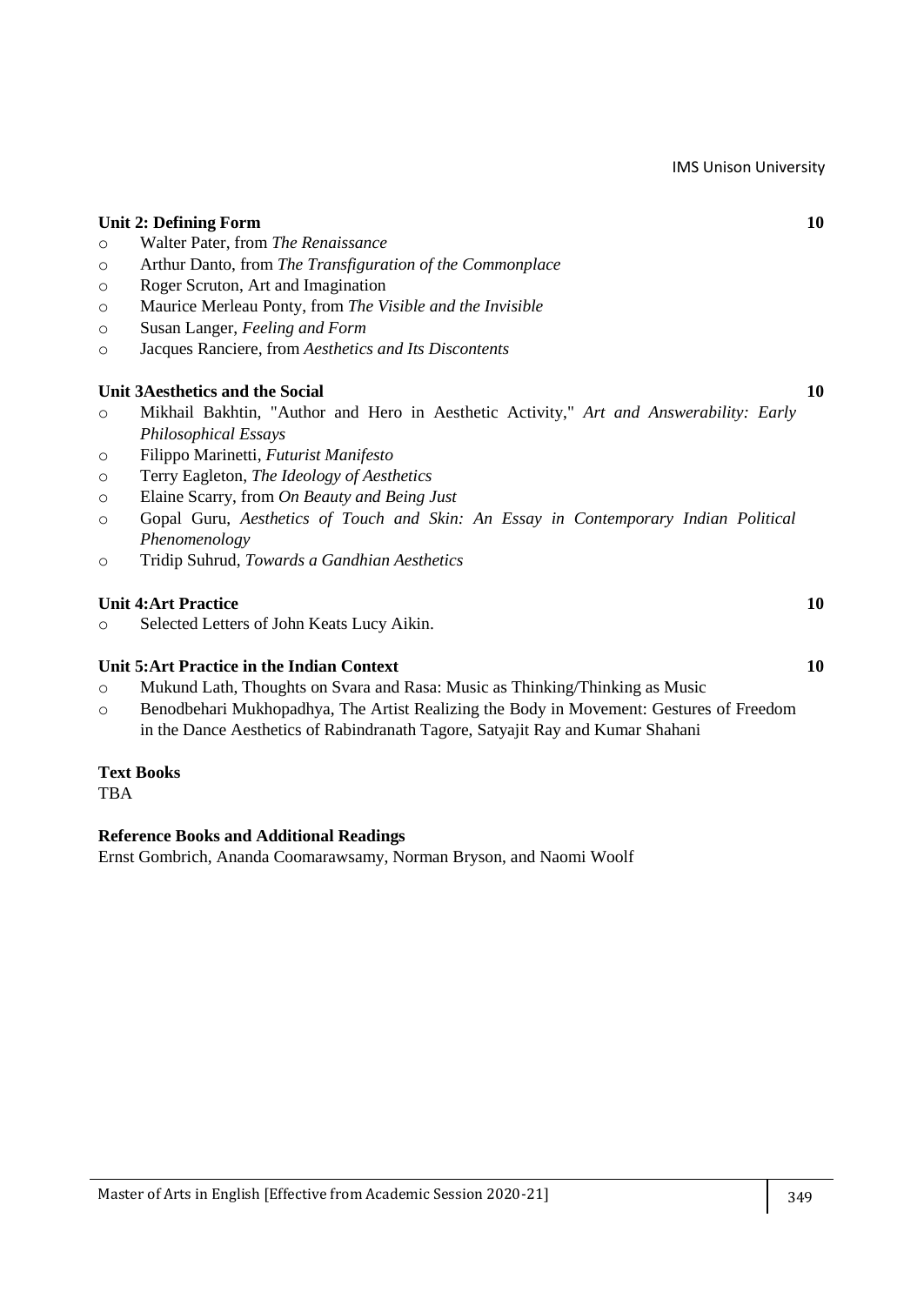|         | <b>Unit 2: Defining Form</b>                                                                                                                                              | 10 |
|---------|---------------------------------------------------------------------------------------------------------------------------------------------------------------------------|----|
| $\circ$ | Walter Pater, from The Renaissance                                                                                                                                        |    |
| $\circ$ | Arthur Danto, from The Transfiguration of the Commonplace                                                                                                                 |    |
| $\circ$ | Roger Scruton, Art and Imagination                                                                                                                                        |    |
| $\circ$ | Maurice Merleau Ponty, from The Visible and the Invisible                                                                                                                 |    |
| $\circ$ | Susan Langer, Feeling and Form                                                                                                                                            |    |
| $\circ$ | Jacques Ranciere, from Aesthetics and Its Discontents                                                                                                                     |    |
|         | <b>Unit 3Aesthetics and the Social</b>                                                                                                                                    | 10 |
| $\circ$ | Mikhail Bakhtin, "Author and Hero in Aesthetic Activity," Art and Answerability: Early                                                                                    |    |
|         | <b>Philosophical Essays</b>                                                                                                                                               |    |
| $\circ$ | Filippo Marinetti, Futurist Manifesto                                                                                                                                     |    |
| $\circ$ | Terry Eagleton, The Ideology of Aesthetics                                                                                                                                |    |
| $\circ$ | Elaine Scarry, from On Beauty and Being Just                                                                                                                              |    |
| $\circ$ | Gopal Guru, Aesthetics of Touch and Skin: An Essay in Contemporary Indian Political                                                                                       |    |
|         | Phenomenology                                                                                                                                                             |    |
| $\circ$ | Tridip Suhrud, Towards a Gandhian Aesthetics                                                                                                                              |    |
|         | <b>Unit 4:Art Practice</b>                                                                                                                                                | 10 |
| $\circ$ | Selected Letters of John Keats Lucy Aikin.                                                                                                                                |    |
|         | Unit 5: Art Practice in the Indian Context                                                                                                                                | 10 |
| $\circ$ | Mukund Lath, Thoughts on Svara and Rasa: Music as Thinking/Thinking as Music                                                                                              |    |
| $\circ$ | Benodbehari Mukhopadhya, The Artist Realizing the Body in Movement: Gestures of Freedom<br>in the Dance Aesthetics of Rabindranath Tagore, Satyajit Ray and Kumar Shahani |    |
|         |                                                                                                                                                                           |    |

# **Text Books**

TBA

# **Reference Books and Additional Readings**

Ernst Gombrich, Ananda Coomarawsamy, Norman Bryson, and Naomi Woolf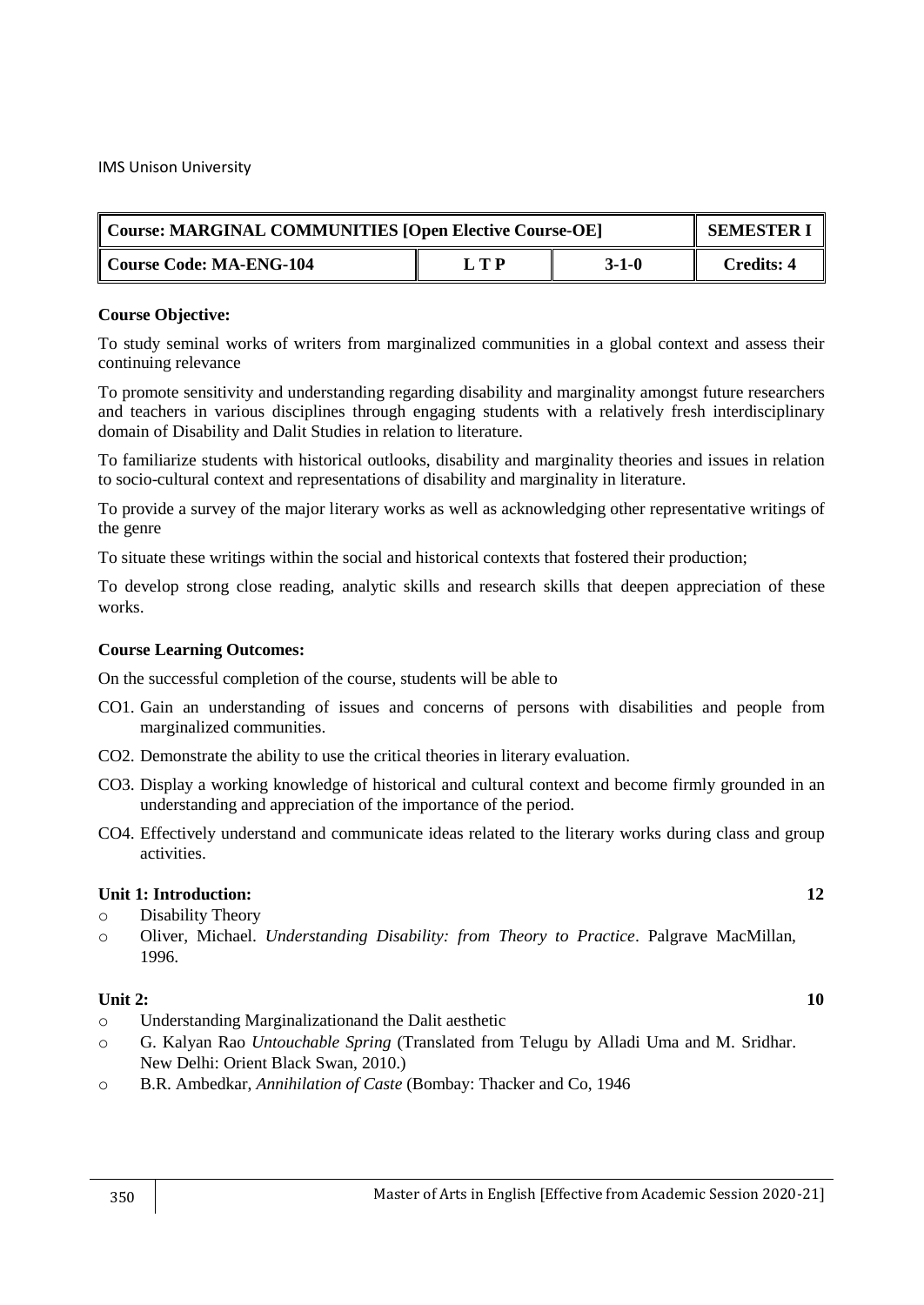| Course: MARGINAL COMMUNITIES [Open Elective Course-OE] |       |       | <b>SEMESTER I</b> |
|--------------------------------------------------------|-------|-------|-------------------|
| Course Code: MA-ENG-104                                | L T P | 3-1-0 | <b>Credits: 4</b> |

To study seminal works of writers from marginalized communities in a global context and assess their continuing relevance

To promote sensitivity and understanding regarding disability and marginality amongst future researchers and teachers in various disciplines through engaging students with a relatively fresh interdisciplinary domain of Disability and Dalit Studies in relation to literature.

To familiarize students with historical outlooks, disability and marginality theories and issues in relation to socio-cultural context and representations of disability and marginality in literature.

To provide a survey of the major literary works as well as acknowledging other representative writings of the genre

To situate these writings within the social and historical contexts that fostered their production;

To develop strong close reading, analytic skills and research skills that deepen appreciation of these works.

#### **Course Learning Outcomes:**

On the successful completion of the course, students will be able to

- CO1. Gain an understanding of issues and concerns of persons with disabilities and people from marginalized communities.
- CO2. Demonstrate the ability to use the critical theories in literary evaluation.
- CO3. Display a working knowledge of historical and cultural context and become firmly grounded in an understanding and appreciation of the importance of the period.
- CO4. Effectively understand and communicate ideas related to the literary works during class and group activities.

#### **Unit 1: Introduction: 12**

- o Disability Theory
- o Oliver, Michael. *Understanding Disability: from Theory to Practice*. Palgrave MacMillan, 1996.

#### **Unit 2: 10**

- o Understanding Marginalizationand the Dalit aesthetic
- o G. Kalyan Rao *Untouchable Spring* (Translated from Telugu by Alladi Uma and M. Sridhar. New Delhi: Orient Black Swan, 2010.)
- o B.R. Ambedkar, *Annihilation of Caste* (Bombay: Thacker and Co, 1946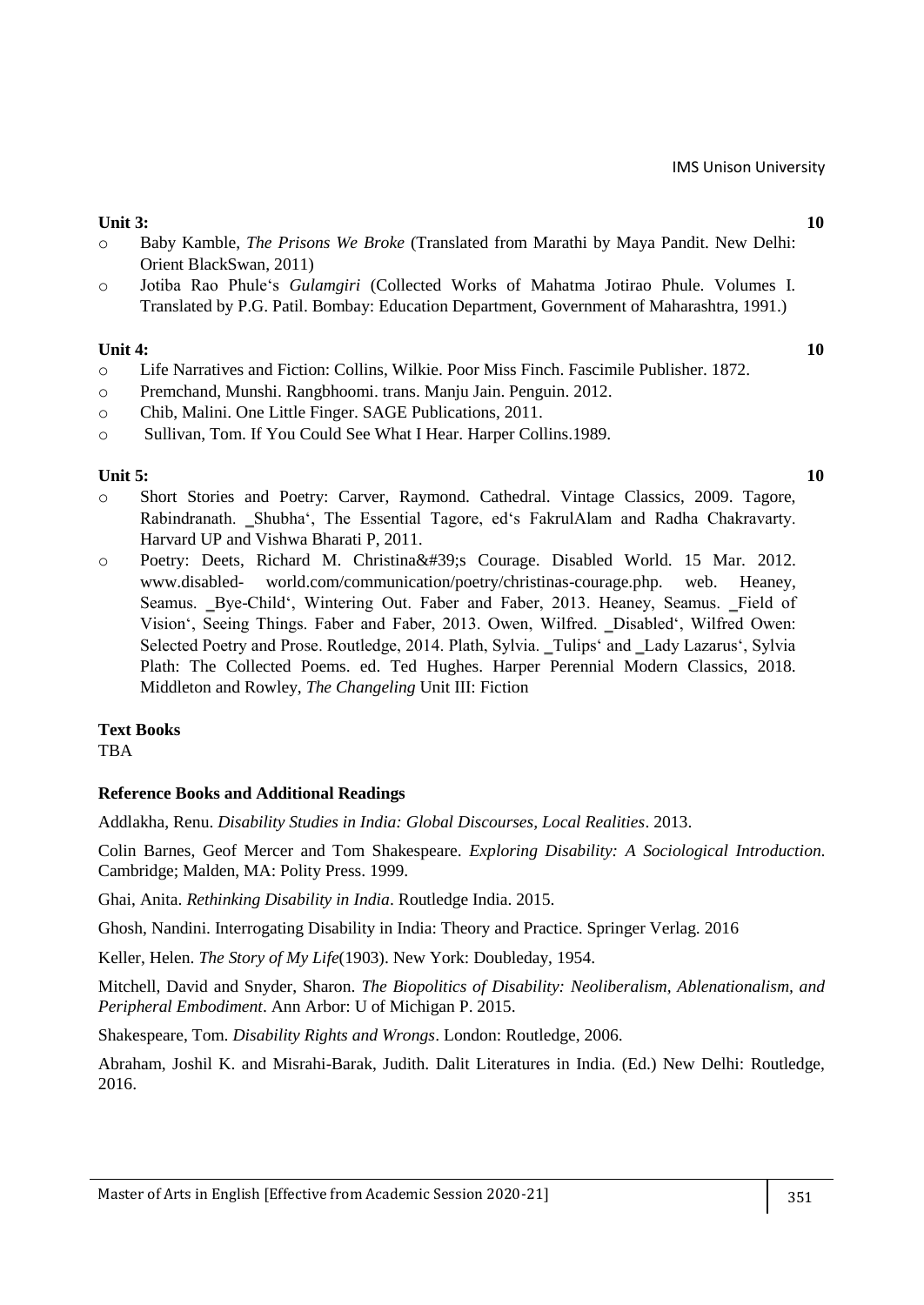## **Unit 3: 10**

- o Baby Kamble, *The Prisons We Broke* (Translated from Marathi by Maya Pandit. New Delhi: Orient BlackSwan, 2011)
- o Jotiba Rao Phule‗s *Gulamgiri* (Collected Works of Mahatma Jotirao Phule. Volumes I. Translated by P.G. Patil. Bombay: Education Department, Government of Maharashtra, 1991.)

## **Unit 4: 10**

- o Life Narratives and Fiction: Collins, Wilkie. Poor Miss Finch. Fascimile Publisher. 1872.
- o Premchand, Munshi. Rangbhoomi. trans. Manju Jain. Penguin. 2012.
- o Chib, Malini. One Little Finger. SAGE Publications, 2011.
- o Sullivan, Tom. If You Could See What I Hear. Harper Collins.1989.

## **Unit 5: 10**

- o Short Stories and Poetry: Carver, Raymond. Cathedral. Vintage Classics, 2009. Tagore, Rabindranath. ‗Shubha‗, The Essential Tagore, ed‗s FakrulAlam and Radha Chakravarty. Harvard UP and Vishwa Bharati P, 2011.
- o Poetry: Deets, Richard M. Christina' Courage. Disabled World. 15 Mar. 2012. www.disabled- world.com/communication/poetry/christinas-courage.php. web. Heaney, Seamus. Bye-Child', Wintering Out. Faber and Faber, 2013. Heaney, Seamus. Field of Vision', Seeing Things. Faber and Faber, 2013. Owen, Wilfred. \_Disabled', Wilfred Owen: Selected Poetry and Prose. Routledge, 2014. Plath, Sylvia. \_Tulips' and \_Lady Lazarus', Sylvia Plath: The Collected Poems. ed. Ted Hughes. Harper Perennial Modern Classics, 2018. Middleton and Rowley, *The Changeling* Unit III: Fiction

## **Text Books**

TBA

## **Reference Books and Additional Readings**

Addlakha, Renu. *Disability Studies in India: Global Discourses, Local Realities*. 2013.

Colin Barnes, Geof Mercer and Tom Shakespeare. *Exploring Disability: A Sociological Introduction*. Cambridge; Malden, MA: Polity Press. 1999.

Ghai, Anita. *Rethinking Disability in India*. Routledge India. 2015.

Ghosh, Nandini. Interrogating Disability in India: Theory and Practice. Springer Verlag. 2016

Keller, Helen. *The Story of My Life*(1903). New York: Doubleday, 1954.

Mitchell, David and Snyder, Sharon. *The Biopolitics of Disability: Neoliberalism, Ablenationalism, and Peripheral Embodiment*. Ann Arbor: U of Michigan P. 2015.

Shakespeare, Tom. *Disability Rights and Wrongs*. London: Routledge, 2006.

Abraham, Joshil K. and Misrahi-Barak, Judith. Dalit Literatures in India. (Ed.) New Delhi: Routledge, 2016.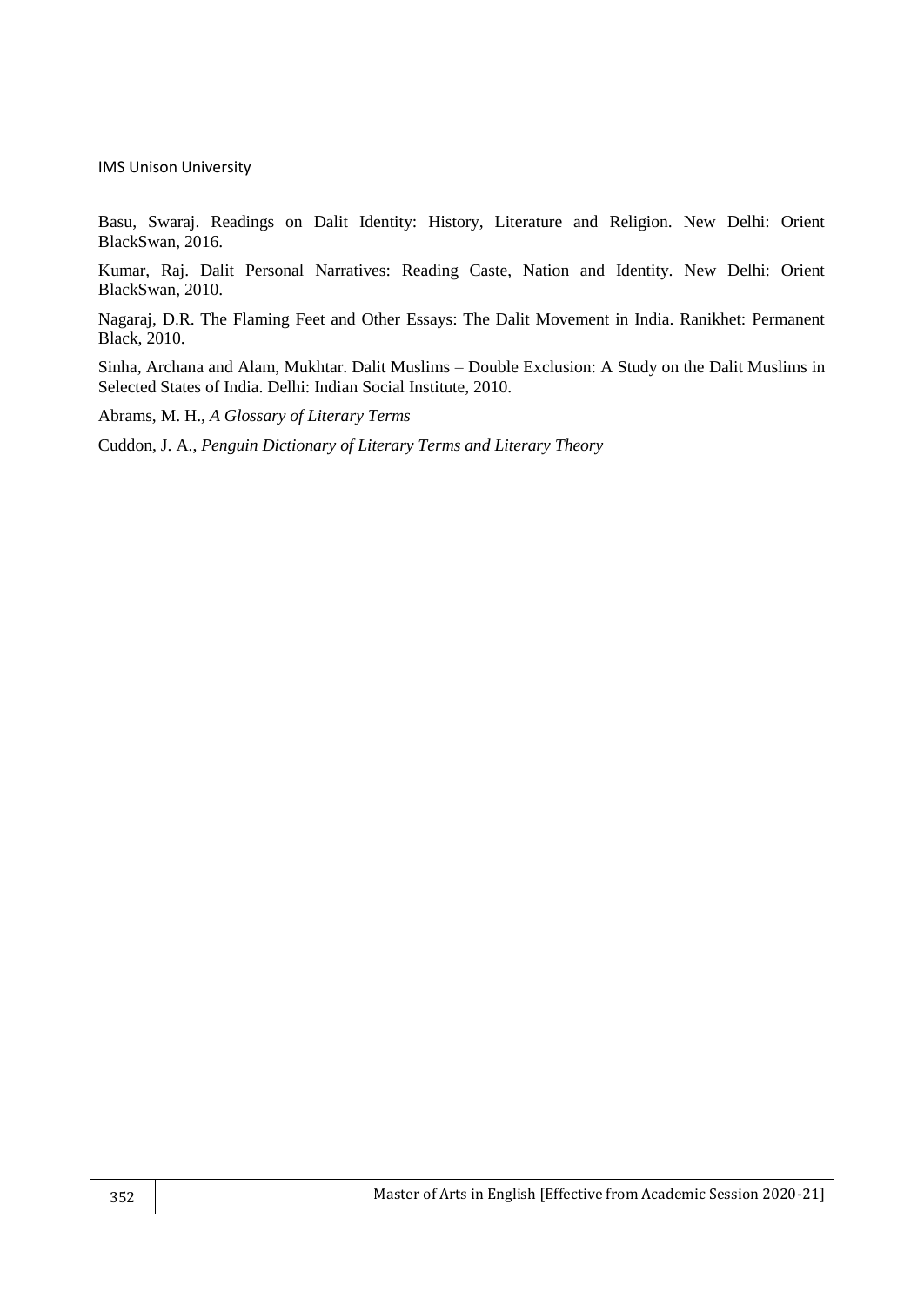Basu, Swaraj. Readings on Dalit Identity: History, Literature and Religion. New Delhi: Orient BlackSwan, 2016.

Kumar, Raj. Dalit Personal Narratives: Reading Caste, Nation and Identity. New Delhi: Orient BlackSwan, 2010.

Nagaraj, D.R. The Flaming Feet and Other Essays: The Dalit Movement in India. Ranikhet: Permanent Black, 2010.

Sinha, Archana and Alam, Mukhtar. Dalit Muslims – Double Exclusion: A Study on the Dalit Muslims in Selected States of India. Delhi: Indian Social Institute, 2010.

Abrams, M. H., *A Glossary of Literary Terms*

Cuddon, J. A., *Penguin Dictionary of Literary Terms and Literary Theory*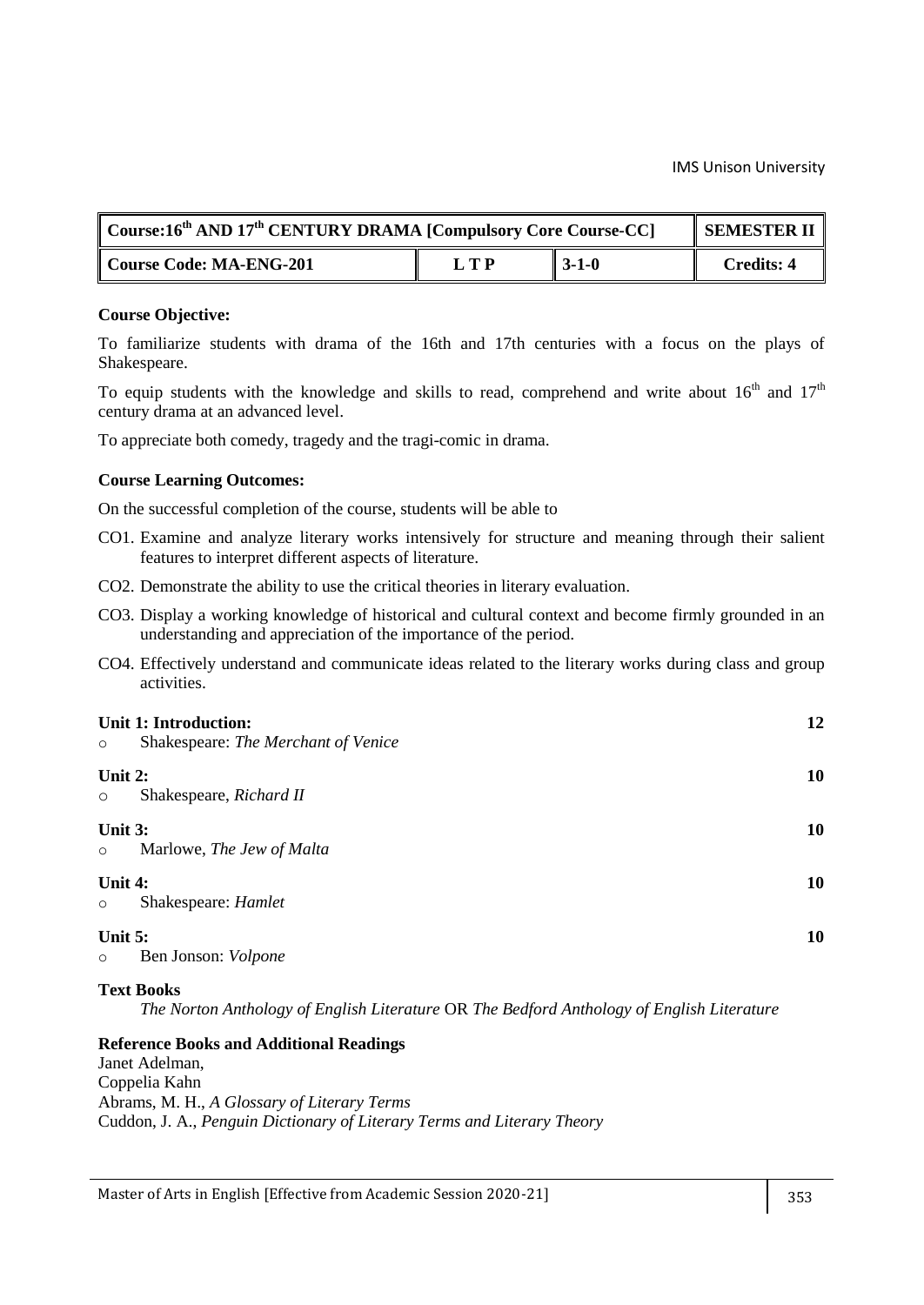| $\mathbb C$ Course:16 <sup>th</sup> AND 17 <sup>th</sup> CENTURY DRAMA [Compulsory Core Course-CC] |     |          | <b>SEMESTER II</b> |
|----------------------------------------------------------------------------------------------------|-----|----------|--------------------|
| Course Code: MA-ENG-201                                                                            | LTP | $-3-1-0$ | <b>Credits: 4</b>  |

#### **Course Objective:**

To familiarize students with drama of the 16th and 17th centuries with a focus on the plays of Shakespeare.

To equip students with the knowledge and skills to read, comprehend and write about  $16<sup>th</sup>$  and  $17<sup>th</sup>$ century drama at an advanced level.

To appreciate both comedy, tragedy and the tragi-comic in drama.

#### **Course Learning Outcomes:**

On the successful completion of the course, students will be able to

- CO1. Examine and analyze literary works intensively for structure and meaning through their salient features to interpret different aspects of literature.
- CO2. Demonstrate the ability to use the critical theories in literary evaluation.
- CO3. Display a working knowledge of historical and cultural context and become firmly grounded in an understanding and appreciation of the importance of the period.
- CO4. Effectively understand and communicate ideas related to the literary works during class and group activities.

| $\circ$            | Unit 1: Introduction:<br>Shakespeare: The Merchant of Venice | 12 |
|--------------------|--------------------------------------------------------------|----|
| Unit 2:<br>$\circ$ | Shakespeare, Richard II                                      | 10 |
| Unit 3:<br>$\circ$ | Marlowe, The Jew of Malta                                    | 10 |
| Unit 4:<br>$\circ$ | Shakespeare: Hamlet                                          | 10 |
| Unit 5:<br>$\circ$ | Ben Jonson: Volpone                                          | 10 |

#### **Text Books**

*The Norton Anthology of English Literature* OR *The Bedford Anthology of English Literature*

#### **Reference Books and Additional Readings**

Janet Adelman, Coppelia Kahn Abrams, M. H., *A Glossary of Literary Terms* Cuddon, J. A., *Penguin Dictionary of Literary Terms and Literary Theory*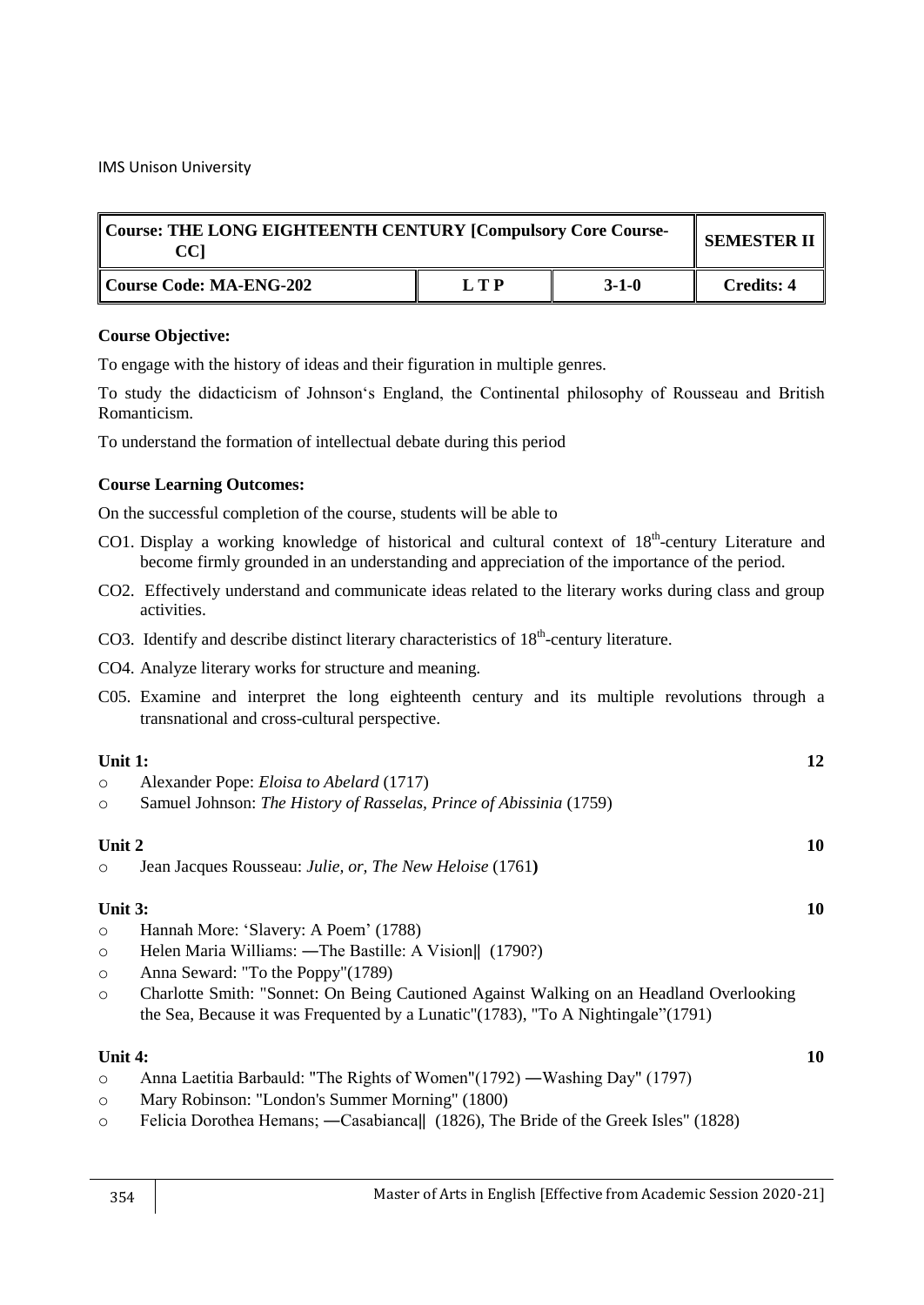| Course: THE LONG EIGHTEENTH CENTURY [Compulsory Core Course-<br>CCI |     |         | <b>SEMESTER II</b> |
|---------------------------------------------------------------------|-----|---------|--------------------|
| Course Code: MA-ENG-202                                             | LTP | $3-1-0$ | Credits: 4         |

## **Course Objective:**

To engage with the history of ideas and their figuration in multiple genres.

To study the didacticism of Johnson's England, the Continental philosophy of Rousseau and British Romanticism.

To understand the formation of intellectual debate during this period

## **Course Learning Outcomes:**

On the successful completion of the course, students will be able to

- CO1. Display a working knowledge of historical and cultural context of 18<sup>th</sup>-century Literature and become firmly grounded in an understanding and appreciation of the importance of the period.
- CO2. Effectively understand and communicate ideas related to the literary works during class and group activities.
- CO3. Identify and describe distinct literary characteristics of  $18<sup>th</sup>$ -century literature.
- CO4. Analyze literary works for structure and meaning.
- C05. Examine and interpret the long eighteenth century and its multiple revolutions through a transnational and cross-cultural perspective.

## **Unit 1:** 12

- o Alexander Pope: *Eloisa to Abelard* (1717)
- o Samuel Johnson: *The History of Rasselas, Prince of Abissinia* (1759)

## **Unit 2 10**

o Jean Jacques Rousseau: *Julie, or, The New Heloise* (1761**)**

## **Unit 3: 10**

- o Hannah More: ‗Slavery: A Poem' (1788)
- o Helen Maria Williams: ―The Bastille: A Vision‖ (1790?)
- o Anna Seward: "To the Poppy"(1789)
- o Charlotte Smith: "Sonnet: On Being Cautioned Against Walking on an Headland Overlooking the Sea, Because it was Frequented by a Lunatic" $(1783)$ , "To A Nightingale" $(1791)$

## **Unit 4: 10**

- o Anna Laetitia Barbauld: "The Rights of Women"(1792) ―Washing Day" (1797)
- o Mary Robinson: "London's Summer Morning" (1800)
- o Felicia Dorothea Hemans; ―Casabianca‖ (1826), The Bride of the Greek Isles" (1828)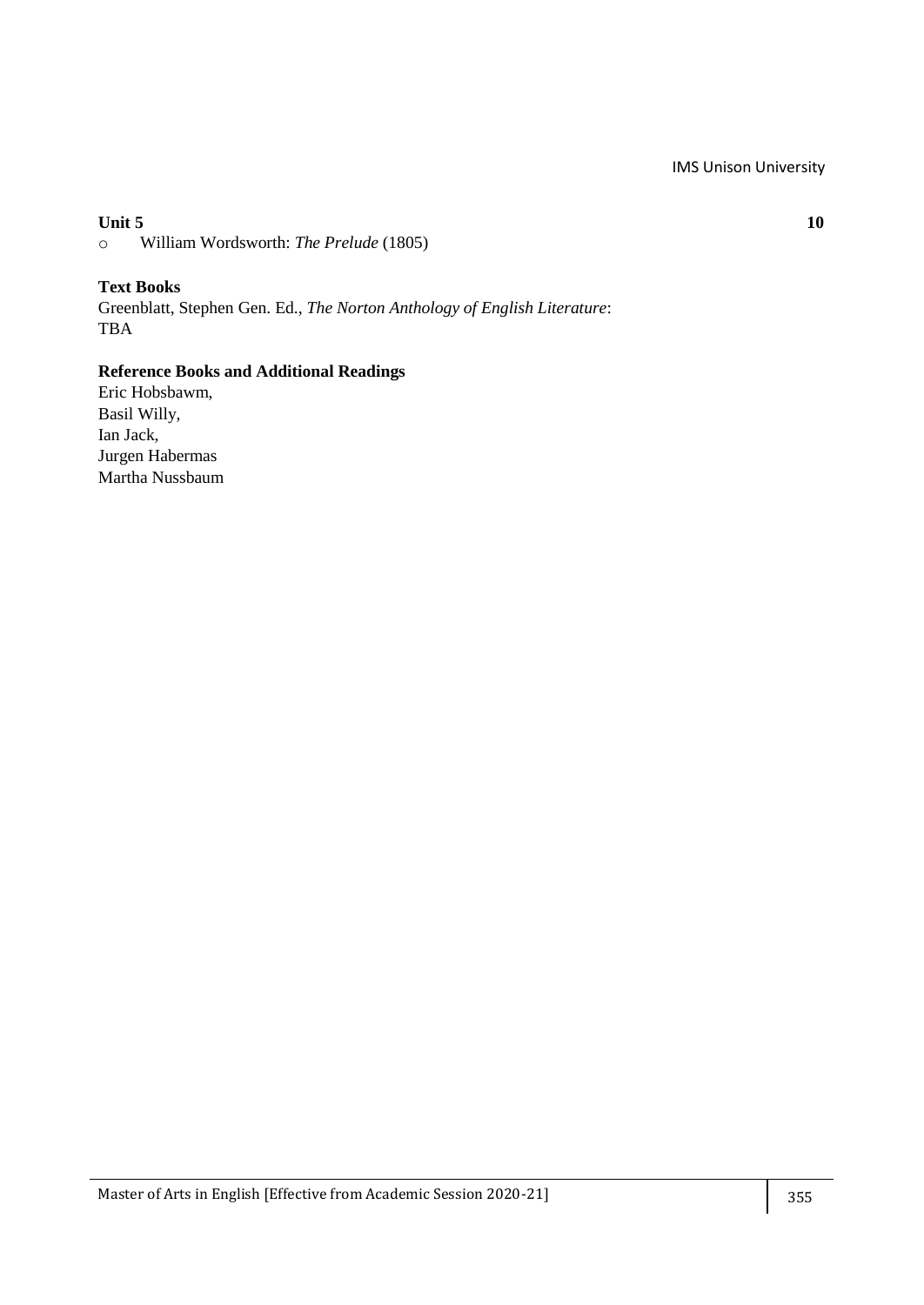## **Unit 5 10**

o William Wordsworth: *The Prelude* (1805)

**Text Books** Greenblatt, Stephen Gen. Ed., *The Norton Anthology of English Literature*: TBA

## **Reference Books and Additional Readings**

Eric Hobsbawm, Basil Willy, Ian Jack, Jurgen Habermas Martha Nussbaum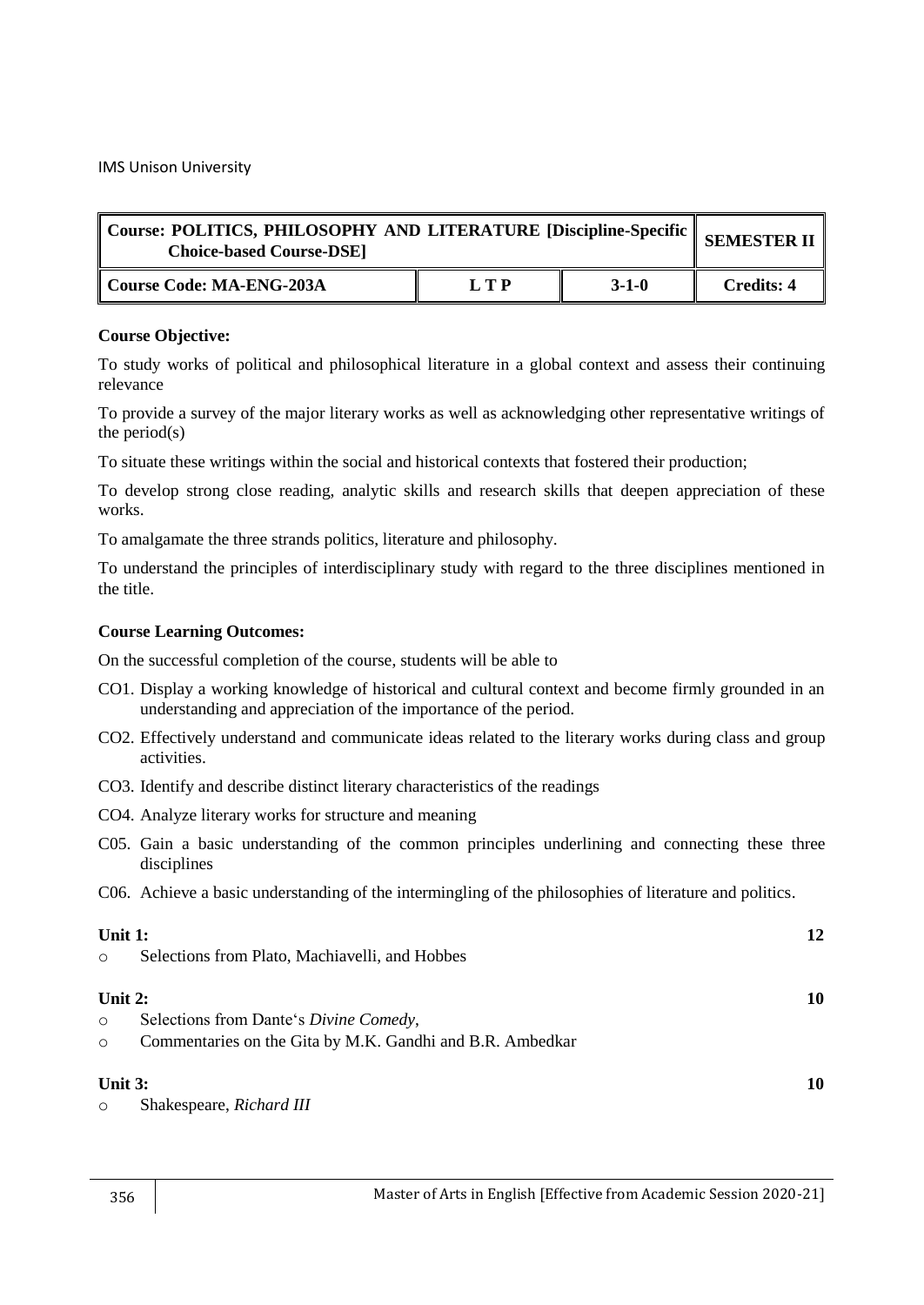| $\sqrt{2}$ Course: POLITICS, PHILOSOPHY AND LITERATURE [Discipline-Specific $\parallel$ SEMESTER II $\parallel$<br><b>Choice-based Course-DSE]</b> |       |             |                   |
|----------------------------------------------------------------------------------------------------------------------------------------------------|-------|-------------|-------------------|
| Course Code: MA-ENG-203A                                                                                                                           | L T P | $3 - 1 - 0$ | <b>Credits: 4</b> |

To study works of political and philosophical literature in a global context and assess their continuing relevance

To provide a survey of the major literary works as well as acknowledging other representative writings of the period $(s)$ 

To situate these writings within the social and historical contexts that fostered their production;

To develop strong close reading, analytic skills and research skills that deepen appreciation of these works.

To amalgamate the three strands politics, literature and philosophy.

To understand the principles of interdisciplinary study with regard to the three disciplines mentioned in the title.

## **Course Learning Outcomes:**

- CO1. Display a working knowledge of historical and cultural context and become firmly grounded in an understanding and appreciation of the importance of the period.
- CO2. Effectively understand and communicate ideas related to the literary works during class and group activities.
- CO3. Identify and describe distinct literary characteristics of the readings
- CO4. Analyze literary works for structure and meaning
- C05. Gain a basic understanding of the common principles underlining and connecting these three disciplines
- C06. Achieve a basic understanding of the intermingling of the philosophies of literature and politics.

| Unit 1:<br>$\circ$ | Selections from Plato, Machiavelli, and Hobbes            | 12 |
|--------------------|-----------------------------------------------------------|----|
| Unit 2:<br>$\circ$ | Selections from Dante's Divine Comedy,                    | 10 |
| $\circ$            | Commentaries on the Gita by M.K. Gandhi and B.R. Ambedkar |    |
| Unit $3:$          |                                                           | 10 |
| $\circ$            | Shakespeare, Richard III                                  |    |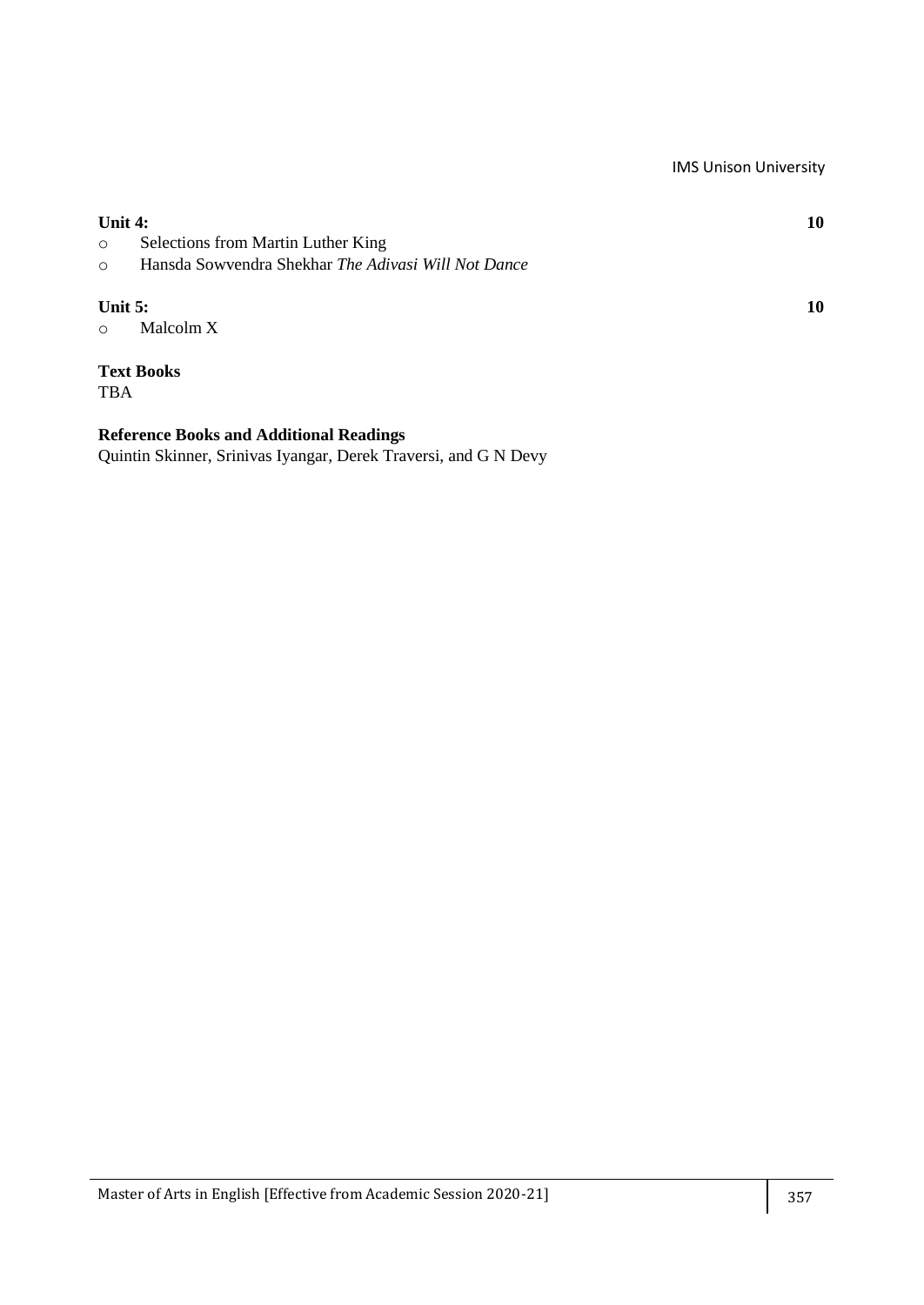| Unit 4:                 |                                                     | 10 |
|-------------------------|-----------------------------------------------------|----|
| $\circ$                 | Selections from Martin Luther King                  |    |
| $\circ$                 | Hansda Sowyendra Shekhar The Adivasi Will Not Dance |    |
| Unit $5:$<br>$\bigcirc$ | Malcolm X                                           | 10 |
|                         | <b>Text Books</b>                                   |    |

## **Reference Books and Additional Readings**

TBA

Quintin Skinner, Srinivas Iyangar, Derek Traversi, and G N Devy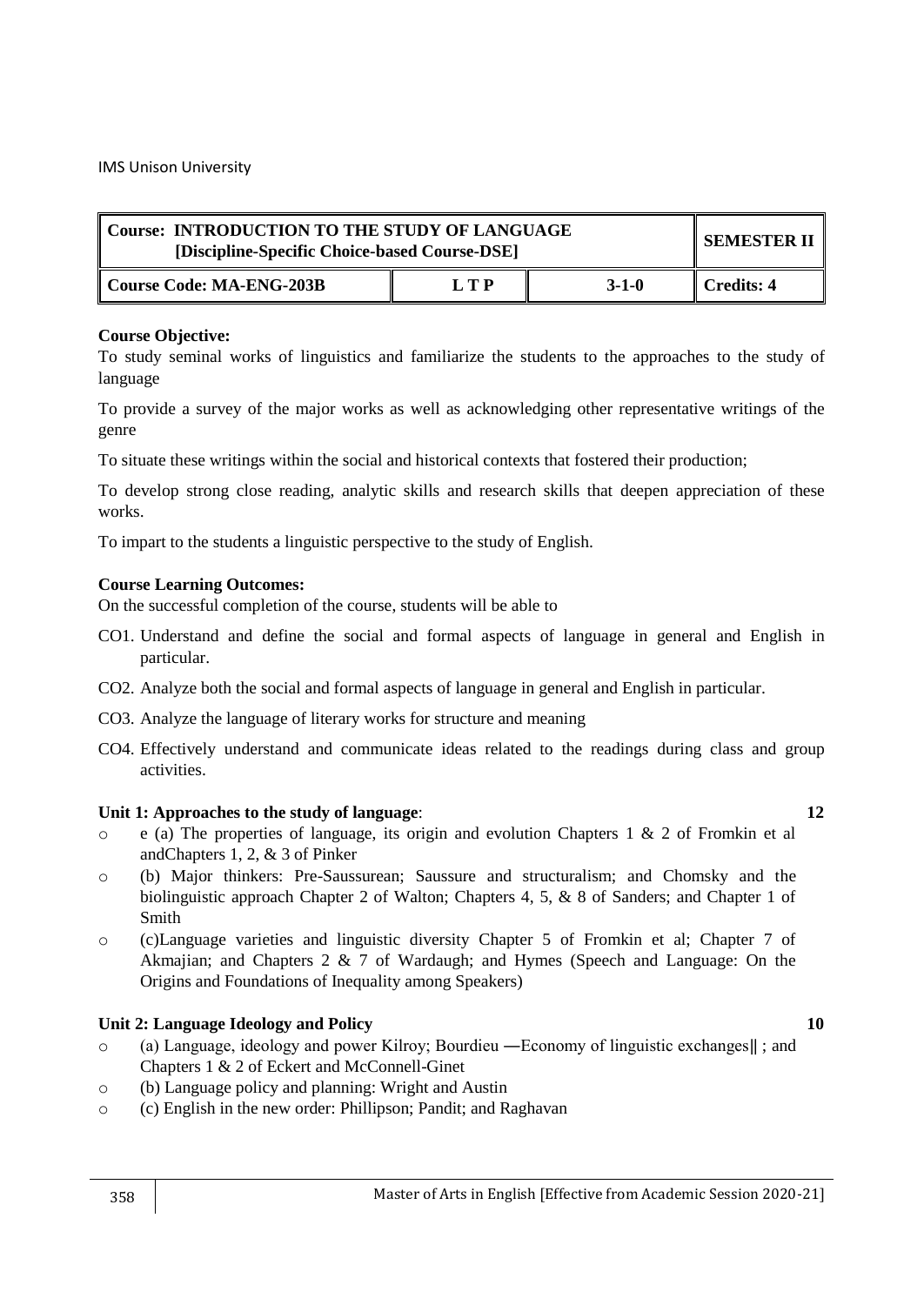| Course: INTRODUCTION TO THE STUDY OF LANGUAGE<br>[Discipline-Specific Choice-based Course-DSE] | SEMESTER II |         |            |
|------------------------------------------------------------------------------------------------|-------------|---------|------------|
| Course Code: MA-ENG-203B                                                                       | LTP         | $3-1-0$ | Credits: 4 |

To study seminal works of linguistics and familiarize the students to the approaches to the study of language

To provide a survey of the major works as well as acknowledging other representative writings of the genre

To situate these writings within the social and historical contexts that fostered their production;

To develop strong close reading, analytic skills and research skills that deepen appreciation of these works.

To impart to the students a linguistic perspective to the study of English.

## **Course Learning Outcomes:**

On the successful completion of the course, students will be able to

- CO1. Understand and define the social and formal aspects of language in general and English in particular.
- CO2. Analyze both the social and formal aspects of language in general and English in particular.
- CO3. Analyze the language of literary works for structure and meaning
- CO4. Effectively understand and communicate ideas related to the readings during class and group activities.

## **Unit 1: Approaches to the study of language**: **12**

- $\circ$  e (a) The properties of language, its origin and evolution Chapters 1 & 2 of Fromkin et al andChapters 1, 2, & 3 of Pinker
- o (b) Major thinkers: Pre-Saussurean; Saussure and structuralism; and Chomsky and the biolinguistic approach Chapter 2 of Walton; Chapters 4, 5, & 8 of Sanders; and Chapter 1 of Smith
- o (c)Language varieties and linguistic diversity Chapter 5 of Fromkin et al; Chapter 7 of Akmajian; and Chapters 2 & 7 of Wardaugh; and Hymes (Speech and Language: On the Origins and Foundations of Inequality among Speakers)

## **Unit 2: Language Ideology and Policy 10**

- o (a) Language, ideology and power Kilroy; Bourdieu ―Economy of linguistic exchanges‖ ; and Chapters 1 & 2 of Eckert and McConnell-Ginet
- o (b) Language policy and planning: Wright and Austin
- o (c) English in the new order: Phillipson; Pandit; and Raghavan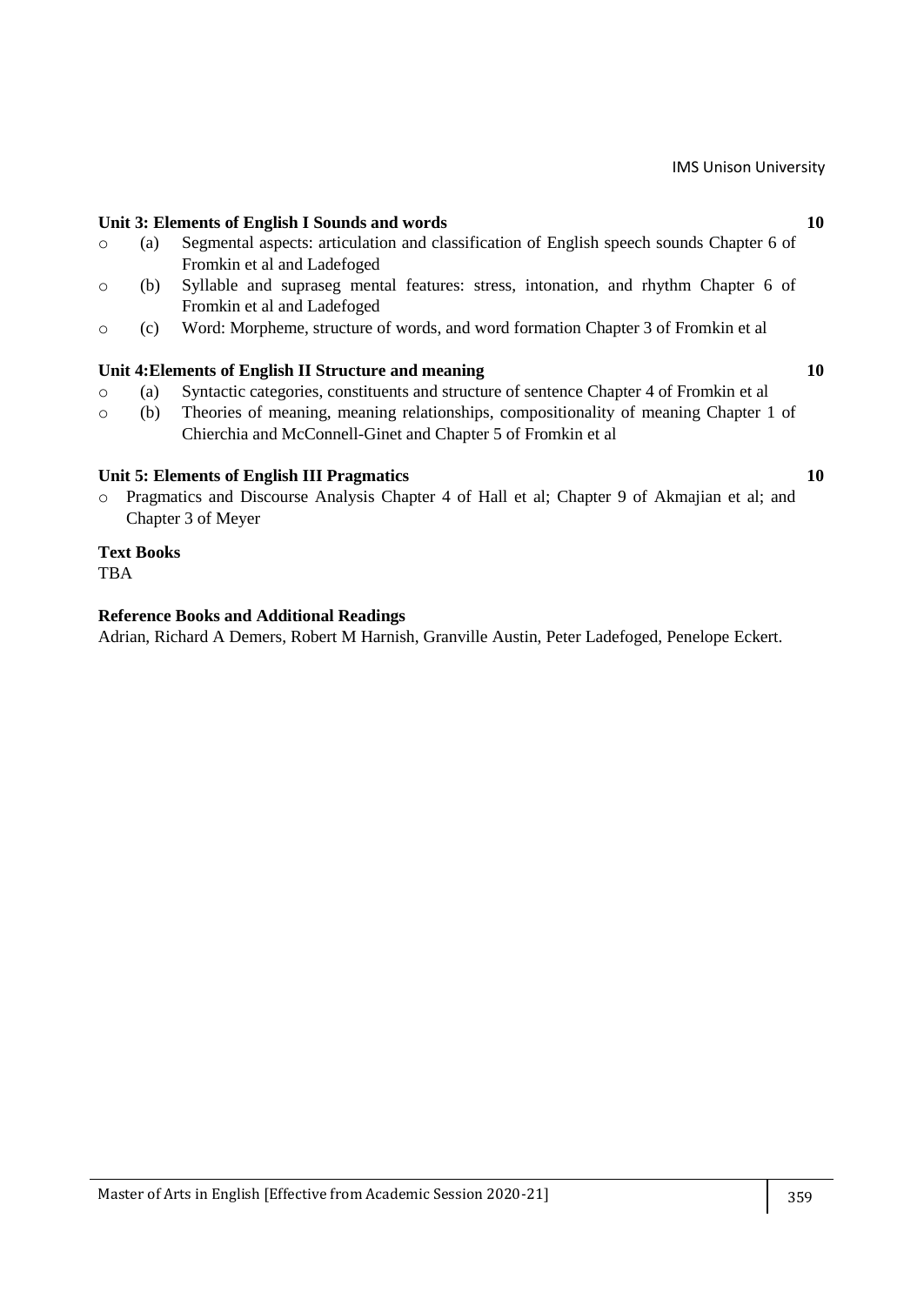## **Unit 3: Elements of English I Sounds and words 10**

- o (a) Segmental aspects: articulation and classification of English speech sounds Chapter 6 of Fromkin et al and Ladefoged
- o (b) Syllable and supraseg mental features: stress, intonation, and rhythm Chapter 6 of Fromkin et al and Ladefoged
- o (c) Word: Morpheme, structure of words, and word formation Chapter 3 of Fromkin et al

#### **Unit 4:Elements of English II Structure and meaning 10**

- o (a) Syntactic categories, constituents and structure of sentence Chapter 4 of Fromkin et al
- o (b) Theories of meaning, meaning relationships, compositionality of meaning Chapter 1 of Chierchia and McConnell-Ginet and Chapter 5 of Fromkin et al

#### **Unit 5: Elements of English III Pragmatics 10**

o Pragmatics and Discourse Analysis Chapter 4 of Hall et al; Chapter 9 of Akmajian et al; and Chapter 3 of Meyer

#### **Text Books**

**TBA** 

#### **Reference Books and Additional Readings**

Adrian, Richard A Demers, Robert M Harnish, Granville Austin, Peter Ladefoged, Penelope Eckert.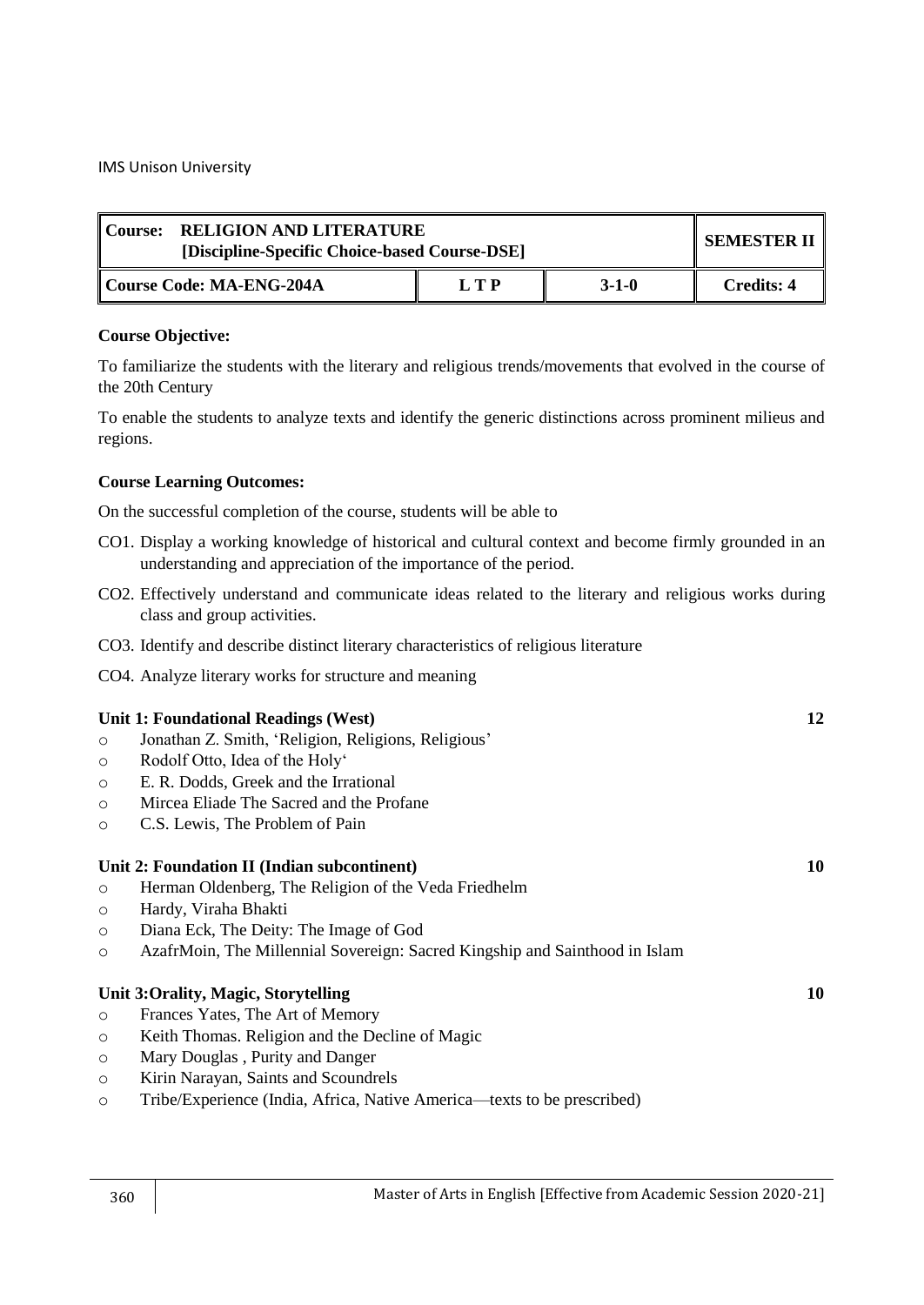| <b>RELIGION AND LITERATURE</b><br>ll Course:<br>[Discipline-Specific Choice-based Course-DSE] |     |             | SEMESTER II       |
|-----------------------------------------------------------------------------------------------|-----|-------------|-------------------|
| Course Code: MA-ENG-204A                                                                      | LTP | $3 - 1 - 0$ | <b>Credits: 4</b> |

## **Course Objective:**

To familiarize the students with the literary and religious trends/movements that evolved in the course of the 20th Century

To enable the students to analyze texts and identify the generic distinctions across prominent milieus and regions.

## **Course Learning Outcomes:**

- CO1. Display a working knowledge of historical and cultural context and become firmly grounded in an understanding and appreciation of the importance of the period.
- CO2. Effectively understand and communicate ideas related to the literary and religious works during class and group activities.
- CO3. Identify and describe distinct literary characteristics of religious literature
- CO4. Analyze literary works for structure and meaning

|         | Unit 1: Foundational Readings (West)                                        | 12 |
|---------|-----------------------------------------------------------------------------|----|
| $\circ$ | Jonathan Z. Smith, 'Religion, Religions, Religious'                         |    |
| $\circ$ | Rodolf Otto, Idea of the Holy'                                              |    |
| $\circ$ | E. R. Dodds, Greek and the Irrational                                       |    |
| $\circ$ | Mircea Eliade The Sacred and the Profane                                    |    |
| $\circ$ | C.S. Lewis, The Problem of Pain                                             |    |
|         |                                                                             |    |
|         | Unit 2: Foundation II (Indian subcontinent)                                 | 10 |
| $\circ$ | Herman Oldenberg, The Religion of the Veda Friedhelm                        |    |
| $\circ$ | Hardy, Viraha Bhakti                                                        |    |
| $\circ$ | Diana Eck, The Deity: The Image of God                                      |    |
| $\circ$ | AzafrMoin, The Millennial Sovereign: Sacred Kingship and Sainthood in Islam |    |
|         |                                                                             |    |
|         | Unit 3: Orality, Magic, Storytelling                                        | 10 |
| $\circ$ | Frances Yates, The Art of Memory                                            |    |
| $\circ$ | Keith Thomas. Religion and the Decline of Magic                             |    |
| $\circ$ | Mary Douglas, Purity and Danger                                             |    |
| $\circ$ | Kirin Narayan, Saints and Scoundrels                                        |    |
| $\circ$ | Tribe/Experience (India, Africa, Native America—texts to be prescribed)     |    |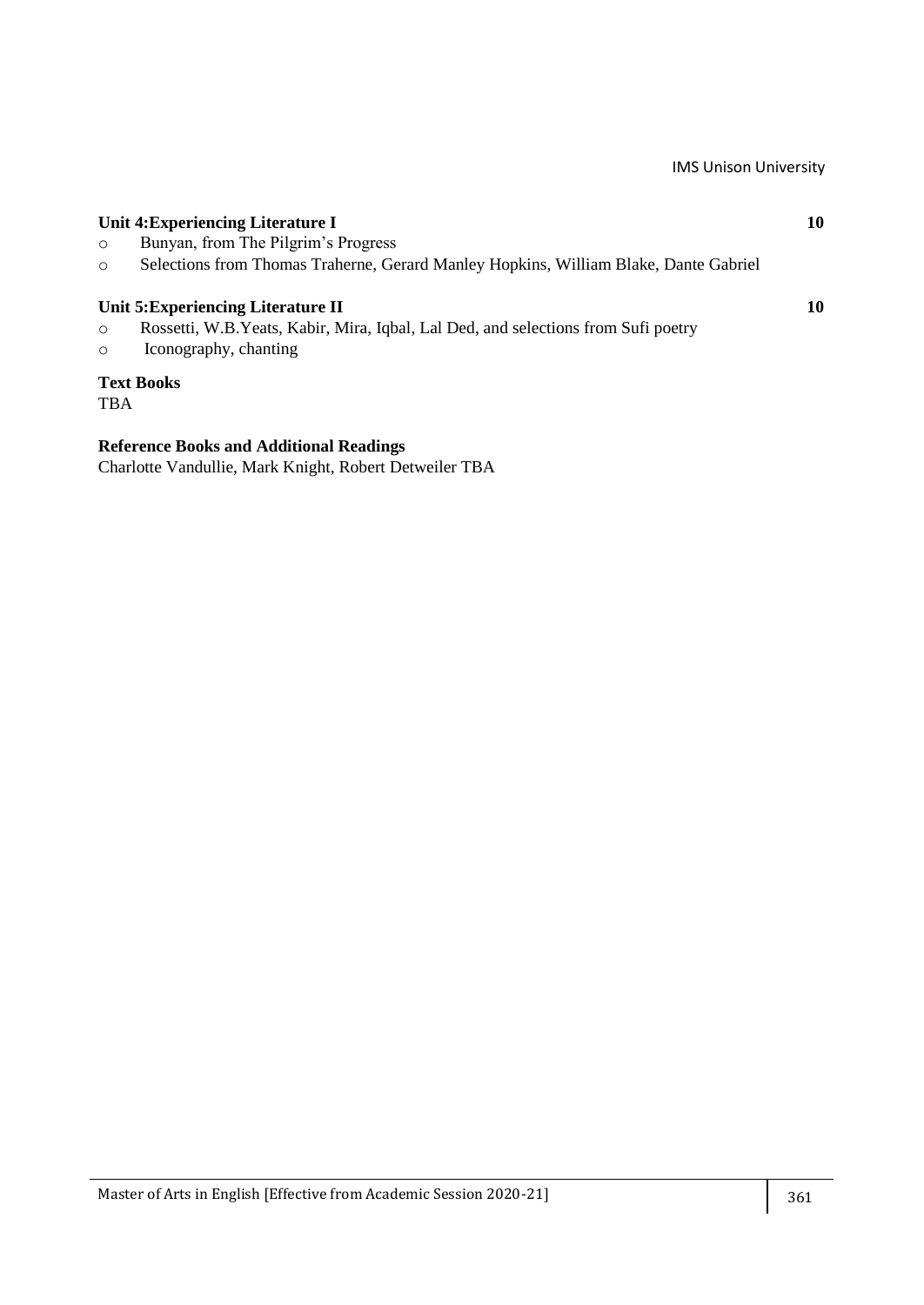| $\circ$<br>$\circ$ | Unit 4: Experiencing Literature I<br>Bunyan, from The Pilgrim's Progress<br>Selections from Thomas Traherne, Gerard Manley Hopkins, William Blake, Dante Gabriel | 10 |
|--------------------|------------------------------------------------------------------------------------------------------------------------------------------------------------------|----|
| $\circ$<br>$\circ$ | Unit 5: Experiencing Literature II<br>Rossetti, W.B. Yeats, Kabir, Mira, Iqbal, Lal Ded, and selections from Sufi poetry<br>Iconography, chanting                | 10 |
|                    | <b>Text Books</b>                                                                                                                                                |    |

TBA

## **Reference Books and Additional Readings**

Charlotte Vandullie, Mark Knight, Robert Detweiler TBA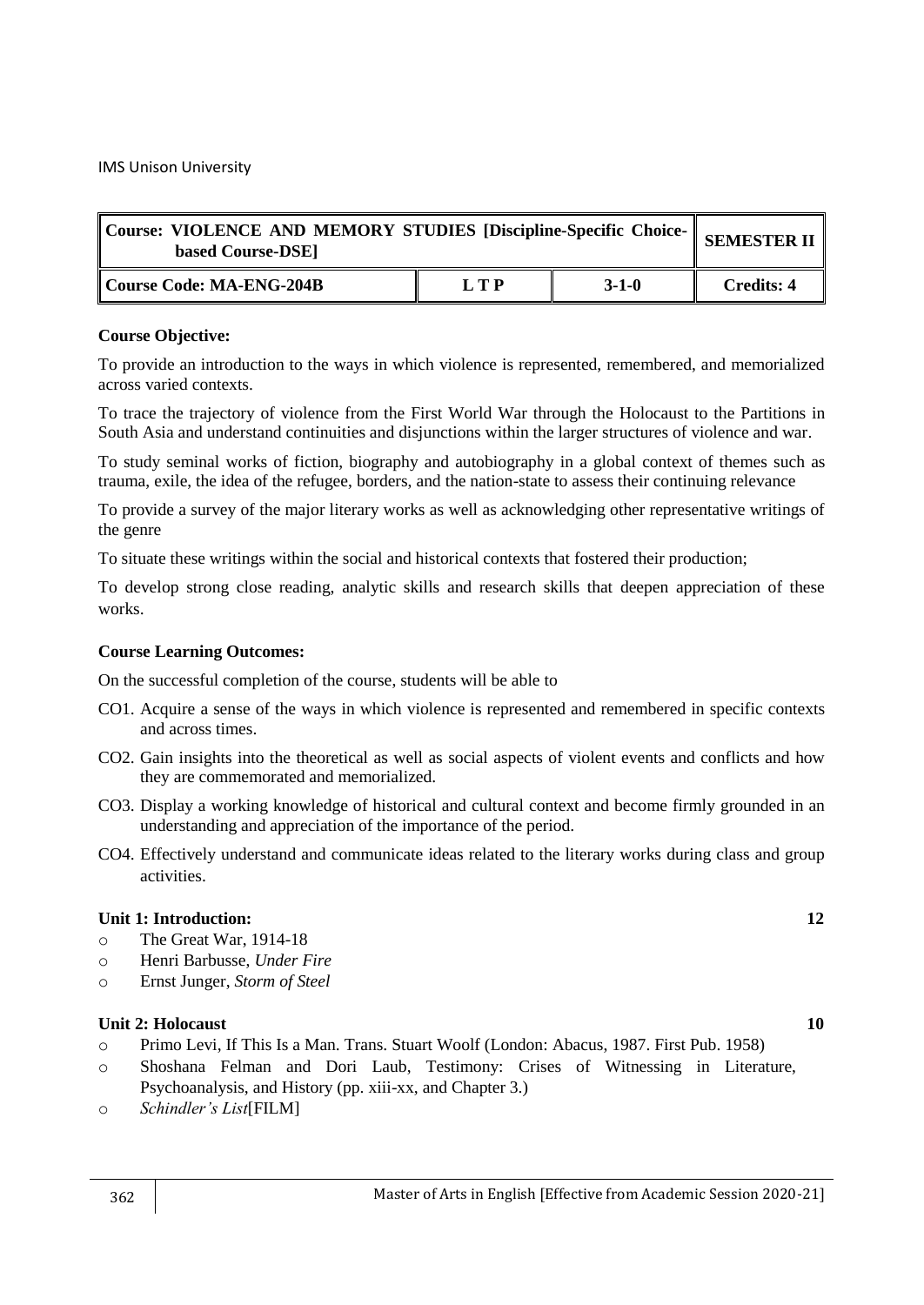| Course: VIOLENCE AND MEMORY STUDIES [Discipline-Specific Choice- SEMESTER II  <br>based Course-DSE] |     |             |                   |
|-----------------------------------------------------------------------------------------------------|-----|-------------|-------------------|
| Course Code: MA-ENG-204B                                                                            | LTP | $3 - 1 - 0$ | <b>Credits: 4</b> |

To provide an introduction to the ways in which violence is represented, remembered, and memorialized across varied contexts.

To trace the trajectory of violence from the First World War through the Holocaust to the Partitions in South Asia and understand continuities and disjunctions within the larger structures of violence and war.

To study seminal works of fiction, biography and autobiography in a global context of themes such as trauma, exile, the idea of the refugee, borders, and the nation-state to assess their continuing relevance

To provide a survey of the major literary works as well as acknowledging other representative writings of the genre

To situate these writings within the social and historical contexts that fostered their production;

To develop strong close reading, analytic skills and research skills that deepen appreciation of these works.

#### **Course Learning Outcomes:**

On the successful completion of the course, students will be able to

- CO1. Acquire a sense of the ways in which violence is represented and remembered in specific contexts and across times.
- CO2. Gain insights into the theoretical as well as social aspects of violent events and conflicts and how they are commemorated and memorialized.
- CO3. Display a working knowledge of historical and cultural context and become firmly grounded in an understanding and appreciation of the importance of the period.
- CO4. Effectively understand and communicate ideas related to the literary works during class and group activities.

## **Unit 1: Introduction: 12**

- o The Great War, 1914-18
- o Henri Barbusse, *Under Fire*
- o Ernst Junger, *Storm of Steel*

#### **Unit 2: Holocaust 10**

- o Primo Levi, If This Is a Man. Trans. Stuart Woolf (London: Abacus, 1987. First Pub. 1958)
- o Shoshana Felman and Dori Laub, Testimony: Crises of Witnessing in Literature, Psychoanalysis, and History (pp. xiii-xx, and Chapter 3.)
- o *Schindler's List*[FILM]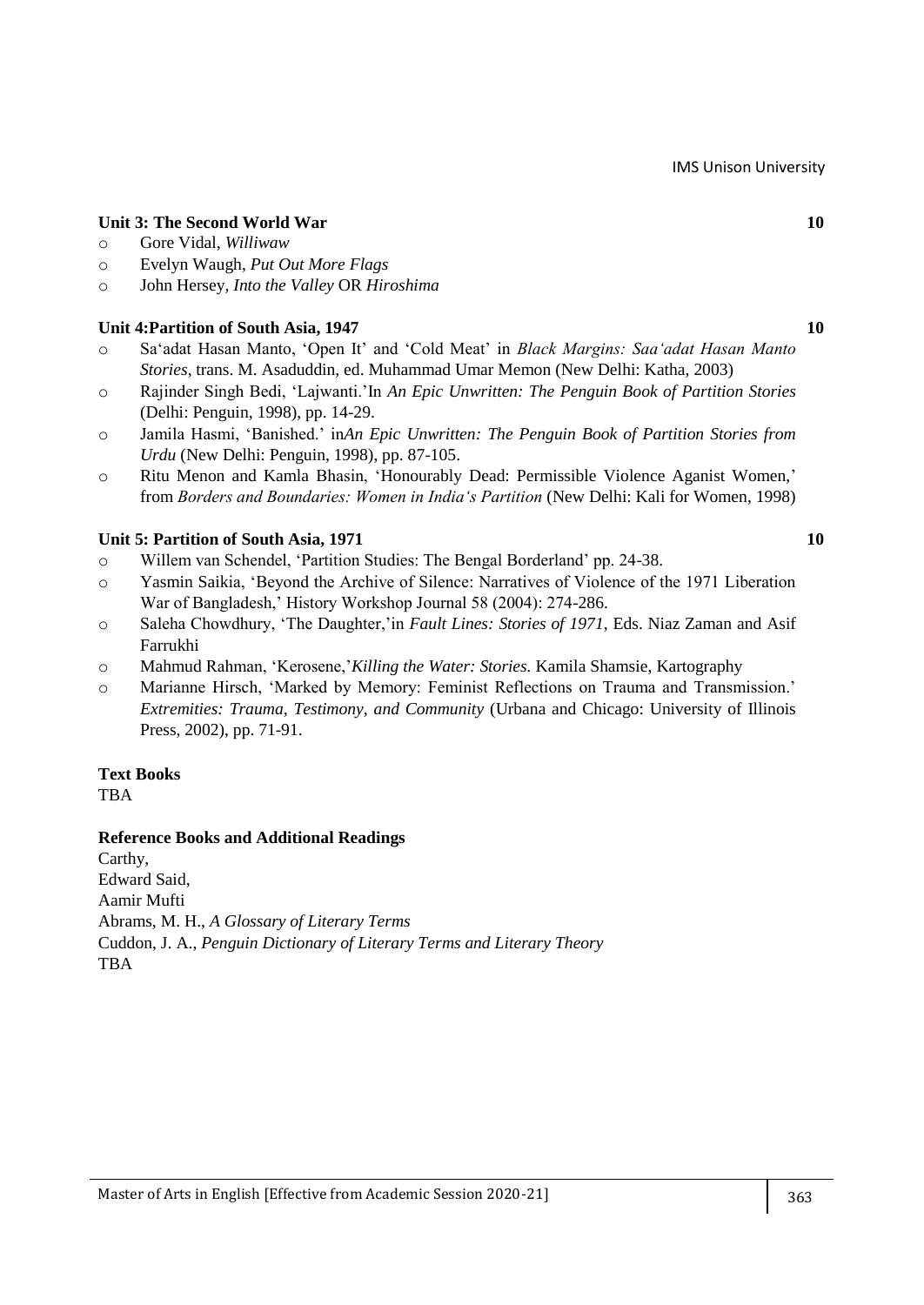## **Unit 3: The Second World War 10**

#### o Gore Vidal, *Williwaw*

- o Evelyn Waugh, *Put Out More Flags*
- o John Hersey*, Into the Valley* OR *Hiroshima*

## **Unit 4:Partition of South Asia, 1947 10**

- o Sa‗adat Hasan Manto, ‗Open It' and ‗Cold Meat' in *Black Margins: Saa'adat Hasan Manto Stories*, trans. M. Asaduddin, ed. Muhammad Umar Memon (New Delhi: Katha, 2003)
- o Rajinder Singh Bedi, ‗Lajwanti.'In *An Epic Unwritten: The Penguin Book of Partition Stories* (Delhi: Penguin, 1998), pp. 14-29.
- o Jamila Hasmi, ‗Banished.' in*An Epic Unwritten: The Penguin Book of Partition Stories from Urdu* (New Delhi: Penguin, 1998), pp. 87-105.
- o Ritu Menon and Kamla Bhasin, ‗Honourably Dead: Permissible Violence Aganist Women,' from *Borders and Boundaries: Women in India's Partition* (New Delhi: Kali for Women, 1998)

#### **Unit 5: Partition of South Asia, 1971** 10

- o Willem van Schendel, ‗Partition Studies: The Bengal Borderland' pp. 24-38.
- o Yasmin Saikia, ‗Beyond the Archive of Silence: Narratives of Violence of the 1971 Liberation War of Bangladesh,' History Workshop Journal 58 (2004): 274-286.
- o Saleha Chowdhury, ‗The Daughter,'in *Fault Lines: Stories of 1971*, Eds. Niaz Zaman and Asif Farrukhi
- o Mahmud Rahman, ‗Kerosene,'*Killing the Water: Stories.* Kamila Shamsie, Kartography
- o Marianne Hirsch, ‗Marked by Memory: Feminist Reflections on Trauma and Transmission.' *Extremities: Trauma, Testimony, and Community* (Urbana and Chicago: University of Illinois Press, 2002), pp. 71-91.

## **Text Books**

TBA

#### **Reference Books and Additional Readings**

Carthy, Edward Said, Aamir Mufti Abrams, M. H., *A Glossary of Literary Terms* Cuddon, J. A., *Penguin Dictionary of Literary Terms and Literary Theory* TBA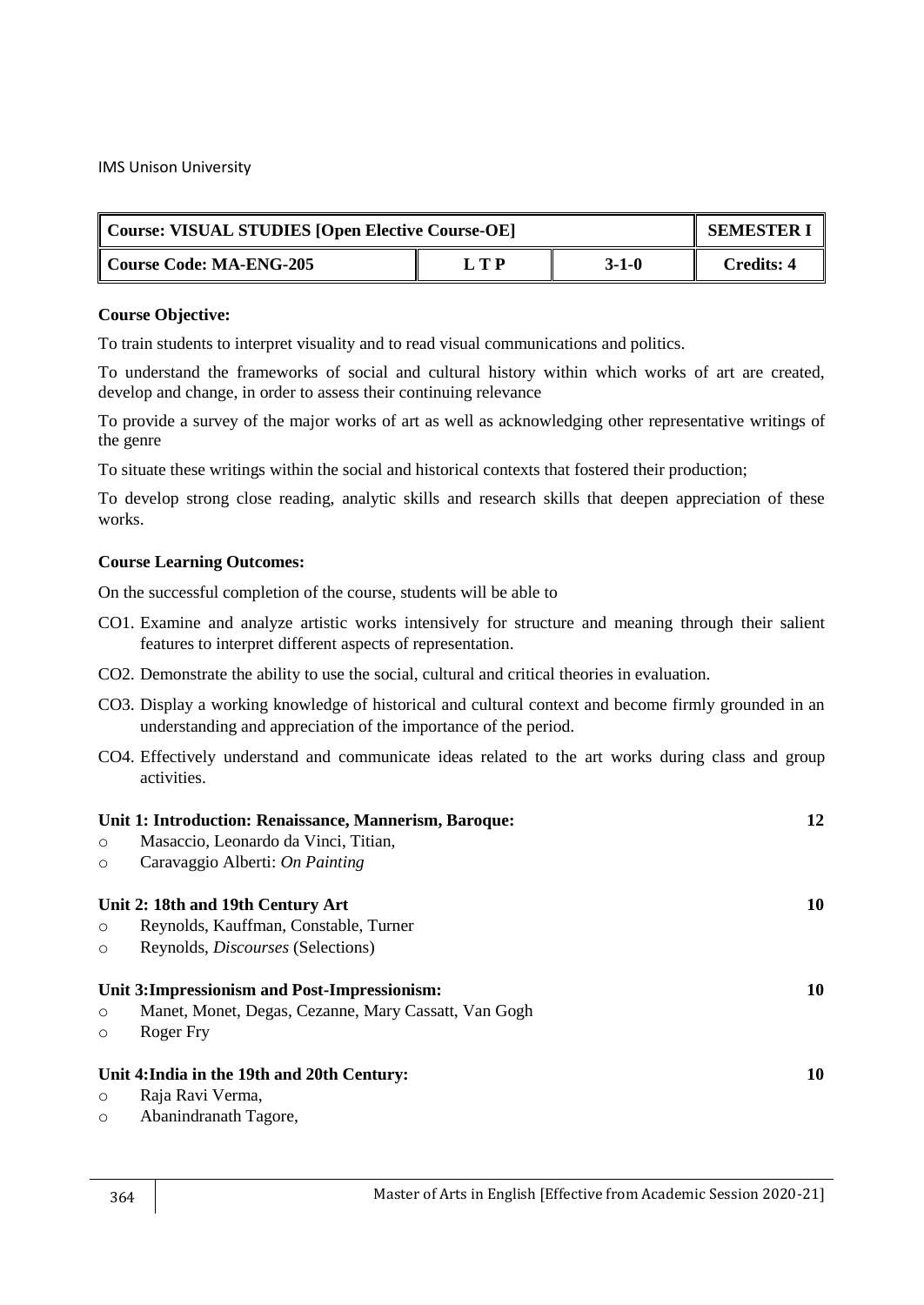| Course: VISUAL STUDIES [Open Elective Course-OE] | <b>SEMESTER I</b> |         |                   |
|--------------------------------------------------|-------------------|---------|-------------------|
| Course Code: MA-ENG-205                          | L T P             | $3-1-0$ | <b>Credits: 4</b> |

#### **Course Objective:**

To train students to interpret visuality and to read visual communications and politics.

To understand the frameworks of social and cultural history within which works of art are created, develop and change, in order to assess their continuing relevance

To provide a survey of the major works of art as well as acknowledging other representative writings of the genre

To situate these writings within the social and historical contexts that fostered their production;

To develop strong close reading, analytic skills and research skills that deepen appreciation of these works.

## **Course Learning Outcomes:**

- CO1. Examine and analyze artistic works intensively for structure and meaning through their salient features to interpret different aspects of representation.
- CO2. Demonstrate the ability to use the social, cultural and critical theories in evaluation.
- CO3. Display a working knowledge of historical and cultural context and become firmly grounded in an understanding and appreciation of the importance of the period.
- CO4. Effectively understand and communicate ideas related to the art works during class and group activities.

|         | Unit 1: Introduction: Renaissance, Mannerism, Baroque: | 12 |
|---------|--------------------------------------------------------|----|
| $\circ$ | Masaccio, Leonardo da Vinci, Titian,                   |    |
| $\circ$ | Caravaggio Alberti: On Painting                        |    |
|         | Unit 2: 18th and 19th Century Art                      | 10 |
| $\circ$ | Reynolds, Kauffman, Constable, Turner                  |    |
| $\circ$ | Reynolds, <i>Discourses</i> (Selections)               |    |
|         | Unit 3: Impressionism and Post-Impressionism:          | 10 |
| $\circ$ | Manet, Monet, Degas, Cezanne, Mary Cassatt, Van Gogh   |    |
| $\circ$ | Roger Fry                                              |    |
|         | Unit 4: India in the 19th and 20th Century:            | 10 |
| $\circ$ | Raja Ravi Verma,                                       |    |
|         |                                                        |    |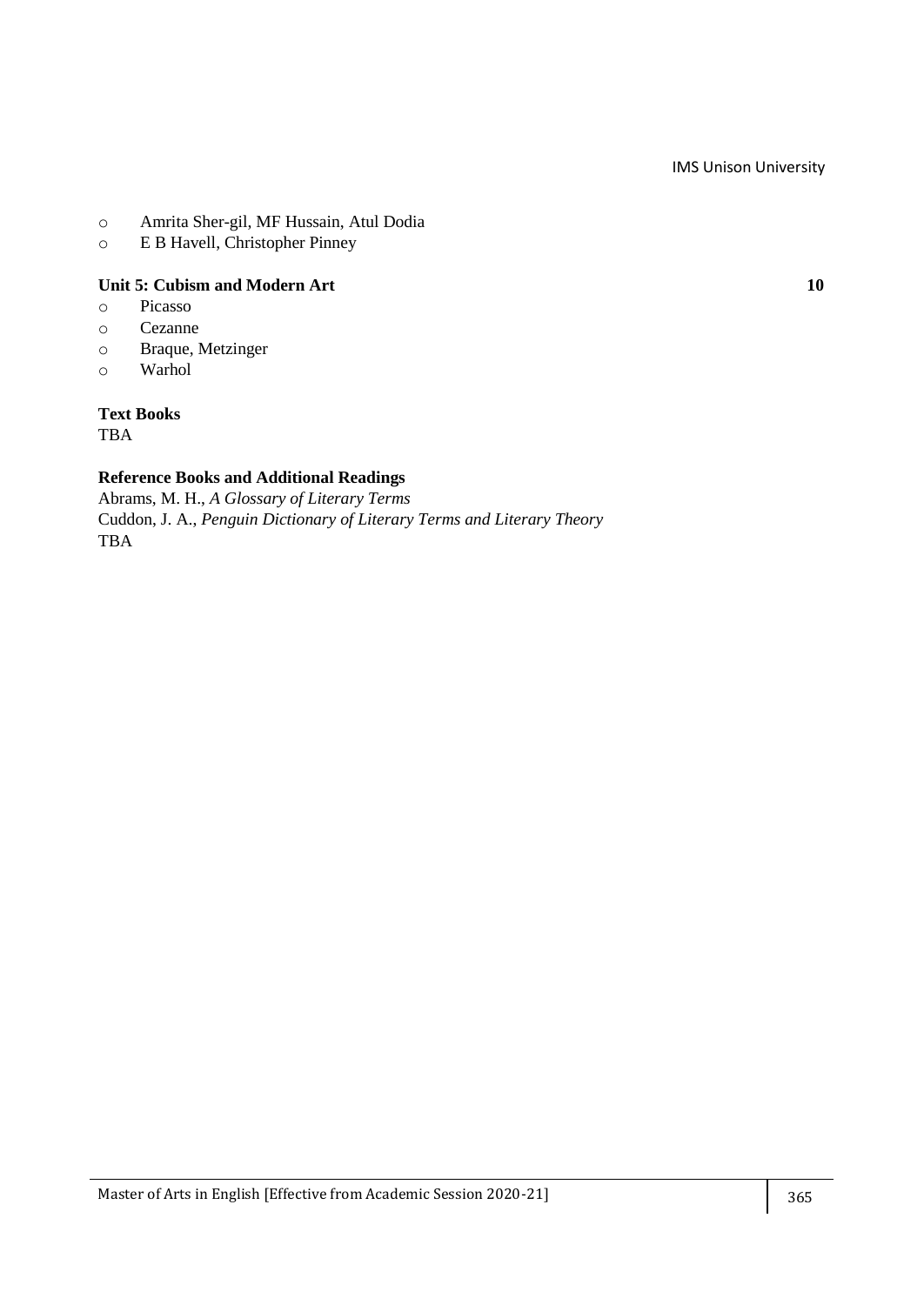- o Amrita Sher-gil, MF Hussain, Atul Dodia
- o E B Havell, Christopher Pinney

## **Unit 5: Cubism and Modern Art 10**

- o Picasso
- o Cezanne
- o Braque, Metzinger
- o Warhol

#### **Text Books**

TBA

## **Reference Books and Additional Readings**

Abrams, M. H., *A Glossary of Literary Terms* Cuddon, J. A., *Penguin Dictionary of Literary Terms and Literary Theory* TBA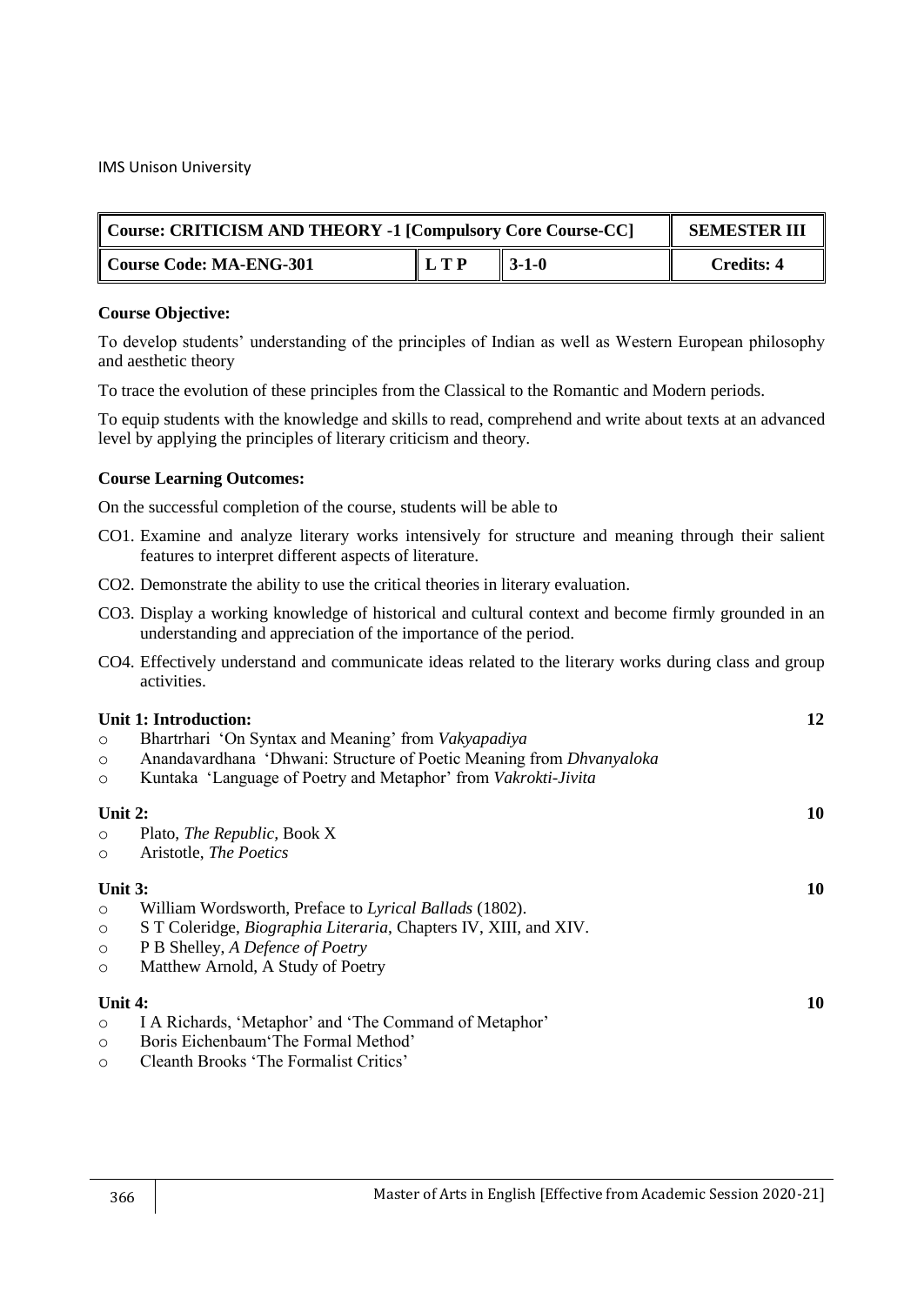| Course: CRITICISM AND THEORY -1 [Compulsory Core Course-CC] | <b>SEMESTER III</b> |                   |                   |
|-------------------------------------------------------------|---------------------|-------------------|-------------------|
| Course Code: MA-ENG-301                                     | LTP                 | $\parallel$ 3-1-0 | <b>Credits: 4</b> |

#### **Course Objective:**

To develop students' understanding of the principles of Indian as well as Western European philosophy and aesthetic theory

To trace the evolution of these principles from the Classical to the Romantic and Modern periods.

To equip students with the knowledge and skills to read, comprehend and write about texts at an advanced level by applying the principles of literary criticism and theory.

## **Course Learning Outcomes:**

- CO1. Examine and analyze literary works intensively for structure and meaning through their salient features to interpret different aspects of literature.
- CO2. Demonstrate the ability to use the critical theories in literary evaluation.
- CO3. Display a working knowledge of historical and cultural context and become firmly grounded in an understanding and appreciation of the importance of the period.
- CO4. Effectively understand and communicate ideas related to the literary works during class and group activities.

|           | Unit 1: Introduction:                                                    | 12 |
|-----------|--------------------------------------------------------------------------|----|
| $\circ$   | Bhartrhari 'On Syntax and Meaning' from <i>Vakyapadiya</i>               |    |
| $\circ$   | Anandavardhana 'Dhwani: Structure of Poetic Meaning from Dhvanyaloka     |    |
| $\circ$   | Kuntaka 'Language of Poetry and Metaphor' from <i>Vakrokti-Jivita</i>    |    |
| Unit $2:$ |                                                                          | 10 |
| $\circ$   | Plato, <i>The Republic</i> , Book X                                      |    |
| $\circ$   | Aristotle, The Poetics                                                   |    |
| Unit $3:$ |                                                                          | 10 |
| $\circ$   | William Wordsworth, Preface to Lyrical Ballads (1802).                   |    |
| $\circ$   | S T Coleridge, <i>Biographia Literaria</i> , Chapters IV, XIII, and XIV. |    |
| $\circ$   | P B Shelley, A Defence of Poetry                                         |    |
| $\circ$   | Matthew Arnold, A Study of Poetry                                        |    |
| Unit 4:   |                                                                          | 10 |
| $\circ$   | I A Richards, 'Metaphor' and 'The Command of Metaphor'                   |    |
| $\circ$   | Boris Eichenbaum The Formal Method'                                      |    |
| $\circ$   | Cleanth Brooks 'The Formalist Critics'                                   |    |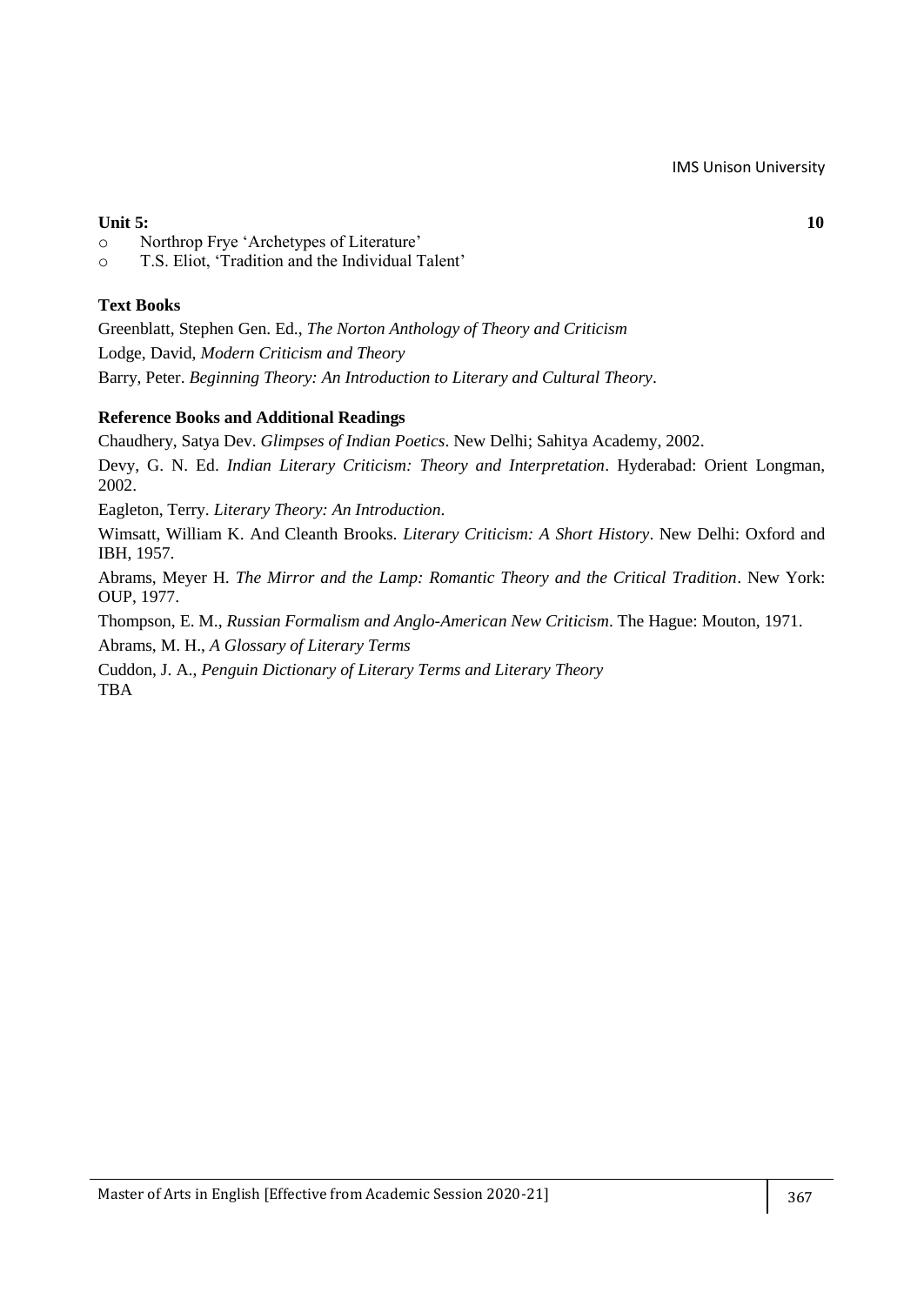## **Unit 5:** 10

- o Northrop Frye ‗Archetypes of Literature'
- o T.S. Eliot, ‗Tradition and the Individual Talent'

## **Text Books**

Greenblatt, Stephen Gen. Ed., *The Norton Anthology of Theory and Criticism* Lodge, David, *Modern Criticism and Theory* Barry, Peter. *Beginning Theory: An Introduction to Literary and Cultural Theory*.

## **Reference Books and Additional Readings**

Chaudhery, Satya Dev. *Glimpses of Indian Poetics*. New Delhi; Sahitya Academy, 2002. Devy, G. N. Ed. *Indian Literary Criticism: Theory and Interpretation*. Hyderabad: Orient Longman, 2002.

Eagleton, Terry. *Literary Theory: An Introduction*.

Wimsatt, William K. And Cleanth Brooks. *Literary Criticism: A Short History*. New Delhi: Oxford and IBH, 1957.

Abrams, Meyer H. *The Mirror and the Lamp: Romantic Theory and the Critical Tradition*. New York: OUP, 1977.

Thompson, E. M., *Russian Formalism and Anglo-American New Criticism*. The Hague: Mouton, 1971.

Abrams, M. H., *A Glossary of Literary Terms*

Cuddon, J. A., *Penguin Dictionary of Literary Terms and Literary Theory* **TBA**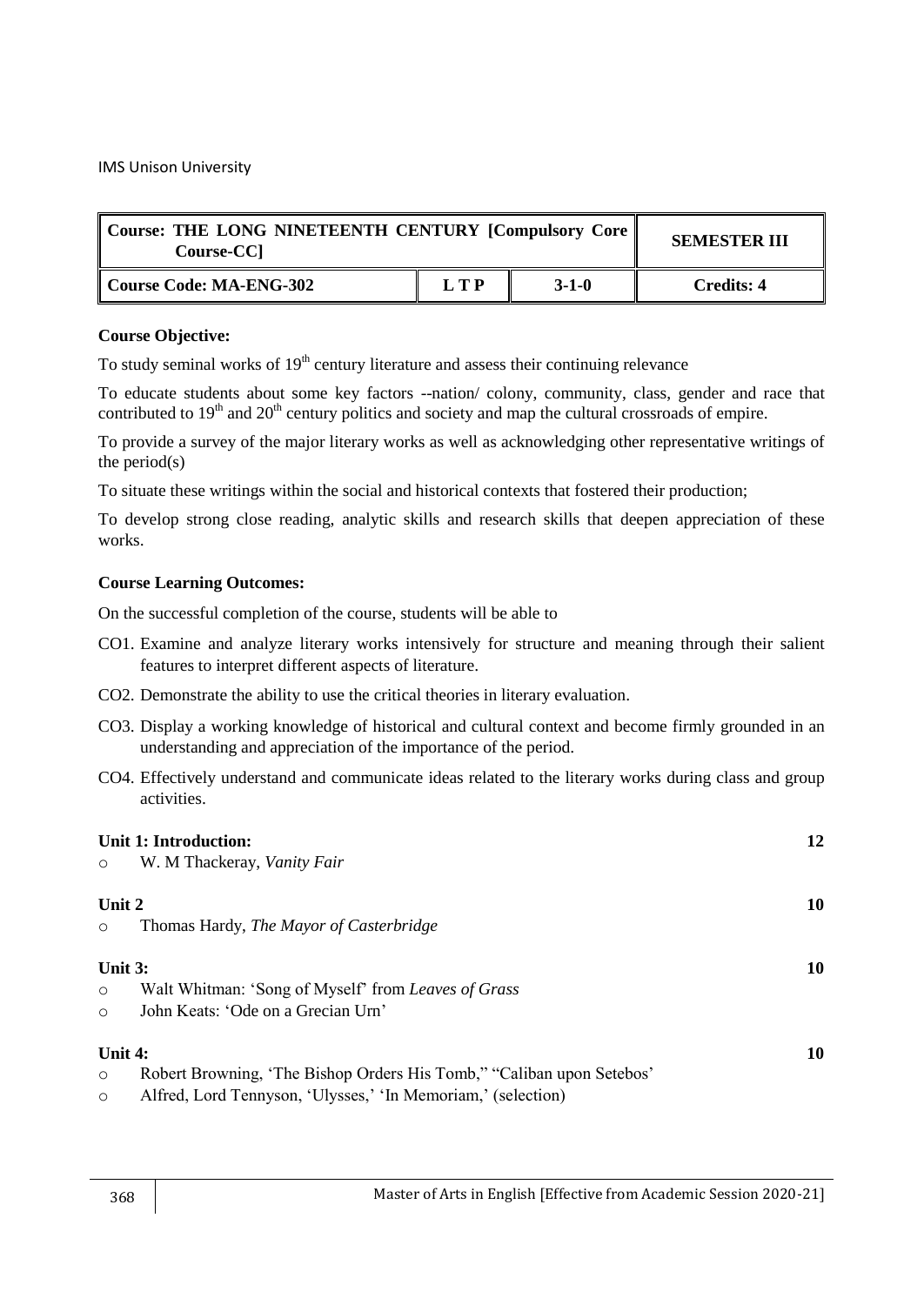| Course: THE LONG NINETEENTH CENTURY [Compulsory Core   <br>Course-CC] | <b>SEMESTER III</b> |             |                   |
|-----------------------------------------------------------------------|---------------------|-------------|-------------------|
| Course Code: MA-ENG-302                                               | LTP                 | $3 - 1 - 0$ | <b>Credits: 4</b> |

## **Course Objective:**

To study seminal works of  $19<sup>th</sup>$  century literature and assess their continuing relevance

To educate students about some key factors --nation/ colony, community, class, gender and race that contributed to 19<sup>th</sup> and 20<sup>th</sup> century politics and society and map the cultural crossroads of empire.

To provide a survey of the major literary works as well as acknowledging other representative writings of the period(s)

To situate these writings within the social and historical contexts that fostered their production;

To develop strong close reading, analytic skills and research skills that deepen appreciation of these works.

## **Course Learning Outcomes:**

- CO1. Examine and analyze literary works intensively for structure and meaning through their salient features to interpret different aspects of literature.
- CO2. Demonstrate the ability to use the critical theories in literary evaluation.
- CO3. Display a working knowledge of historical and cultural context and become firmly grounded in an understanding and appreciation of the importance of the period.
- CO4. Effectively understand and communicate ideas related to the literary works during class and group activities.

|         | Unit 1: Introduction:                                                 | 12 |
|---------|-----------------------------------------------------------------------|----|
| $\circ$ | W. M Thackeray, Vanity Fair                                           |    |
|         |                                                                       |    |
| Unit 2  |                                                                       | 10 |
| $\circ$ | Thomas Hardy, The Mayor of Casterbridge                               |    |
|         |                                                                       |    |
| Unit 3: |                                                                       | 10 |
| $\circ$ | Walt Whitman: 'Song of Myself' from Leaves of Grass                   |    |
| $\circ$ | John Keats: 'Ode on a Grecian Urn'                                    |    |
|         |                                                                       |    |
| Unit 4: |                                                                       | 10 |
| $\circ$ | Robert Browning, 'The Bishop Orders His Tomb,' "Caliban upon Setebos' |    |
| $\circ$ | Alfred, Lord Tennyson, 'Ulysses,' 'In Memoriam,' (selection)          |    |
|         |                                                                       |    |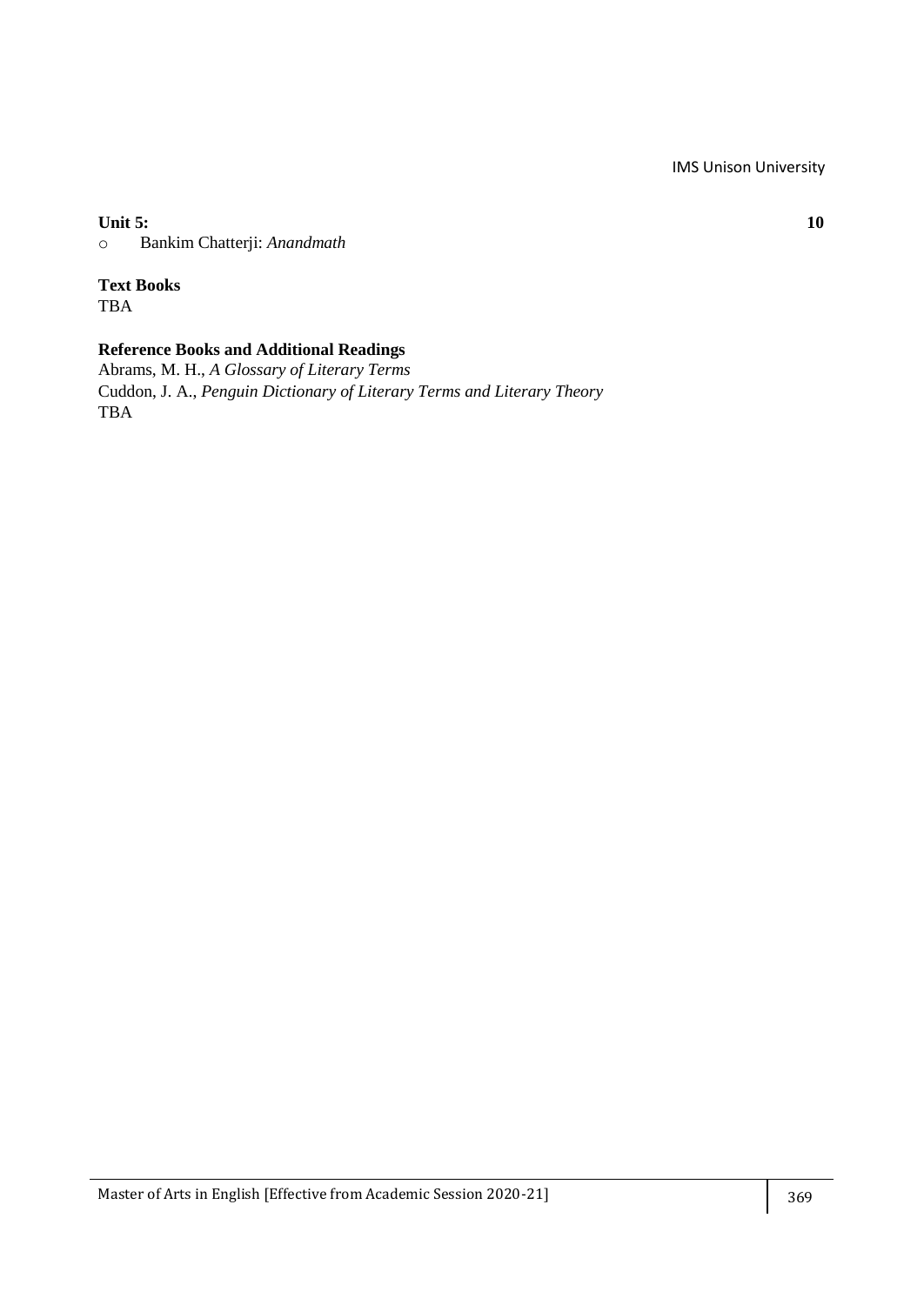**Unit 5: 10**

o Bankim Chatterji: *Anandmath*

# **Text Books**

TBA

## **Reference Books and Additional Readings**

Abrams, M. H., *A Glossary of Literary Terms* Cuddon, J. A., *Penguin Dictionary of Literary Terms and Literary Theory* TBA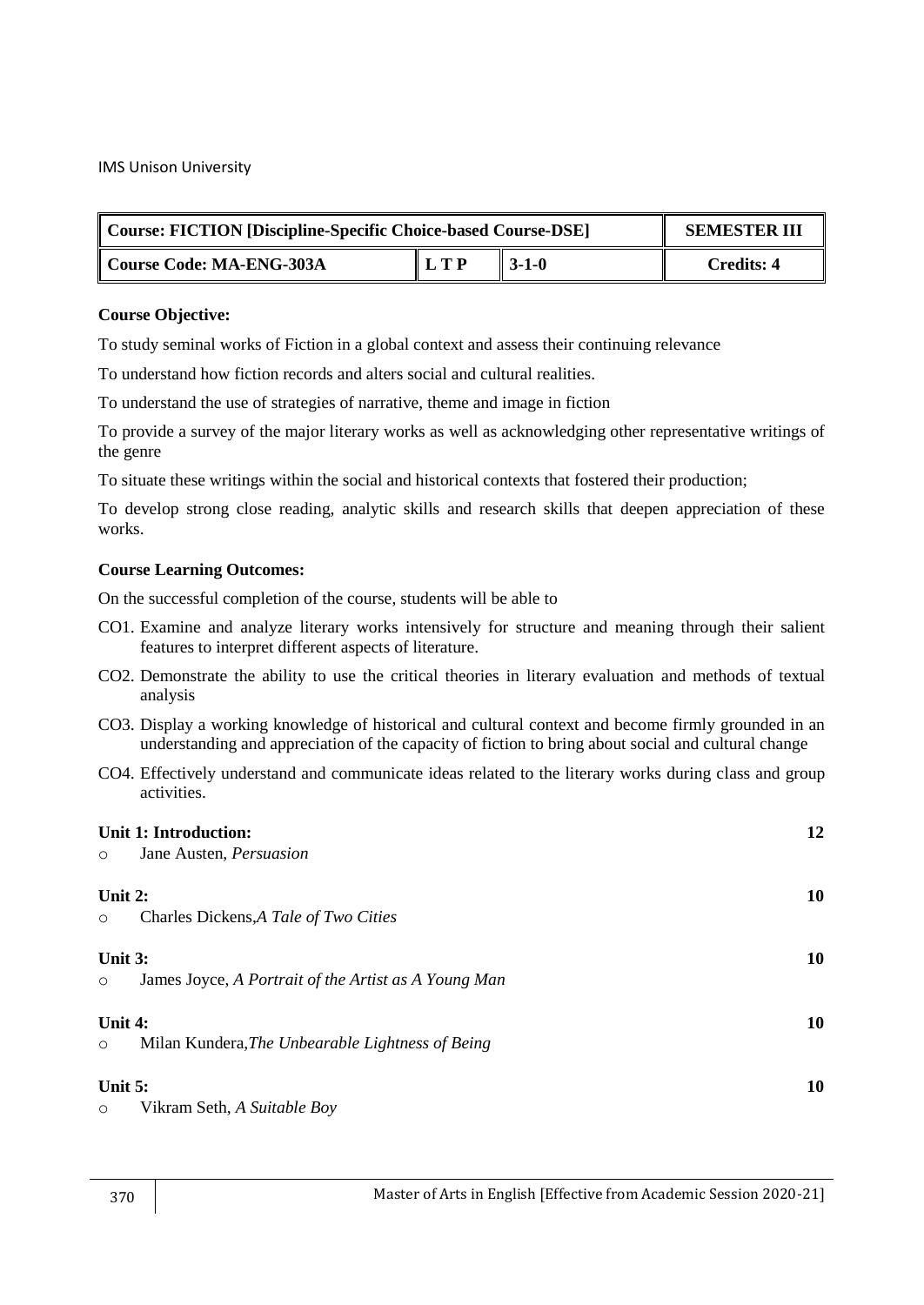| Course: FICTION [Discipline-Specific Choice-based Course-DSE] | <b>SEMESTER III</b> |                   |            |
|---------------------------------------------------------------|---------------------|-------------------|------------|
| Course Code: MA-ENG-303A                                      | L T P               | $\parallel$ 3-1-0 | Credits: 4 |

#### **Course Objective:**

To study seminal works of Fiction in a global context and assess their continuing relevance

To understand how fiction records and alters social and cultural realities.

To understand the use of strategies of narrative, theme and image in fiction

To provide a survey of the major literary works as well as acknowledging other representative writings of the genre

To situate these writings within the social and historical contexts that fostered their production;

To develop strong close reading, analytic skills and research skills that deepen appreciation of these works.

## **Course Learning Outcomes:**

- CO1. Examine and analyze literary works intensively for structure and meaning through their salient features to interpret different aspects of literature.
- CO2. Demonstrate the ability to use the critical theories in literary evaluation and methods of textual analysis
- CO3. Display a working knowledge of historical and cultural context and become firmly grounded in an understanding and appreciation of the capacity of fiction to bring about social and cultural change
- CO4. Effectively understand and communicate ideas related to the literary works during class and group activities.

| $\circ$            | Unit 1: Introduction:<br>Jane Austen, Persuasion     | 12 |
|--------------------|------------------------------------------------------|----|
| Unit 2:<br>$\circ$ | Charles Dickens, A Tale of Two Cities                | 10 |
| Unit 3:<br>$\circ$ | James Joyce, A Portrait of the Artist as A Young Man | 10 |
| Unit 4:<br>$\circ$ | Milan Kundera, The Unbearable Lightness of Being     | 10 |
| Unit 5:<br>$\circ$ | Vikram Seth, A Suitable Boy                          | 10 |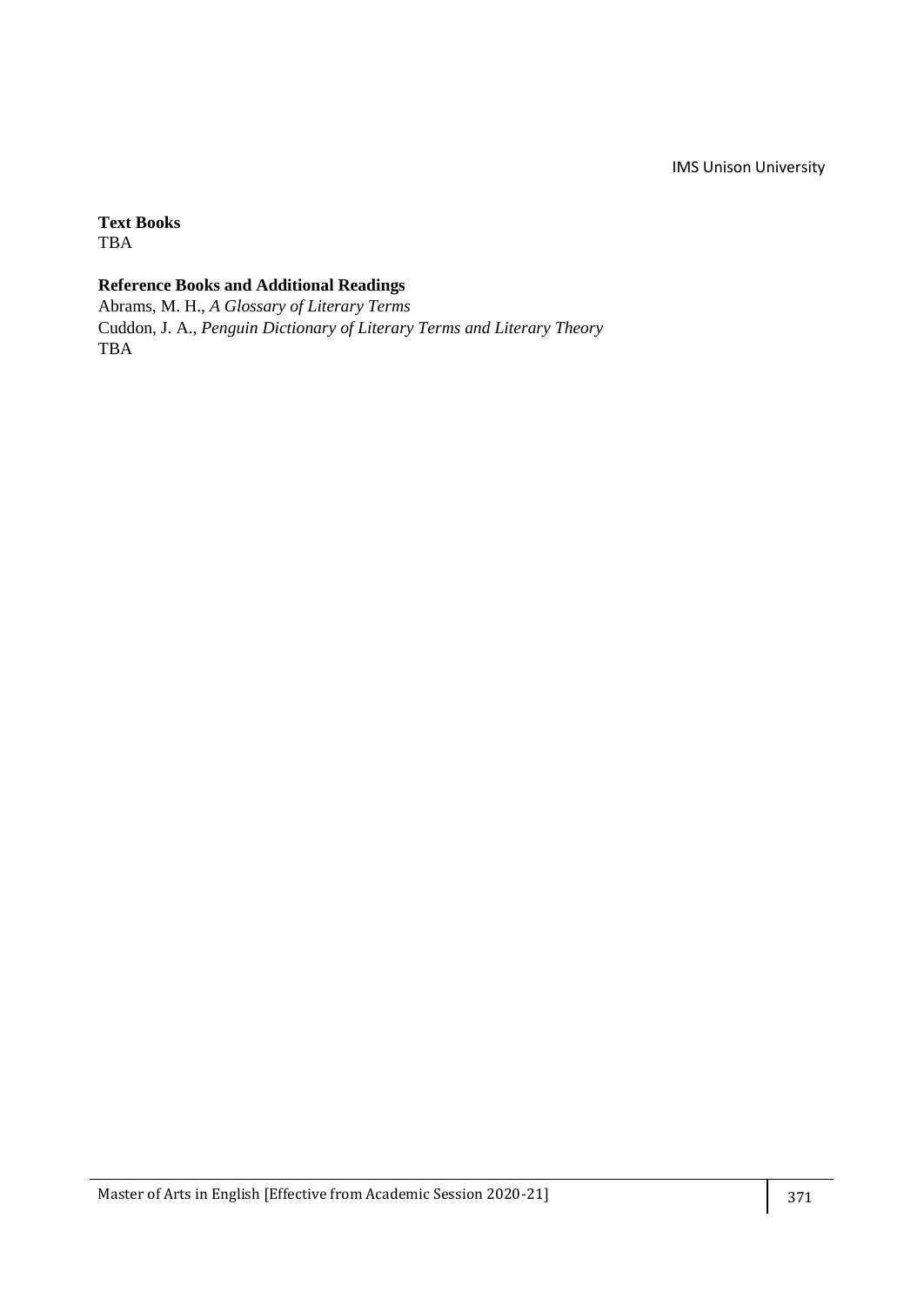# **Text Books**

TBA

# **Reference Books and Additional Readings**

Abrams, M. H., *A Glossary of Literary Terms* Cuddon, J. A., *Penguin Dictionary of Literary Terms and Literary Theory* TBA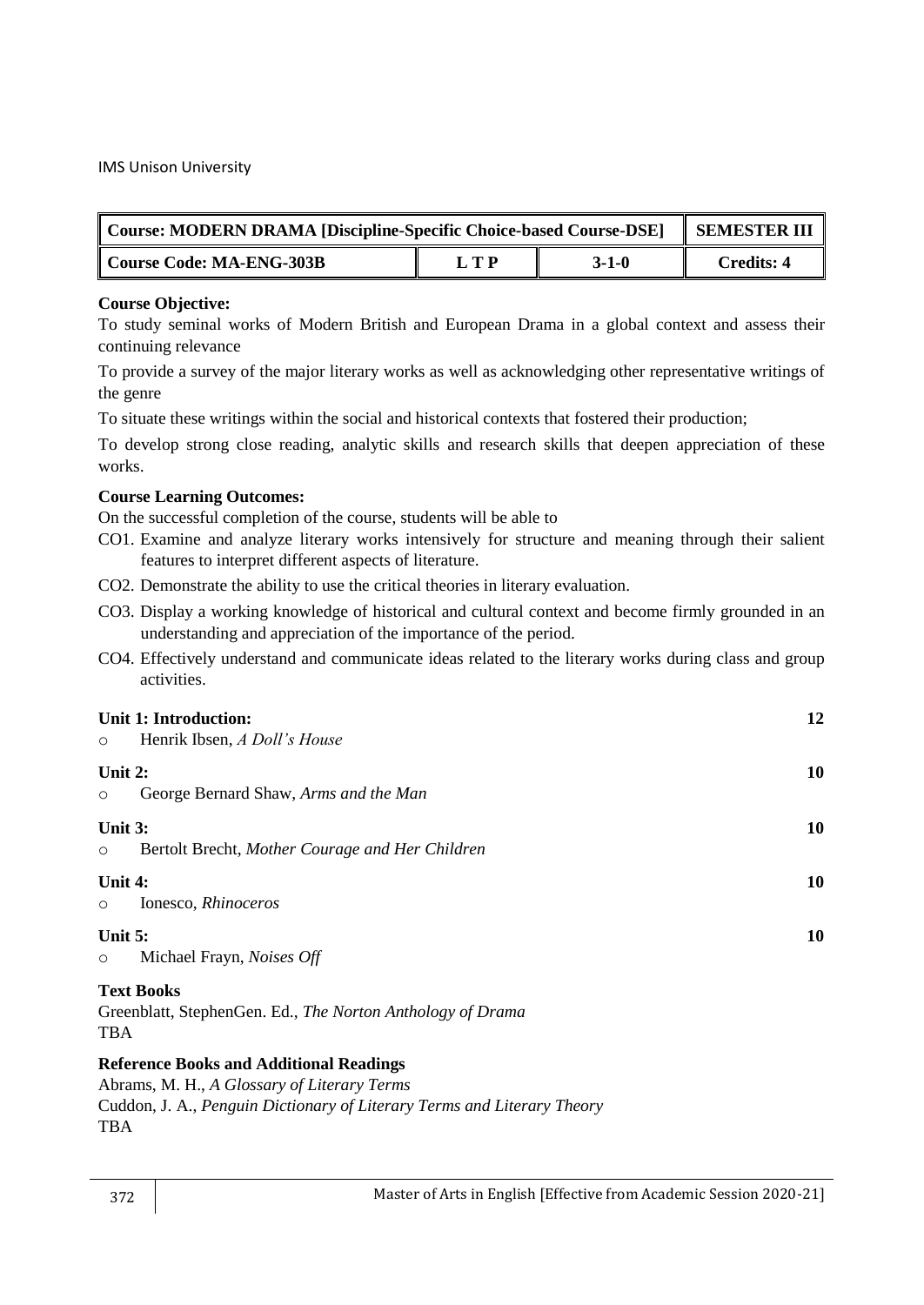| Course: MODERN DRAMA [Discipline-Specific Choice-based Course-DSE] | <b>SEMESTER III</b> |         |            |
|--------------------------------------------------------------------|---------------------|---------|------------|
| Course Code: MA-ENG-303B                                           | LTP                 | $3-1-0$ | Credits: 4 |

## **Course Objective:**

To study seminal works of Modern British and European Drama in a global context and assess their continuing relevance

To provide a survey of the major literary works as well as acknowledging other representative writings of the genre

To situate these writings within the social and historical contexts that fostered their production;

To develop strong close reading, analytic skills and research skills that deepen appreciation of these works.

## **Course Learning Outcomes:**

On the successful completion of the course, students will be able to

- CO1. Examine and analyze literary works intensively for structure and meaning through their salient features to interpret different aspects of literature.
- CO2. Demonstrate the ability to use the critical theories in literary evaluation.
- CO3. Display a working knowledge of historical and cultural context and become firmly grounded in an understanding and appreciation of the importance of the period.
- CO4. Effectively understand and communicate ideas related to the literary works during class and group activities.

## **Unit 1: Introduction: 12**

o Henrik Ibsen, *A Doll's House* **Unit 2: 10** o George Bernard Shaw, *Arms and the Man* **Unit 3: 10** o Bertolt Brecht, *Mother Courage and Her Children* **Unit 4: 10** o Ionesco, *Rhinoceros* **Unit 5:** 10 o Michael Frayn, *Noises Off* **Text Books** Greenblatt, StephenGen. Ed., *The Norton Anthology of Drama*  TBA

## **Reference Books and Additional Readings**

Abrams, M. H., *A Glossary of Literary Terms*

Cuddon, J. A., *Penguin Dictionary of Literary Terms and Literary Theory* TBA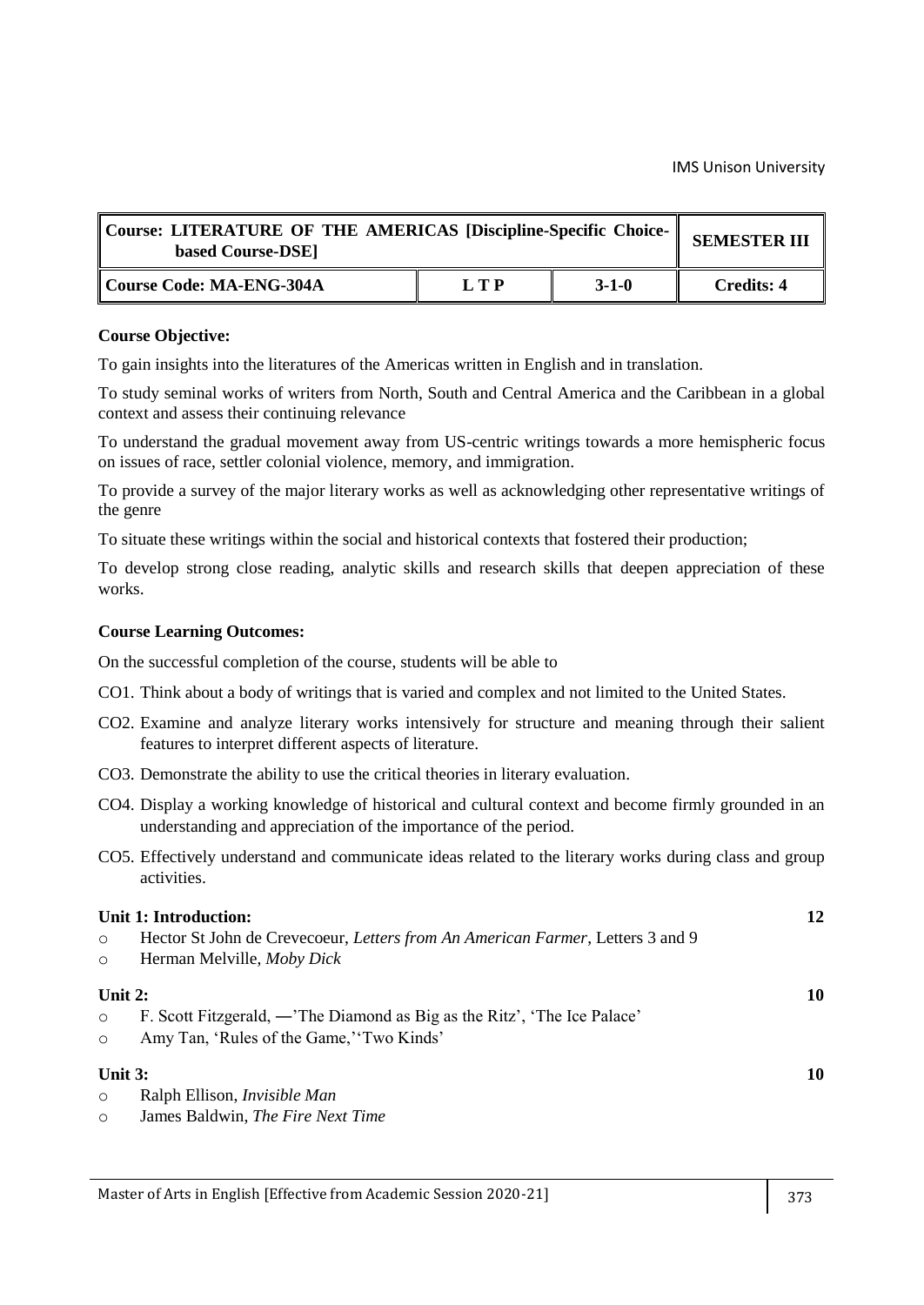| Course: LITERATURE OF THE AMERICAS [Discipline-Specific Choice-<br>based Course-DSE] | <b>SEMESTER III</b> |         |                   |
|--------------------------------------------------------------------------------------|---------------------|---------|-------------------|
| Course Code: MA-ENG-304A                                                             | LTP                 | $3-1-0$ | <b>Credits: 4</b> |

To gain insights into the literatures of the Americas written in English and in translation.

To study seminal works of writers from North, South and Central America and the Caribbean in a global context and assess their continuing relevance

To understand the gradual movement away from US-centric writings towards a more hemispheric focus on issues of race, settler colonial violence, memory, and immigration.

To provide a survey of the major literary works as well as acknowledging other representative writings of the genre

To situate these writings within the social and historical contexts that fostered their production;

To develop strong close reading, analytic skills and research skills that deepen appreciation of these works.

#### **Course Learning Outcomes:**

- CO1. Think about a body of writings that is varied and complex and not limited to the United States.
- CO2. Examine and analyze literary works intensively for structure and meaning through their salient features to interpret different aspects of literature.
- CO3. Demonstrate the ability to use the critical theories in literary evaluation.
- CO4. Display a working knowledge of historical and cultural context and become firmly grounded in an understanding and appreciation of the importance of the period.
- CO5. Effectively understand and communicate ideas related to the literary works during class and group activities.

|           | Unit 1: Introduction:                                                          | 12 |
|-----------|--------------------------------------------------------------------------------|----|
| $\circ$   | Hector St John de Crevecoeur, Letters from An American Farmer, Letters 3 and 9 |    |
| $\circ$   | Herman Melville, Moby Dick                                                     |    |
| Unit $2:$ |                                                                                | 10 |
| $\circ$   | F. Scott Fitzgerald, — The Diamond as Big as the Ritz', 'The Ice Palace'       |    |
| $\circ$   | Amy Tan, 'Rules of the Game,' 'Two Kinds'                                      |    |
| Unit $3:$ |                                                                                | 10 |
| $\circ$   | Ralph Ellison, <i>Invisible Man</i>                                            |    |
| $\circ$   | James Baldwin, The Fire Next Time                                              |    |
|           |                                                                                |    |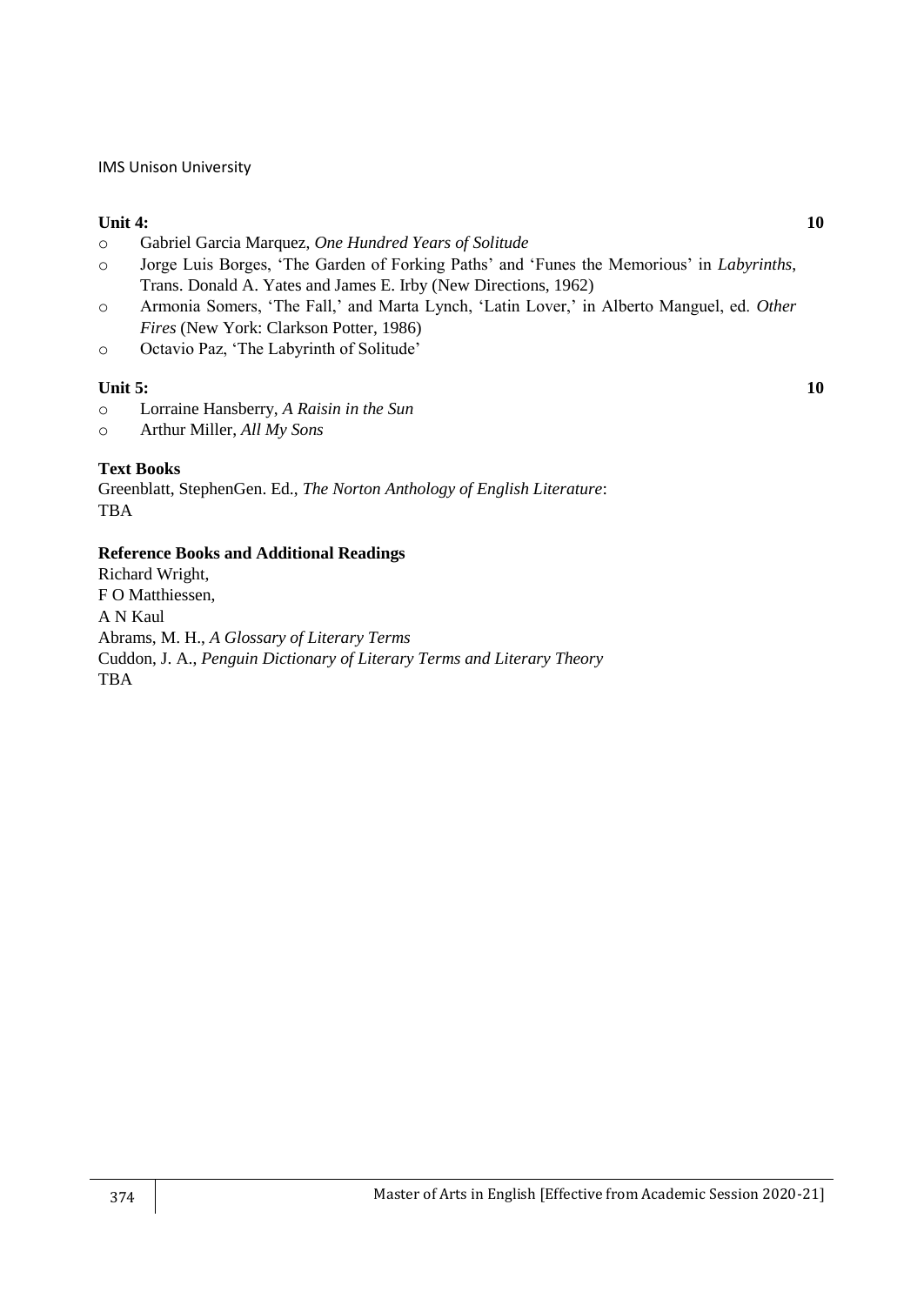## **Unit 4: 10**

- o Gabriel Garcia Marquez, *One Hundred Years of Solitude*
- o Jorge Luis Borges, ‗The Garden of Forking Paths' and ‗Funes the Memorious' in *Labyrinths*, Trans. Donald A. Yates and James E. Irby (New Directions, 1962)
- o Armonia Somers, ‗The Fall,' and Marta Lynch, ‗Latin Lover,' in Alberto Manguel, ed. *Other Fires* (New York: Clarkson Potter, 1986)
- o Octavio Paz, ‗The Labyrinth of Solitude'

## **Unit 5: 10**

- o Lorraine Hansberry, *A Raisin in the Sun*
- o Arthur Miller, *All My Sons*

## **Text Books**

Greenblatt, StephenGen. Ed., *The Norton Anthology of English Literature*: TBA

#### **Reference Books and Additional Readings**

Richard Wright, F O Matthiessen, A N Kaul Abrams, M. H., *A Glossary of Literary Terms* Cuddon, J. A., *Penguin Dictionary of Literary Terms and Literary Theory* TBA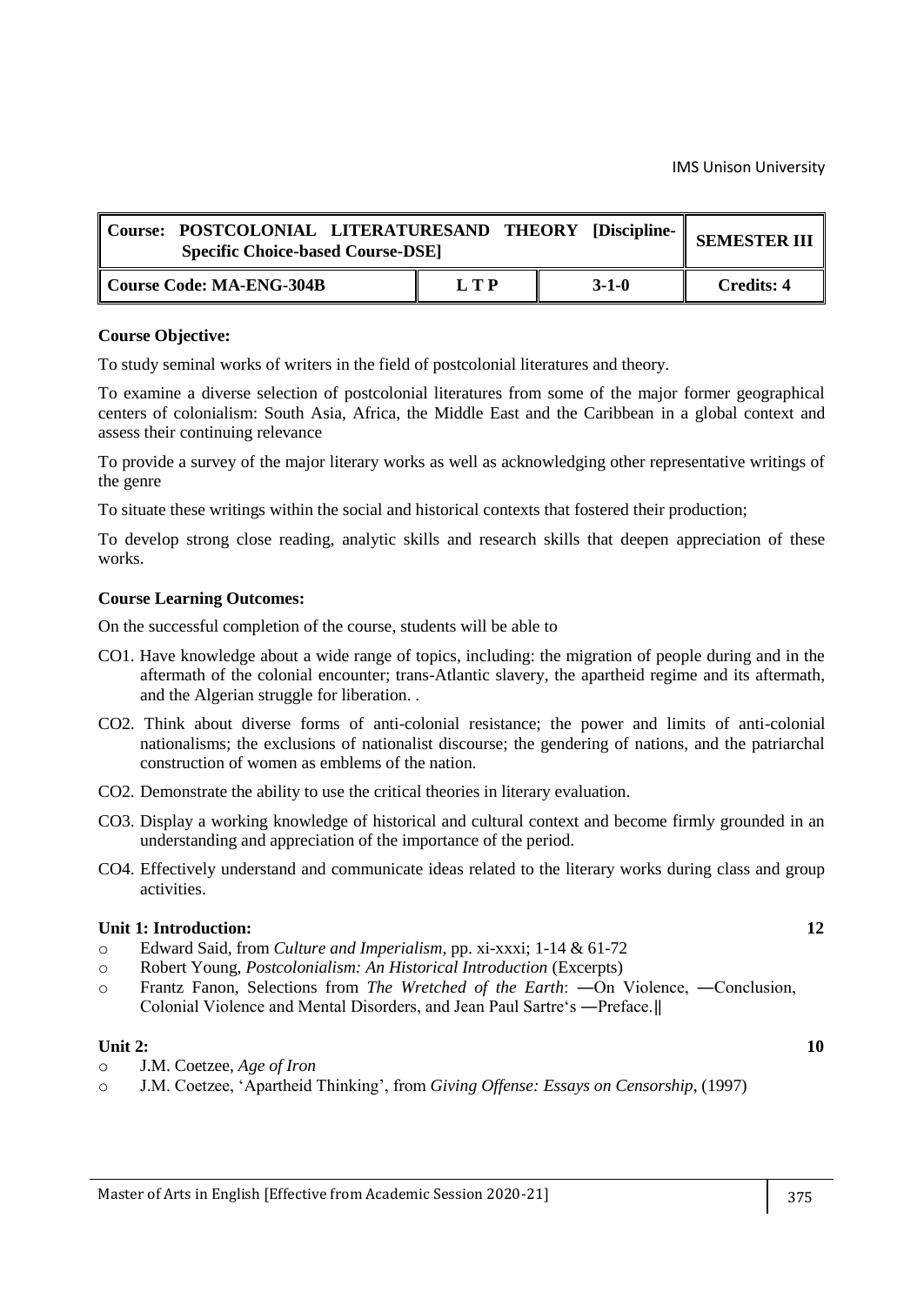| Course: POSTCOLONIAL LITERATURESAND THEORY [Discipline-   <br><b>Specific Choice-based Course-DSE</b> |     |             | <b>SEMESTER III</b> |
|-------------------------------------------------------------------------------------------------------|-----|-------------|---------------------|
| Course Code: MA-ENG-304B                                                                              | LTP | $3 - 1 - 0$ | Credits: 4          |

#### **Course Objective:**

To study seminal works of writers in the field of postcolonial literatures and theory.

To examine a diverse selection of postcolonial literatures from some of the major former geographical centers of colonialism: South Asia, Africa, the Middle East and the Caribbean in a global context and assess their continuing relevance

To provide a survey of the major literary works as well as acknowledging other representative writings of the genre

To situate these writings within the social and historical contexts that fostered their production;

To develop strong close reading, analytic skills and research skills that deepen appreciation of these works.

#### **Course Learning Outcomes:**

On the successful completion of the course, students will be able to

- CO1. Have knowledge about a wide range of topics, including: the migration of people during and in the aftermath of the colonial encounter; trans-Atlantic slavery, the apartheid regime and its aftermath, and the Algerian struggle for liberation. .
- CO2. Think about diverse forms of anti-colonial resistance; the power and limits of anti-colonial nationalisms; the exclusions of nationalist discourse; the gendering of nations, and the patriarchal construction of women as emblems of the nation.
- CO2. Demonstrate the ability to use the critical theories in literary evaluation.
- CO3. Display a working knowledge of historical and cultural context and become firmly grounded in an understanding and appreciation of the importance of the period.
- CO4. Effectively understand and communicate ideas related to the literary works during class and group activities.

## **Unit 1: Introduction: 12**

- o Edward Said, from *Culture and Imperialism*, pp. xi-xxxi; 1-14 & 61-72
- o Robert Young, *Postcolonialism: An Historical Introduction* (Excerpts)
- o Frantz Fanon, Selections from *The Wretched of the Earth*: ―On Violence, ―Conclusion, Colonial Violence and Mental Disorders, and Jean Paul Sartre's —Preface.

#### **Unit 2:** 10

- o J.M. Coetzee, *Age of Iron*
- o J.M. Coetzee, ‗Apartheid Thinking', from *Giving Offense: Essays on Censorship*, (1997)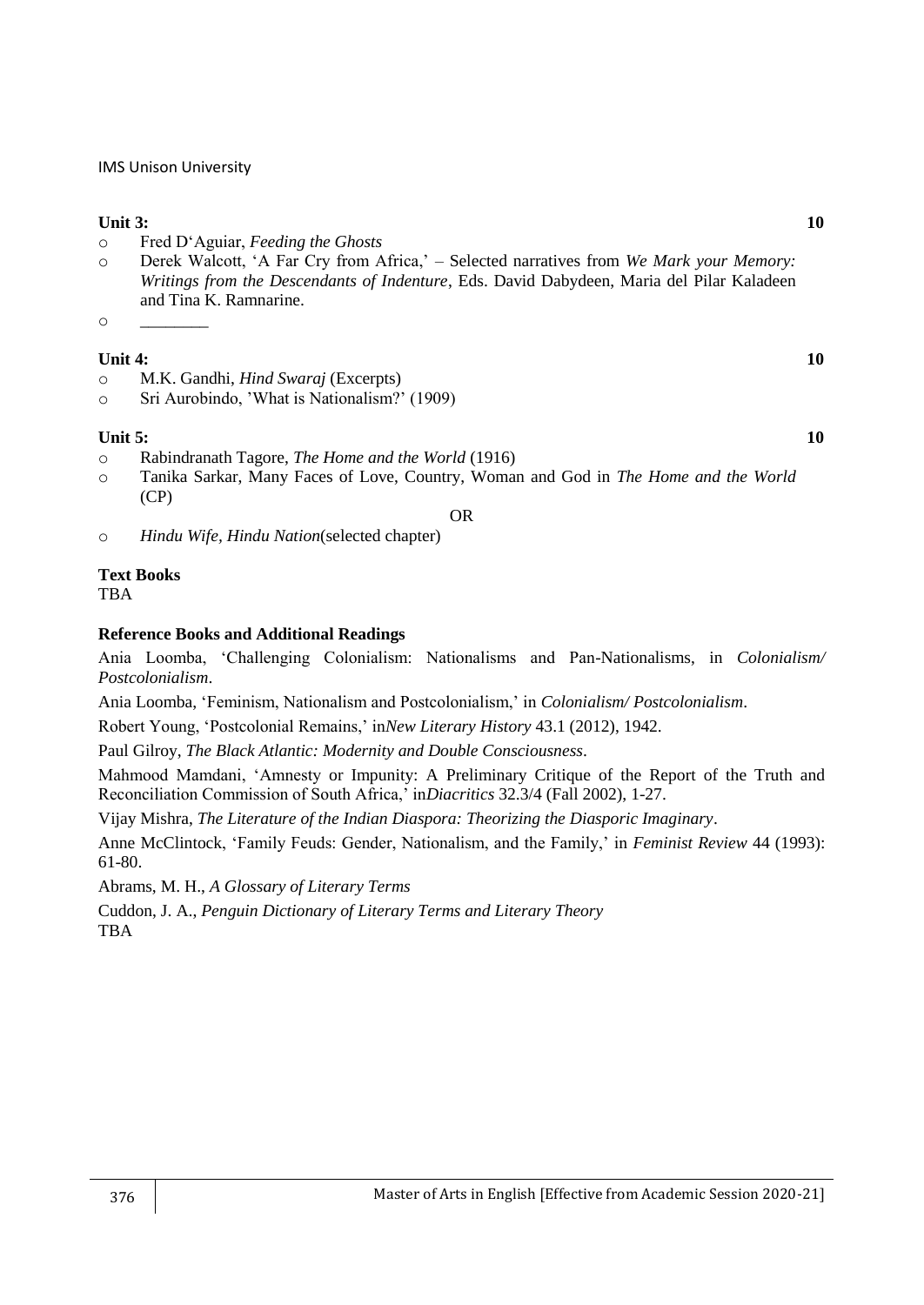## **Unit 3: 10**

- o Fred D‗Aguiar, *Feeding the Ghosts*
- o Derek Walcott, ‗A Far Cry from Africa,' Selected narratives from *We Mark your Memory: Writings from the Descendants of Indenture*, Eds. David Dabydeen, Maria del Pilar Kaladeen and Tina K. Ramnarine.
- $\circ$

## **Unit 4: 10**

- o M.K. Gandhi, *Hind Swaraj* (Excerpts)
- o Sri Aurobindo, 'What is Nationalism?' (1909)

## **Unit 5: 10**

- o Rabindranath Tagore, *The Home and the World* (1916)
- o Tanika Sarkar, Many Faces of Love, Country, Woman and God in *The Home and the World* (CP)

OR

o *Hindu Wife, Hindu Nation*(selected chapter)

## **Text Books**

TBA

## **Reference Books and Additional Readings**

Ania Loomba, ‗Challenging Colonialism: Nationalisms and Pan-Nationalisms, in *Colonialism/ Postcolonialism*.

Ania Loomba, ‗Feminism, Nationalism and Postcolonialism,' in *Colonialism/ Postcolonialism*.

Robert Young, ‗Postcolonial Remains,' in*New Literary History* 43.1 (2012), 1942.

Paul Gilroy, *The Black Atlantic: Modernity and Double Consciousness*.

Mahmood Mamdani, 'Amnesty or Impunity: A Preliminary Critique of the Report of the Truth and Reconciliation Commission of South Africa,' in*Diacritics* 32.3/4 (Fall 2002), 1-27.

Vijay Mishra, *The Literature of the Indian Diaspora: Theorizing the Diasporic Imaginary*.

Anne McClintock, ‗Family Feuds: Gender, Nationalism, and the Family,' in *Feminist Review* 44 (1993): 61-80.

Abrams, M. H., *A Glossary of Literary Terms*

Cuddon, J. A., *Penguin Dictionary of Literary Terms and Literary Theory* TBA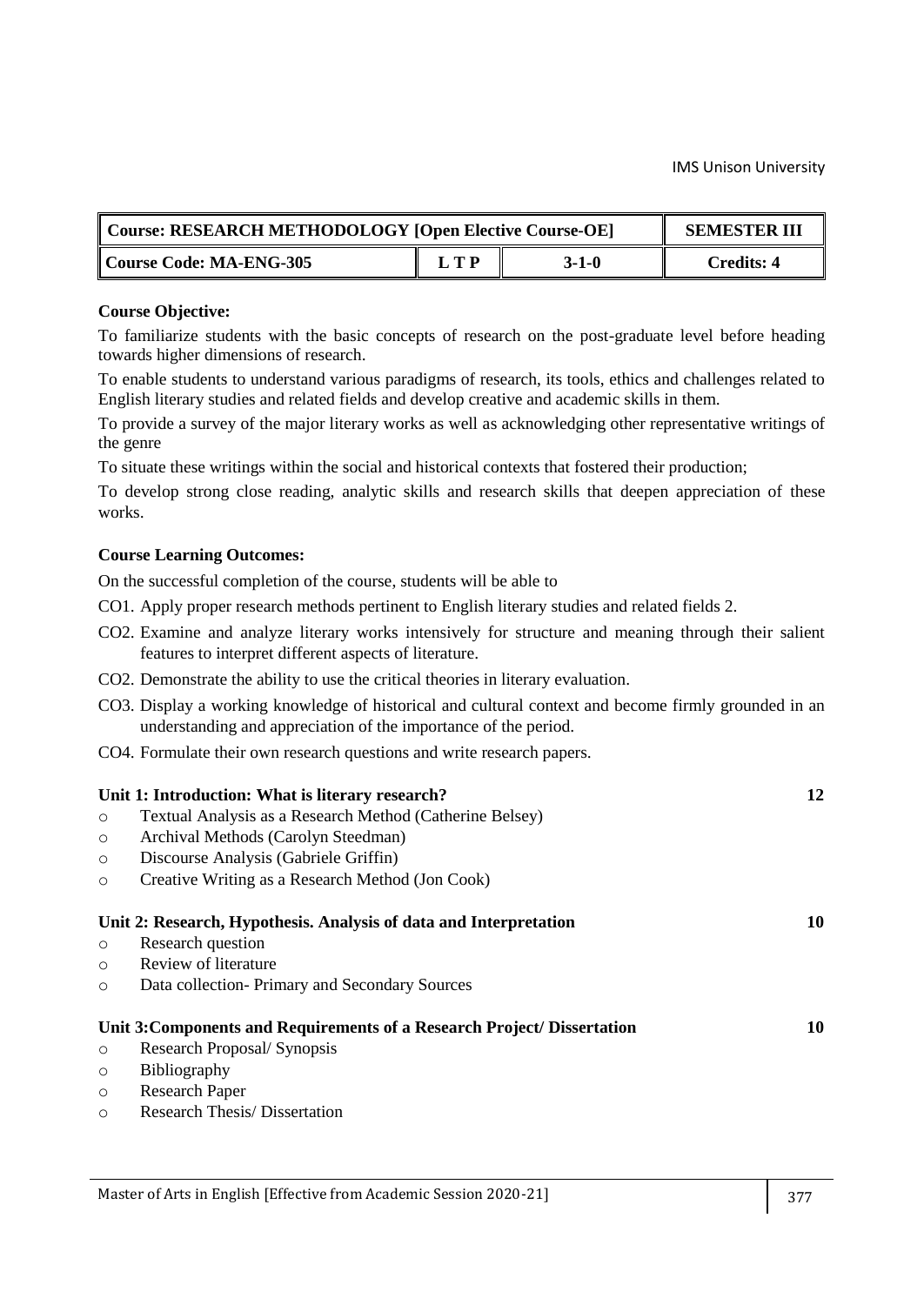| Course: RESEARCH METHODOLOGY [Open Elective Course-OE] | <b>SEMESTER III</b> |         |                   |
|--------------------------------------------------------|---------------------|---------|-------------------|
| Course Code: MA-ENG-305                                | L T P               | $3-1-0$ | <b>Credits: 4</b> |

#### **Course Objective:**

To familiarize students with the basic concepts of research on the post-graduate level before heading towards higher dimensions of research.

To enable students to understand various paradigms of research, its tools, ethics and challenges related to English literary studies and related fields and develop creative and academic skills in them.

To provide a survey of the major literary works as well as acknowledging other representative writings of the genre

To situate these writings within the social and historical contexts that fostered their production;

To develop strong close reading, analytic skills and research skills that deepen appreciation of these works.

## **Course Learning Outcomes:**

- CO1. Apply proper research methods pertinent to English literary studies and related fields 2.
- CO2. Examine and analyze literary works intensively for structure and meaning through their salient features to interpret different aspects of literature.
- CO2. Demonstrate the ability to use the critical theories in literary evaluation.
- CO3. Display a working knowledge of historical and cultural context and become firmly grounded in an understanding and appreciation of the importance of the period.
- CO4. Formulate their own research questions and write research papers.

|         | Unit 1: Introduction: What is literary research?                        | 12 |
|---------|-------------------------------------------------------------------------|----|
| $\circ$ | Textual Analysis as a Research Method (Catherine Belsey)                |    |
| $\circ$ | Archival Methods (Carolyn Steedman)                                     |    |
| $\circ$ | Discourse Analysis (Gabriele Griffin)                                   |    |
| $\circ$ | Creative Writing as a Research Method (Jon Cook)                        |    |
|         | Unit 2: Research, Hypothesis. Analysis of data and Interpretation       | 10 |
| $\circ$ | Research question                                                       |    |
| $\circ$ | Review of literature                                                    |    |
| $\circ$ | Data collection- Primary and Secondary Sources                          |    |
|         | Unit 3: Components and Requirements of a Research Project/ Dissertation | 10 |
| $\circ$ | Research Proposal/Synopsis                                              |    |
| $\circ$ | <b>Bibliography</b>                                                     |    |
| $\circ$ | <b>Research Paper</b>                                                   |    |
| O       | <b>Research Thesis/Dissertation</b>                                     |    |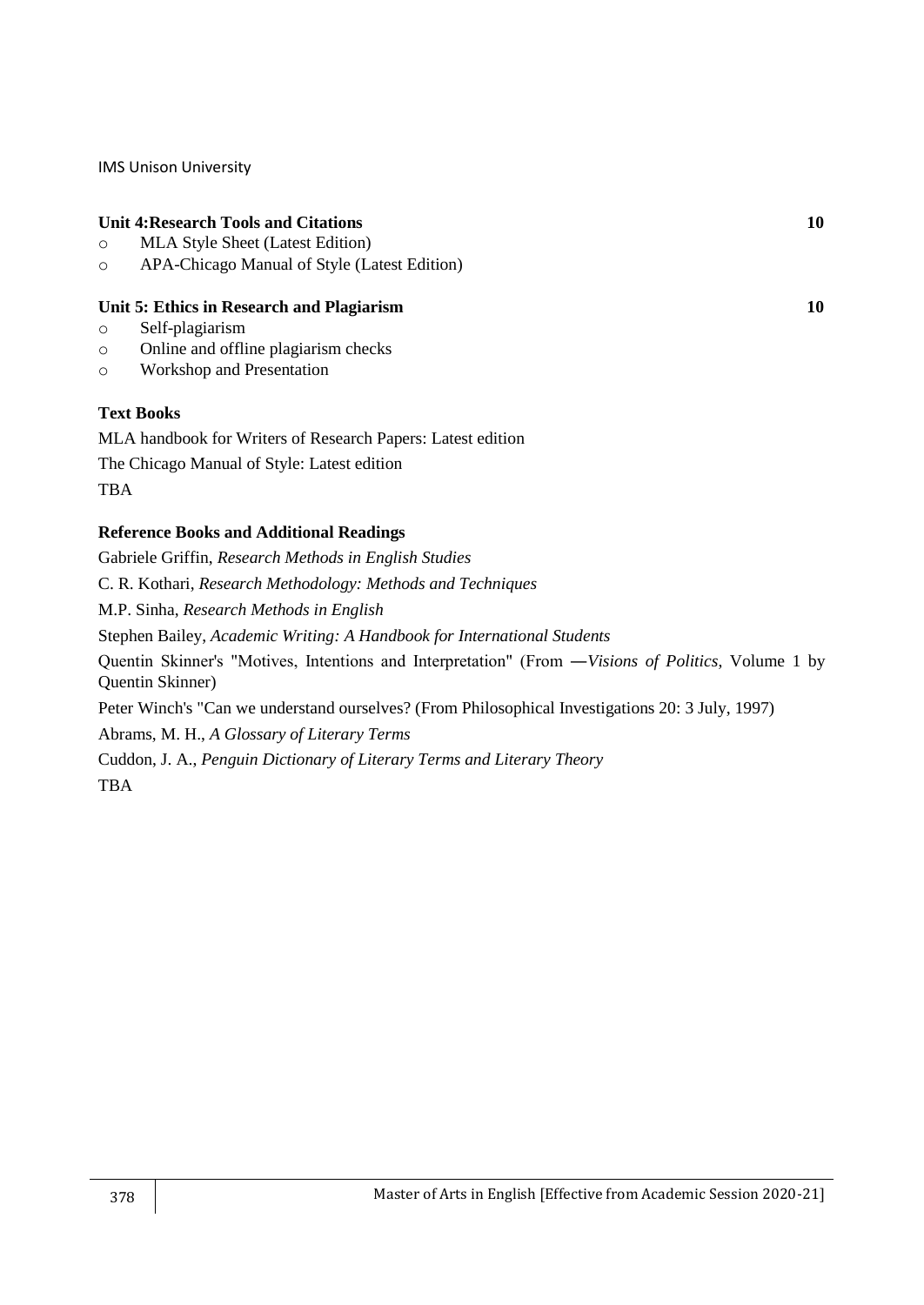## **Unit 4:Research Tools and Citations 10**

- o MLA Style Sheet (Latest Edition)
- o APA-Chicago Manual of Style (Latest Edition)

#### **Unit 5: Ethics in Research and Plagiarism 10**

- o Self-plagiarism
- o Online and offline plagiarism checks
- o Workshop and Presentation

## **Text Books**

MLA handbook for Writers of Research Papers: Latest edition The Chicago Manual of Style: Latest edition **TBA** 

## **Reference Books and Additional Readings**

Gabriele Griffin, *Research Methods in English Studies* C. R. Kothari, *Research Methodology: Methods and Techniques* M.P. Sinha, *Research Methods in English* Stephen Bailey, *Academic Writing: A Handbook for International Students* Quentin Skinner's "Motives, Intentions and Interpretation" (From ―*Visions of Politics*, Volume 1 by Quentin Skinner) Peter Winch's "Can we understand ourselves? (From Philosophical Investigations 20: 3 July, 1997) Abrams, M. H., *A Glossary of Literary Terms* Cuddon, J. A., *Penguin Dictionary of Literary Terms and Literary Theory* TBA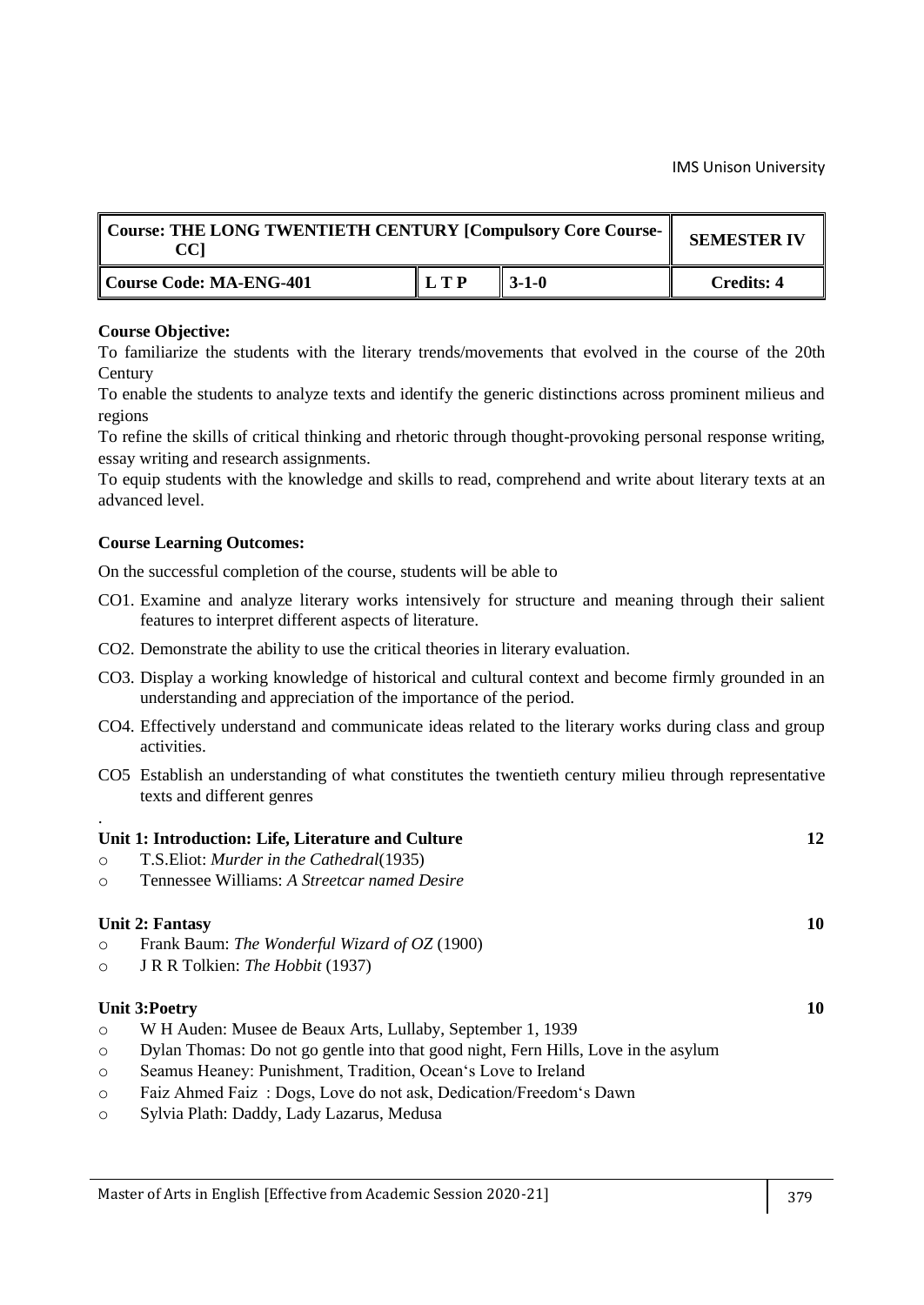| Course: THE LONG TWENTIETH CENTURY [Compulsory Core Course-<br>CCI | <b>SEMESTER IV</b>          |                   |            |
|--------------------------------------------------------------------|-----------------------------|-------------------|------------|
| Course Code: MA-ENG-401                                            | $\mathbf{L}$ T $\mathbf{P}$ | $\parallel$ 3-1-0 | Credits: 4 |

To familiarize the students with the literary trends/movements that evolved in the course of the 20th **Century** 

To enable the students to analyze texts and identify the generic distinctions across prominent milieus and regions

To refine the skills of critical thinking and rhetoric through thought-provoking personal response writing, essay writing and research assignments.

To equip students with the knowledge and skills to read, comprehend and write about literary texts at an advanced level.

## **Course Learning Outcomes:**

.

- CO1. Examine and analyze literary works intensively for structure and meaning through their salient features to interpret different aspects of literature.
- CO2. Demonstrate the ability to use the critical theories in literary evaluation.
- CO3. Display a working knowledge of historical and cultural context and become firmly grounded in an understanding and appreciation of the importance of the period.
- CO4. Effectively understand and communicate ideas related to the literary works during class and group activities.
- CO5 Establish an understanding of what constitutes the twentieth century milieu through representative texts and different genres

|         | Unit 1: Introduction: Life, Literature and Culture                                  | 12 |
|---------|-------------------------------------------------------------------------------------|----|
| $\circ$ | T.S. Eliot: Murder in the Cathedral (1935)                                          |    |
| $\circ$ | Tennessee Williams: A Streetcar named Desire                                        |    |
|         | <b>Unit 2: Fantasy</b>                                                              | 10 |
| $\circ$ | Frank Baum: The Wonderful Wizard of OZ (1900)                                       |    |
| $\circ$ | J R R Tolkien: <i>The Hobbit</i> (1937)                                             |    |
|         | Unit 3:Poetry                                                                       | 10 |
| $\circ$ | W H Auden: Musee de Beaux Arts, Lullaby, September 1, 1939                          |    |
| $\circ$ | Dylan Thomas: Do not go gentle into that good night, Fern Hills, Love in the asylum |    |
| $\circ$ | Seamus Heaney: Punishment, Tradition, Ocean's Love to Ireland                       |    |
| $\circ$ | Faiz Ahmed Faiz: Dogs, Love do not ask, Dedication/Freedom's Dawn                   |    |
| $\circ$ | Sylvia Plath: Daddy, Lady Lazarus, Medusa                                           |    |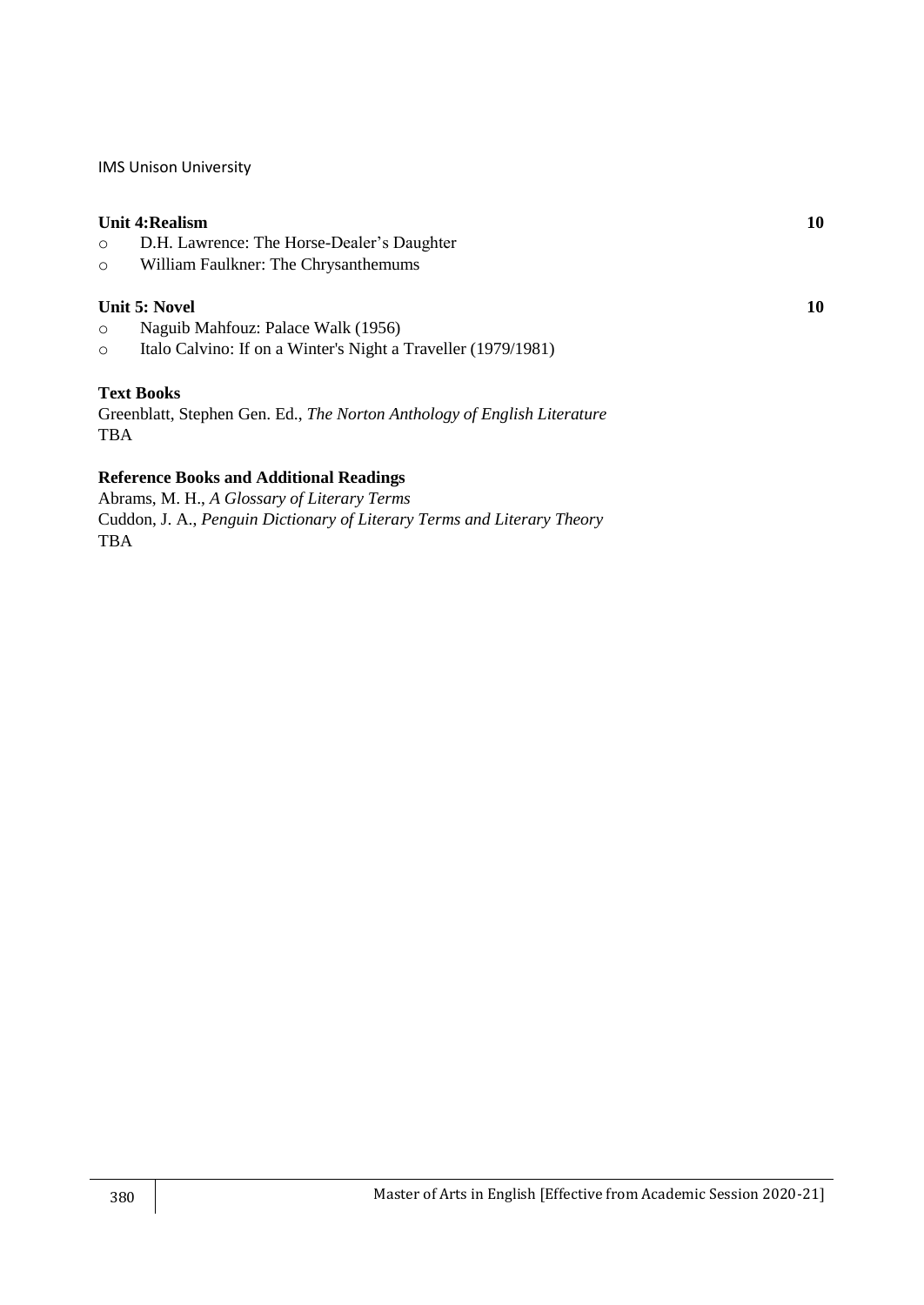#### **Unit 4:Realism 10**

- o D.H. Lawrence: The Horse-Dealer's Daughter
- o William Faulkner: The Chrysanthemums

#### **Unit 5: Novel 10**

- o Naguib Mahfouz: Palace Walk (1956)
- o Italo Calvino: If on a Winter's Night a Traveller (1979/1981)

#### **Text Books**

Greenblatt, Stephen Gen. Ed., *The Norton Anthology of English Literature* TBA

## **Reference Books and Additional Readings**

Abrams, M. H., *A Glossary of Literary Terms* Cuddon, J. A., *Penguin Dictionary of Literary Terms and Literary Theory* TBA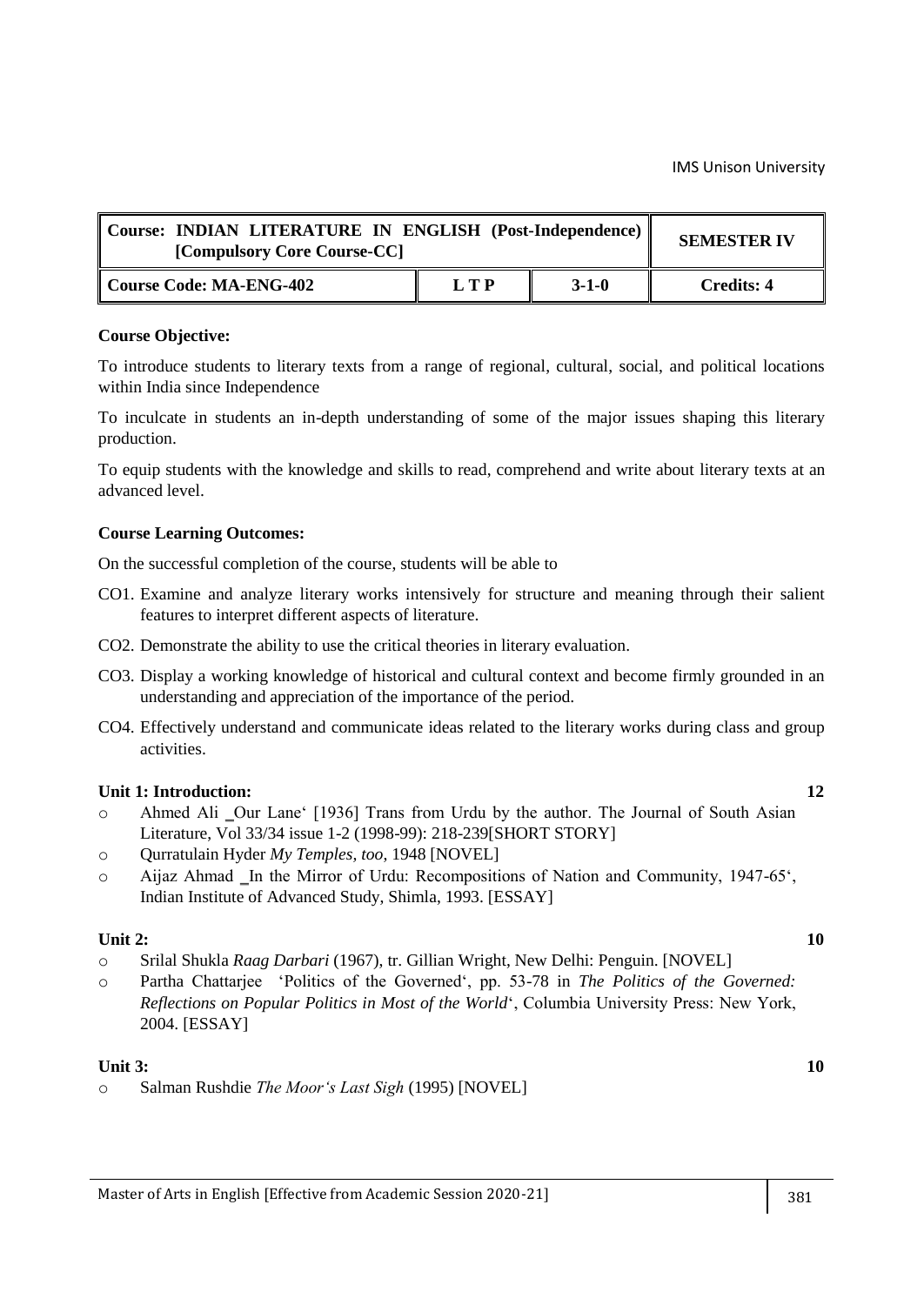| Course: INDIAN LITERATURE IN ENGLISH (Post-Independence)<br>[Compulsory Core Course-CC] | <b>SEMESTER IV</b> |             |            |
|-----------------------------------------------------------------------------------------|--------------------|-------------|------------|
| Course Code: MA-ENG-402                                                                 | LTP                | $3 - 1 - 0$ | Credits: 4 |

To introduce students to literary texts from a range of regional, cultural, social, and political locations within India since Independence

To inculcate in students an in-depth understanding of some of the major issues shaping this literary production.

To equip students with the knowledge and skills to read, comprehend and write about literary texts at an advanced level.

#### **Course Learning Outcomes:**

On the successful completion of the course, students will be able to

- CO1. Examine and analyze literary works intensively for structure and meaning through their salient features to interpret different aspects of literature.
- CO2. Demonstrate the ability to use the critical theories in literary evaluation.
- CO3. Display a working knowledge of historical and cultural context and become firmly grounded in an understanding and appreciation of the importance of the period.
- CO4. Effectively understand and communicate ideas related to the literary works during class and group activities.

#### **Unit 1: Introduction: 12**

- o Ahmed Ali ‗Our Lane‗ [1936] Trans from Urdu by the author. The Journal of South Asian Literature, Vol 33/34 issue 1-2 (1998-99): 218-239[SHORT STORY]
- o Qurratulain Hyder *My Temples, too*, 1948 [NOVEL]
- $\circ$  Aijaz Ahmad In the Mirror of Urdu: Recompositions of Nation and Community, 1947-65 $\circ$ , Indian Institute of Advanced Study, Shimla, 1993. [ESSAY]

## **Unit 2: 10**

- o Srilal Shukla *Raag Darbari* (1967), tr. Gillian Wright, New Delhi: Penguin. [NOVEL]
- o Partha Chattarjee ‗Politics of the Governed‗, pp. 53-78 in *The Politics of the Governed: Reflections on Popular Politics in Most of the World*‗, Columbia University Press: New York, 2004. [ESSAY]

#### **Unit 3: 10**

o Salman Rushdie *The Moor's Last Sigh* (1995) [NOVEL]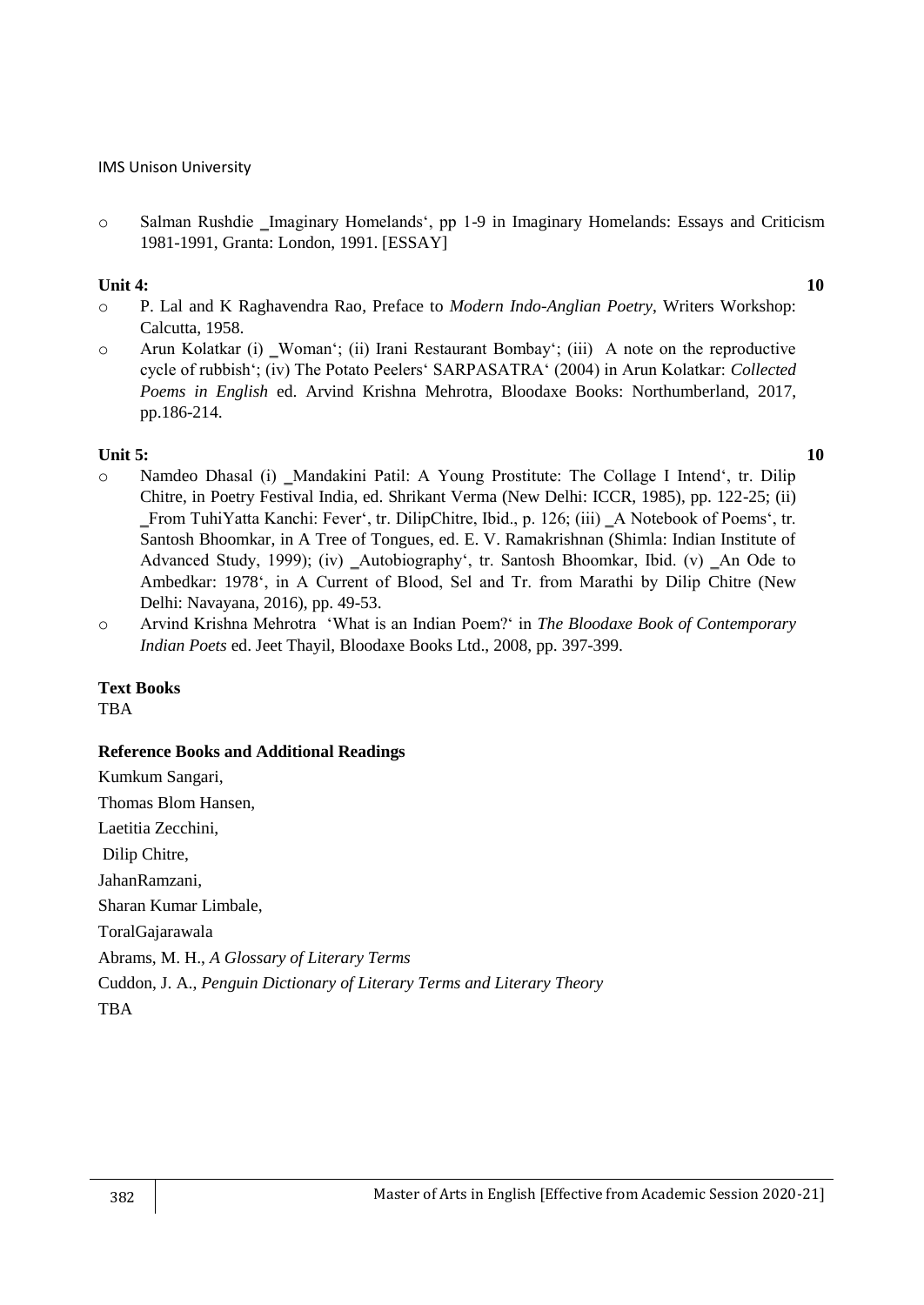o Salman Rushdie ‗Imaginary Homelands‗, pp 1-9 in Imaginary Homelands: Essays and Criticism 1981-1991, Granta: London, 1991. [ESSAY]

#### **Unit 4: 10**

- o P. Lal and K Raghavendra Rao, Preface to *Modern Indo-Anglian Poetry*, Writers Workshop: Calcutta, 1958.
- o Arun Kolatkar (i) ‗Woman‗; (ii) Irani Restaurant Bombay‗; (iii) A note on the reproductive cycle of rubbish‗; (iv) The Potato Peelers‗ SARPASATRA‗ (2004) in Arun Kolatkar: *Collected Poems in English* ed. Arvind Krishna Mehrotra, Bloodaxe Books: Northumberland, 2017, pp.186-214.

## **Unit 5:** 10

- $\circ$  Namdeo Dhasal (i) Mandakini Patil: A Young Prostitute: The Collage I Intend<sup>e</sup>, tr. Dilip Chitre, in Poetry Festival India, ed. Shrikant Verma (New Delhi: ICCR, 1985), pp. 122-25; (ii) ‗From TuhiYatta Kanchi: Fever‗, tr. DilipChitre, Ibid., p. 126; (iii) ‗A Notebook of Poems‗, tr. Santosh Bhoomkar, in A Tree of Tongues, ed. E. V. Ramakrishnan (Shimla: Indian Institute of Advanced Study, 1999); (iv) Autobiography<sup>\*</sup>, tr. Santosh Bhoomkar, Ibid. (v) An Ode to Ambedkar: 1978‗, in A Current of Blood, Sel and Tr. from Marathi by Dilip Chitre (New Delhi: Navayana, 2016), pp. 49-53.
- o Arvind Krishna Mehrotra ‗What is an Indian Poem?‗ in *The Bloodaxe Book of Contemporary Indian Poets* ed. Jeet Thayil, Bloodaxe Books Ltd., 2008, pp. 397-399.

## **Text Books**

TBA

## **Reference Books and Additional Readings**

Kumkum Sangari, Thomas Blom Hansen, Laetitia Zecchini, Dilip Chitre, JahanRamzani, Sharan Kumar Limbale, ToralGajarawala Abrams, M. H., *A Glossary of Literary Terms* Cuddon, J. A., *Penguin Dictionary of Literary Terms and Literary Theory* TBA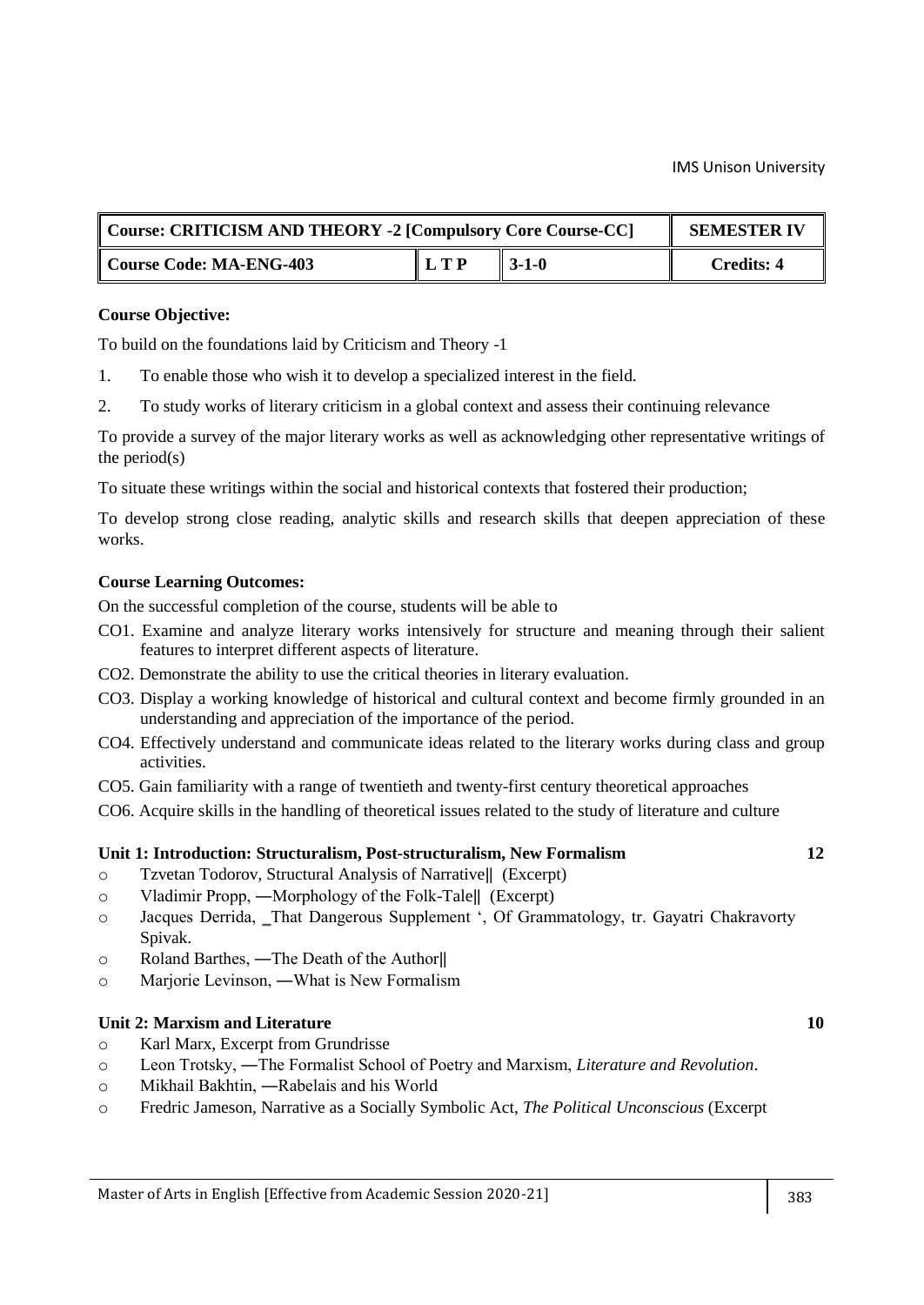| Course: CRITICISM AND THEORY -2 [Compulsory Core Course-CC] | <b>SEMESTER IV</b> |                   |                   |
|-------------------------------------------------------------|--------------------|-------------------|-------------------|
| Course Code: MA-ENG-403                                     | L T P              | $\parallel$ 3-1-0 | <b>Credits: 4</b> |

## **Course Objective:**

To build on the foundations laid by Criticism and Theory -1

- 1. To enable those who wish it to develop a specialized interest in the field.
- 2. To study works of literary criticism in a global context and assess their continuing relevance

To provide a survey of the major literary works as well as acknowledging other representative writings of the period(s)

To situate these writings within the social and historical contexts that fostered their production;

To develop strong close reading, analytic skills and research skills that deepen appreciation of these works.

## **Course Learning Outcomes:**

On the successful completion of the course, students will be able to

- CO1. Examine and analyze literary works intensively for structure and meaning through their salient features to interpret different aspects of literature.
- CO2. Demonstrate the ability to use the critical theories in literary evaluation.
- CO3. Display a working knowledge of historical and cultural context and become firmly grounded in an understanding and appreciation of the importance of the period.
- CO4. Effectively understand and communicate ideas related to the literary works during class and group activities.
- CO5. Gain familiarity with a range of twentieth and twenty-first century theoretical approaches
- CO6. Acquire skills in the handling of theoretical issues related to the study of literature and culture

## **Unit 1: Introduction: Structuralism, Post-structuralism, New Formalism 12**

- o Tzvetan Todorov, Structural Analysis of Narrative‖ (Excerpt)
- o Vladimir Propp, ―Morphology of the Folk-Tale‖ (Excerpt)
- o Jacques Derrida, ‗That Dangerous Supplement ‗, Of Grammatology, tr. Gayatri Chakravorty Spivak.
- o Roland Barthes, ―The Death of the Author‖
- o Marjorie Levinson, ―What is New Formalism

#### **Unit 2: Marxism and Literature 10**

- o Karl Marx, Excerpt from Grundrisse
- o Leon Trotsky, ―The Formalist School of Poetry and Marxism, *Literature and Revolution*.
- o Mikhail Bakhtin, ―Rabelais and his World
- o Fredric Jameson, Narrative as a Socially Symbolic Act, *The Political Unconscious* (Excerpt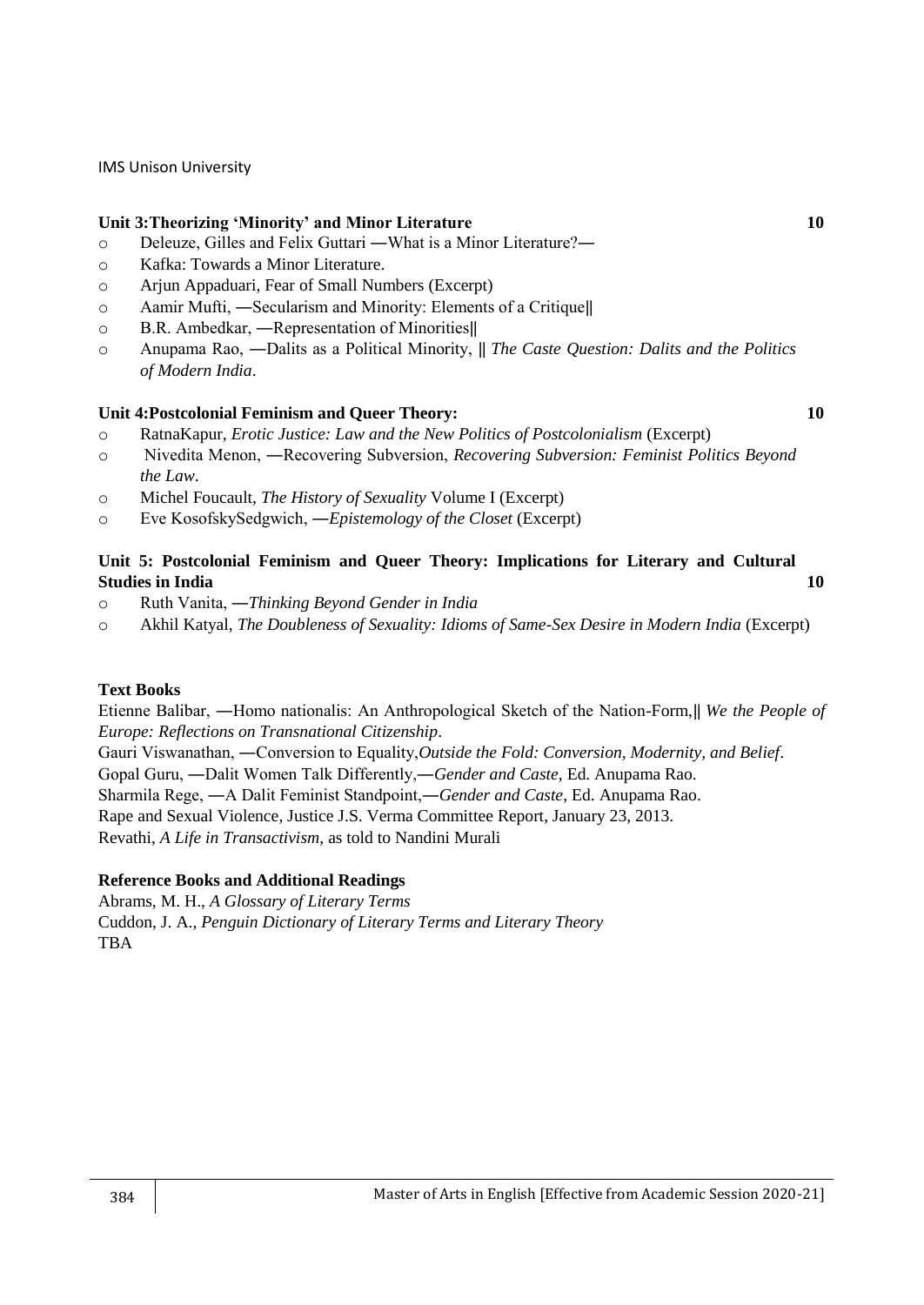## **Unit 3:Theorizing 'Minority' and Minor Literature 10**

- o Deleuze, Gilles and Felix Guttari ―What is a Minor Literature?―
- o Kafka: Towards a Minor Literature.
- o Arjun Appaduari, Fear of Small Numbers (Excerpt)
- o Aamir Mufti, ―Secularism and Minority: Elements of a Critique‖
- o B.R. Ambedkar, ―Representation of Minorities‖
- o Anupama Rao, ―Dalits as a Political Minority, ‖ *The Caste Question: Dalits and the Politics of Modern India*.

## **Unit 4:Postcolonial Feminism and Queer Theory: 10**

- o RatnaKapur, *Erotic Justice: Law and the New Politics of Postcolonialism* (Excerpt)
- o Nivedita Menon, ―Recovering Subversion, *Recovering Subversion: Feminist Politics Beyond the Law*.
- o Michel Foucault, *The History of Sexuality* Volume I (Excerpt)
- o Eve KosofskySedgwich, ―*Epistemology of the Closet* (Excerpt)

## **Unit 5: Postcolonial Feminism and Queer Theory: Implications for Literary and Cultural Studies in India 10**

- o Ruth Vanita, ―*Thinking Beyond Gender in India*
- o Akhil Katyal, *The Doubleness of Sexuality: Idioms of Same-Sex Desire in Modern India* (Excerpt)

#### **Text Books**

Etienne Balibar, ―Homo nationalis: An Anthropological Sketch of the Nation-Form,‖ *We the People of Europe: Reflections on Transnational Citizenship*.

Gauri Viswanathan, ―Conversion to Equality,*Outside the Fold: Conversion, Modernity, and Belief*.

Gopal Guru, ―Dalit Women Talk Differently,―*Gender and Caste*, Ed. Anupama Rao.

Sharmila Rege, ―A Dalit Feminist Standpoint,―*Gender and Caste*, Ed. Anupama Rao.

Rape and Sexual Violence, Justice J.S. Verma Committee Report, January 23, 2013.

Revathi, *A Life in Transactivism*, as told to Nandini Murali

## **Reference Books and Additional Readings**

Abrams, M. H., *A Glossary of Literary Terms* Cuddon, J. A., *Penguin Dictionary of Literary Terms and Literary Theory* TBA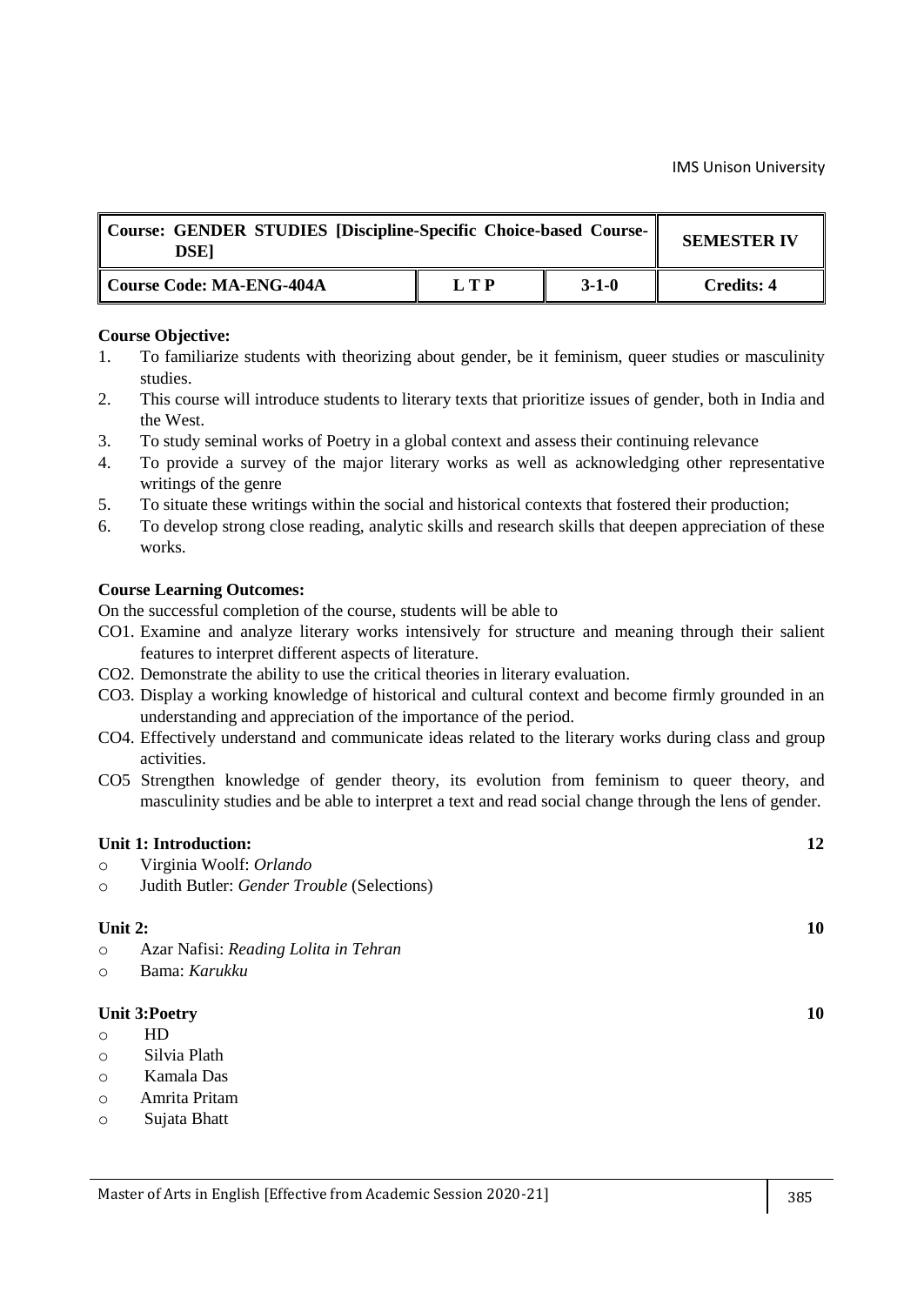| Course: GENDER STUDIES [Discipline-Specific Choice-based Course-<br><b>DSE1</b> | <b>SEMESTER IV</b> |         |            |
|---------------------------------------------------------------------------------|--------------------|---------|------------|
| Course Code: MA-ENG-404A                                                        | LTP                | $3-1-0$ | Credits: 4 |

- 1. To familiarize students with theorizing about gender, be it feminism, queer studies or masculinity studies.
- 2. This course will introduce students to literary texts that prioritize issues of gender, both in India and the West.
- 3. To study seminal works of Poetry in a global context and assess their continuing relevance
- 4. To provide a survey of the major literary works as well as acknowledging other representative writings of the genre
- 5. To situate these writings within the social and historical contexts that fostered their production;
- 6. To develop strong close reading, analytic skills and research skills that deepen appreciation of these works.

#### **Course Learning Outcomes:**

On the successful completion of the course, students will be able to

- CO1. Examine and analyze literary works intensively for structure and meaning through their salient features to interpret different aspects of literature.
- CO2. Demonstrate the ability to use the critical theories in literary evaluation.
- CO3. Display a working knowledge of historical and cultural context and become firmly grounded in an understanding and appreciation of the importance of the period.
- CO4. Effectively understand and communicate ideas related to the literary works during class and group activities.
- CO5 Strengthen knowledge of gender theory, its evolution from feminism to queer theory, and masculinity studies and be able to interpret a text and read social change through the lens of gender.

#### **Unit 1: Introduction: 12**

- o Virginia Woolf: *Orlando*
- o Judith Butler: *Gender Trouble* (Selections)

#### **Unit 2:** 10

- o Azar Nafisi: *Reading Lolita in Tehran*
- o Bama: *Karukku*

#### **Unit 3:Poetry 10**

- o HD
- o Silvia Plath
- o Kamala Das
- o Amrita Pritam
- o Sujata Bhatt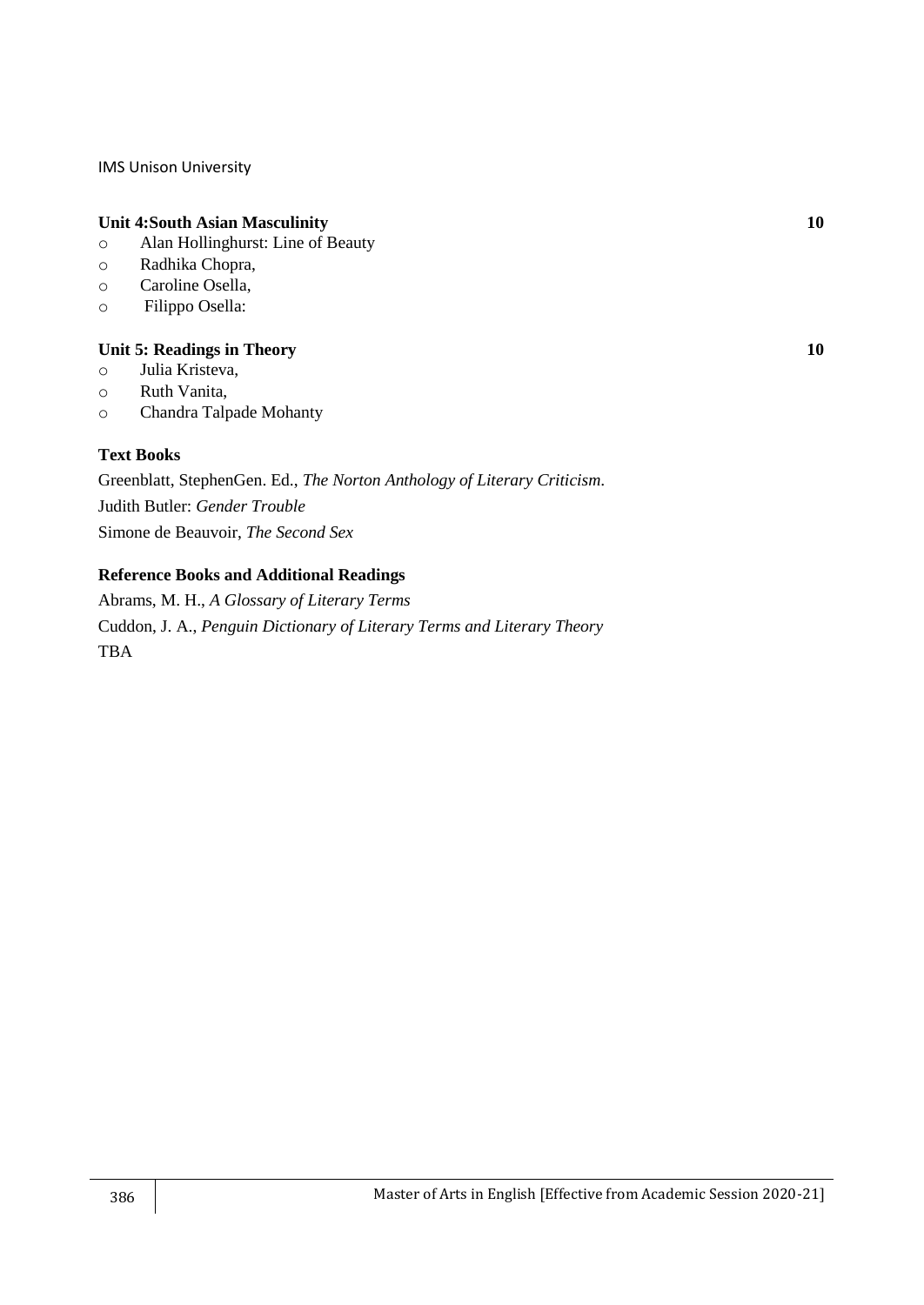#### **Unit 4:South Asian Masculinity 10**

- o Alan Hollinghurst: Line of Beauty
- o Radhika Chopra,
- o Caroline Osella,
- o Filippo Osella:

## **Unit 5: Readings in Theory 10**

- o Julia Kristeva,
- o Ruth Vanita,
- o Chandra Talpade Mohanty

## **Text Books**

Greenblatt, StephenGen. Ed., *The Norton Anthology of Literary Criticism*. Judith Butler: *Gender Trouble* Simone de Beauvoir, *The Second Sex*

## **Reference Books and Additional Readings**

Abrams, M. H., *A Glossary of Literary Terms* Cuddon, J. A., *Penguin Dictionary of Literary Terms and Literary Theory* TBA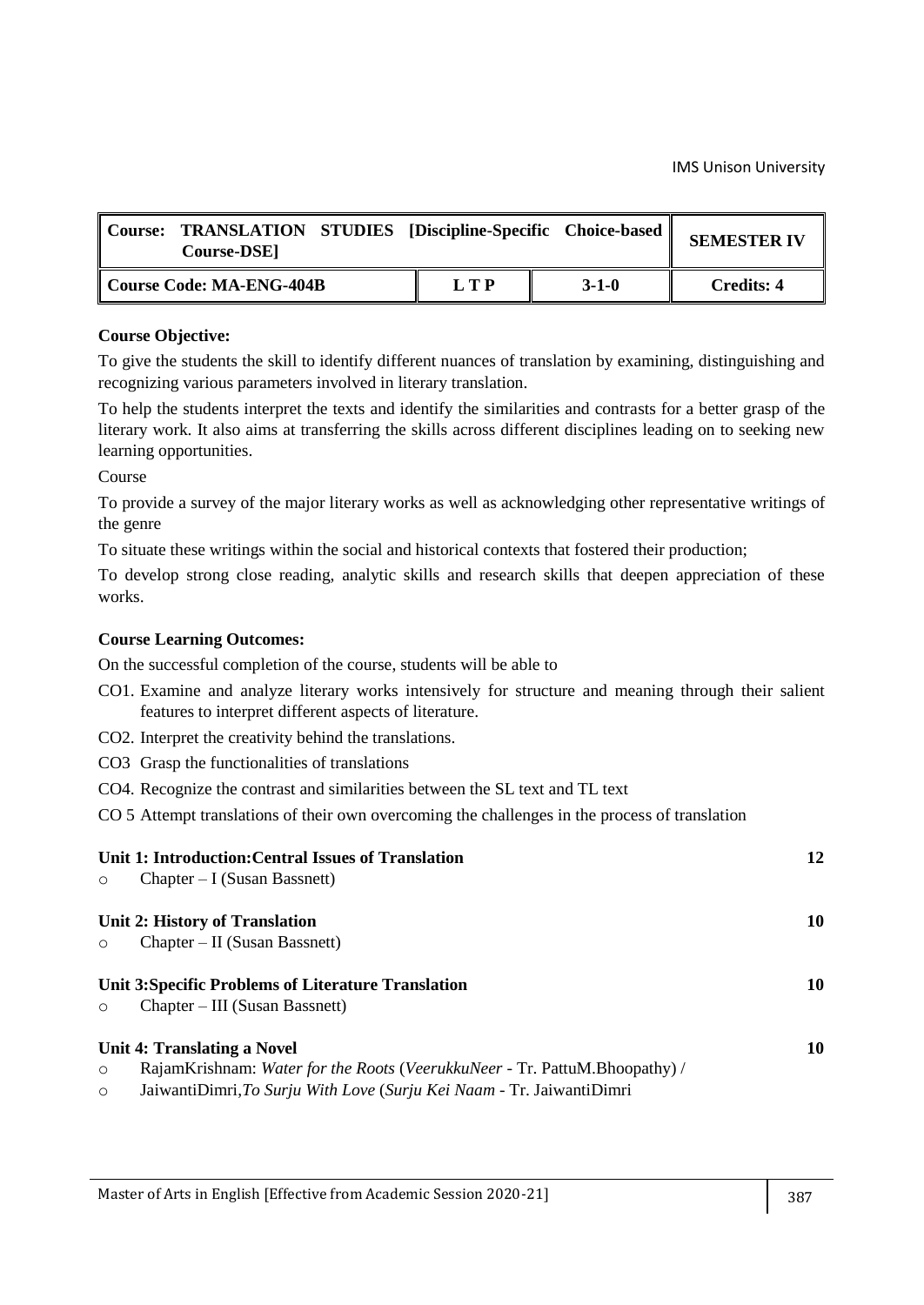| Course: . | <b>TRANSLATION STUDIES [Discipline-Specific Choice-based]</b><br><b>Course-DSE</b> |     |             | <b>SEMESTER IV</b> |
|-----------|------------------------------------------------------------------------------------|-----|-------------|--------------------|
|           | Course Code: MA-ENG-404B                                                           | LTP | $3 - 1 - 0$ | <b>Credits: 4</b>  |

To give the students the skill to identify different nuances of translation by examining, distinguishing and recognizing various parameters involved in literary translation.

To help the students interpret the texts and identify the similarities and contrasts for a better grasp of the literary work. It also aims at transferring the skills across different disciplines leading on to seeking new learning opportunities.

Course

To provide a survey of the major literary works as well as acknowledging other representative writings of the genre

To situate these writings within the social and historical contexts that fostered their production;

To develop strong close reading, analytic skills and research skills that deepen appreciation of these works.

## **Course Learning Outcomes:**

- CO1. Examine and analyze literary works intensively for structure and meaning through their salient features to interpret different aspects of literature.
- CO2. Interpret the creativity behind the translations.
- CO3 Grasp the functionalities of translations
- CO4. Recognize the contrast and similarities between the SL text and TL text
- CO 5 Attempt translations of their own overcoming the challenges in the process of translation

| $\circ$            | Unit 1: Introduction: Central Issues of Translation<br>$Chapter - I$ (Susan Bassnett)                                                                                              | 12 |
|--------------------|------------------------------------------------------------------------------------------------------------------------------------------------------------------------------------|----|
|                    | Unit 2: History of Translation                                                                                                                                                     | 10 |
| $\circ$            | $Chapter - II$ (Susan Bassnett)                                                                                                                                                    |    |
| $\circ$            | Unit 3: Specific Problems of Literature Translation<br>Chapter – III (Susan Bassnett)                                                                                              | 10 |
| $\circ$<br>$\circ$ | Unit 4: Translating a Novel<br>RajamKrishnam: Water for the Roots (VeerukkuNeer - Tr. PattuM.Bhoopathy) /<br>JaiwantiDimri, To Surju With Love (Surju Kei Naam - Tr. JaiwantiDimri | 10 |
|                    |                                                                                                                                                                                    |    |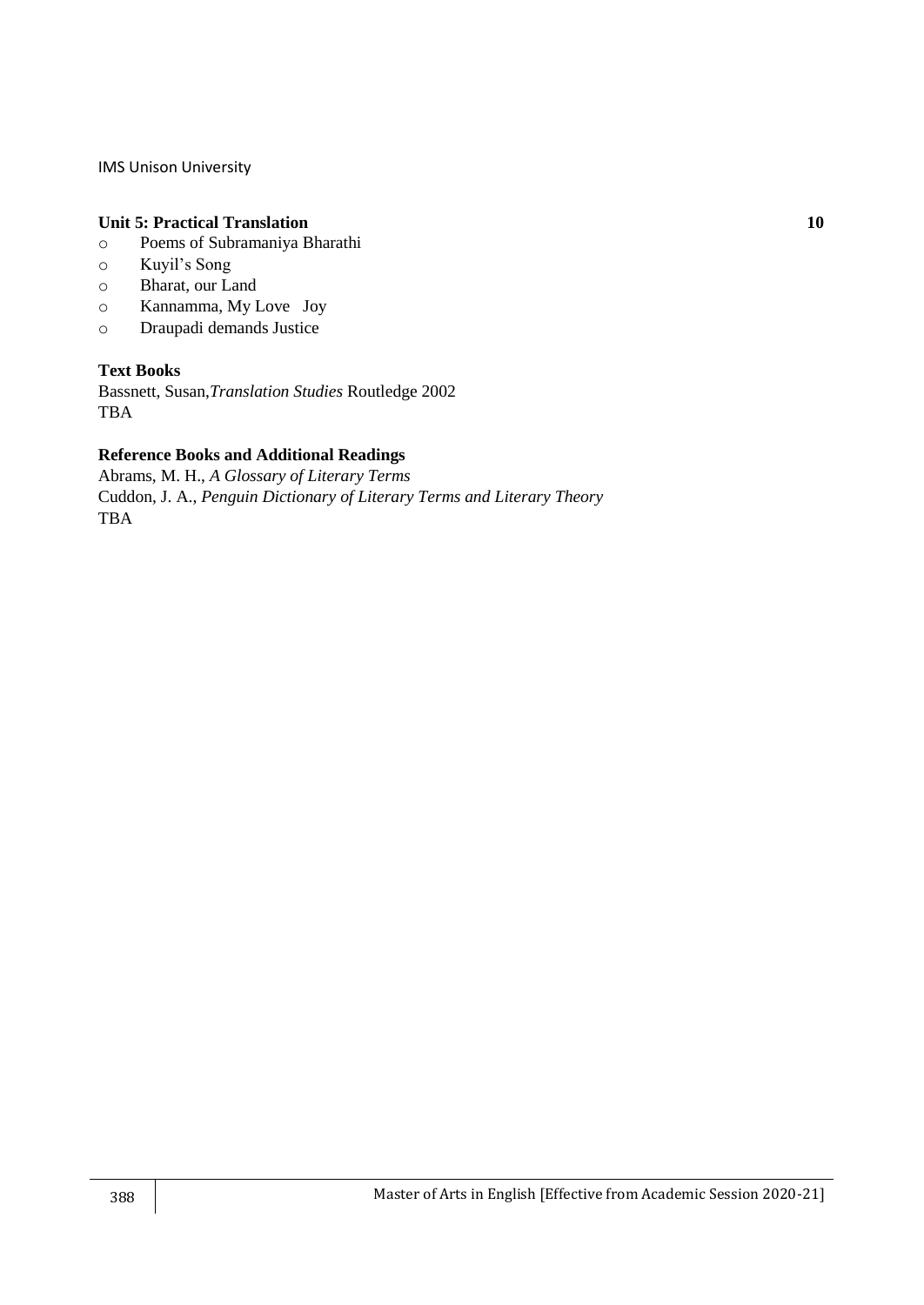#### **Unit 5: Practical Translation 10**

- o Poems of Subramaniya Bharathi
- o Kuyil's Song
- o Bharat, our Land
- o Kannamma, My Love Joy
- o Draupadi demands Justice

## **Text Books**

Bassnett, Susan,*Translation Studies* Routledge 2002 TBA

## **Reference Books and Additional Readings**

Abrams, M. H., *A Glossary of Literary Terms* Cuddon, J. A., *Penguin Dictionary of Literary Terms and Literary Theory* TBA